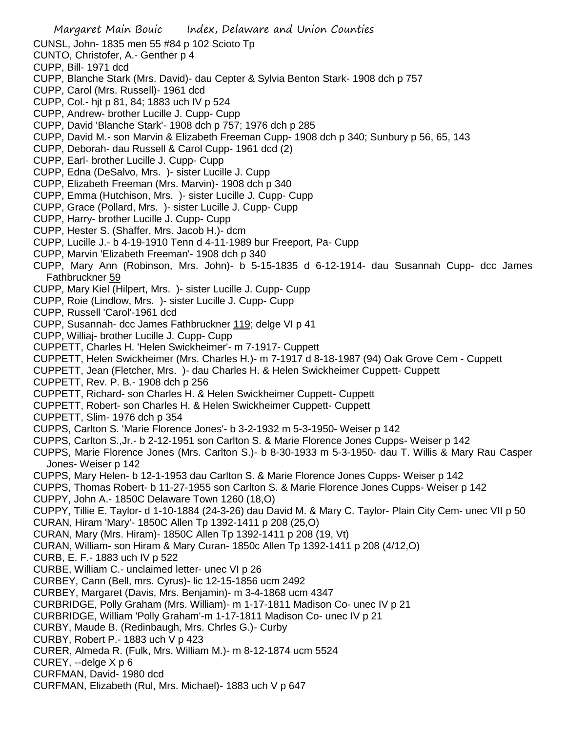CUNSL, John- 1835 men 55 #84 p 102 Scioto Tp

- CUNTO, Christofer, A.- Genther p 4
- CUPP, Bill- 1971 dcd
- CUPP, Blanche Stark (Mrs. David)- dau Cepter & Sylvia Benton Stark- 1908 dch p 757
- CUPP, Carol (Mrs. Russell)- 1961 dcd
- CUPP, Col.- hjt p 81, 84; 1883 uch IV p 524
- CUPP, Andrew- brother Lucille J. Cupp- Cupp
- CUPP, David 'Blanche Stark'- 1908 dch p 757; 1976 dch p 285
- CUPP, David M.- son Marvin & Elizabeth Freeman Cupp- 1908 dch p 340; Sunbury p 56, 65, 143
- CUPP, Deborah- dau Russell & Carol Cupp- 1961 dcd (2)
- CUPP, Earl- brother Lucille J. Cupp- Cupp
- CUPP, Edna (DeSalvo, Mrs. )- sister Lucille J. Cupp
- CUPP, Elizabeth Freeman (Mrs. Marvin)- 1908 dch p 340
- CUPP, Emma (Hutchison, Mrs. )- sister Lucille J. Cupp- Cupp
- CUPP, Grace (Pollard, Mrs. )- sister Lucille J. Cupp- Cupp
- CUPP, Harry- brother Lucille J. Cupp- Cupp
- CUPP, Hester S. (Shaffer, Mrs. Jacob H.)- dcm
- CUPP, Lucille J.- b 4-19-1910 Tenn d 4-11-1989 bur Freeport, Pa- Cupp
- CUPP, Marvin 'Elizabeth Freeman'- 1908 dch p 340
- CUPP, Mary Ann (Robinson, Mrs. John)- b 5-15-1835 d 6-12-1914- dau Susannah Cupp- dcc James Fathbruckner 59
- CUPP, Mary Kiel (Hilpert, Mrs. )- sister Lucille J. Cupp- Cupp
- CUPP, Roie (Lindlow, Mrs. )- sister Lucille J. Cupp- Cupp
- CUPP, Russell 'Carol'-1961 dcd
- CUPP, Susannah- dcc James Fathbruckner 119; delge VI p 41
- CUPP, Williaj- brother Lucille J. Cupp- Cupp
- CUPPETT, Charles H. 'Helen Swickheimer'- m 7-1917- Cuppett
- CUPPETT, Helen Swickheimer (Mrs. Charles H.)- m 7-1917 d 8-18-1987 (94) Oak Grove Cem Cuppett
- CUPPETT, Jean (Fletcher, Mrs. )- dau Charles H. & Helen Swickheimer Cuppett- Cuppett
- CUPPETT, Rev. P. B.- 1908 dch p 256
- CUPPETT, Richard- son Charles H. & Helen Swickheimer Cuppett- Cuppett
- CUPPETT, Robert- son Charles H. & Helen Swickheimer Cuppett- Cuppett
- CUPPETT, Slim- 1976 dch p 354
- CUPPS, Carlton S. 'Marie Florence Jones'- b 3-2-1932 m 5-3-1950- Weiser p 142
- CUPPS, Carlton S.,Jr.- b 2-12-1951 son Carlton S. & Marie Florence Jones Cupps- Weiser p 142
- CUPPS, Marie Florence Jones (Mrs. Carlton S.)- b 8-30-1933 m 5-3-1950- dau T. Willis & Mary Rau Casper Jones- Weiser p 142
- CUPPS, Mary Helen- b 12-1-1953 dau Carlton S. & Marie Florence Jones Cupps- Weiser p 142
- CUPPS, Thomas Robert- b 11-27-1955 son Carlton S. & Marie Florence Jones Cupps- Weiser p 142
- CUPPY, John A.- 1850C Delaware Town 1260 (18,O)
- CUPPY, Tillie E. Taylor- d 1-10-1884 (24-3-26) dau David M. & Mary C. Taylor- Plain City Cem- unec VII p 50 CURAN, Hiram 'Mary'- 1850C Allen Tp 1392-1411 p 208 (25,O)
- CURAN, Mary (Mrs. Hiram)- 1850C Allen Tp 1392-1411 p 208 (19, Vt)
- CURAN, William- son Hiram & Mary Curan- 1850c Allen Tp 1392-1411 p 208 (4/12,O)
- CURB, E. F.- 1883 uch IV p 522
- CURBE, William C.- unclaimed letter- unec VI p 26
- CURBEY, Cann (Bell, mrs. Cyrus)- lic 12-15-1856 ucm 2492
- CURBEY, Margaret (Davis, Mrs. Benjamin)- m 3-4-1868 ucm 4347
- CURBRIDGE, Polly Graham (Mrs. William)- m 1-17-1811 Madison Co- unec IV p 21
- CURBRIDGE, William 'Polly Graham'-m 1-17-1811 Madison Co- unec IV p 21
- CURBY, Maude B. (Redinbaugh, Mrs. Chrles G.)- Curby
- CURBY, Robert P.- 1883 uch V p 423
- CURER, Almeda R. (Fulk, Mrs. William M.)- m 8-12-1874 ucm 5524
- CUREY, --delge X p 6
- CURFMAN, David- 1980 dcd
- CURFMAN, Elizabeth (Rul, Mrs. Michael)- 1883 uch V p 647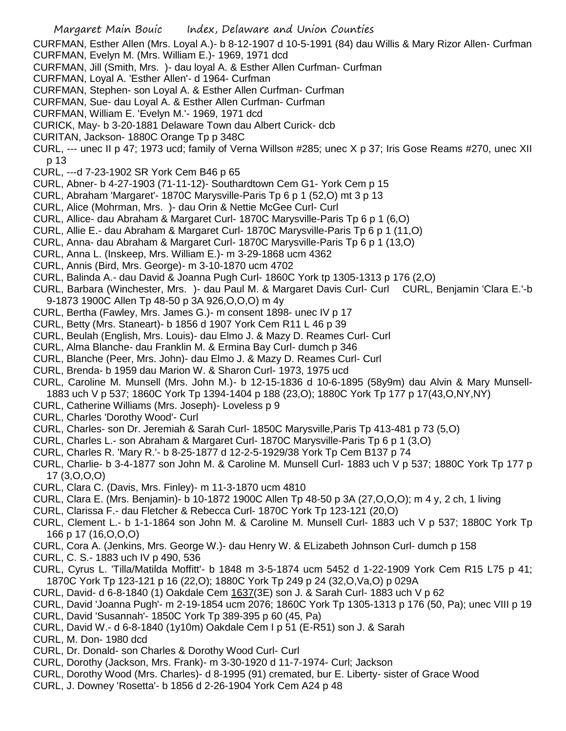CURFMAN, Esther Allen (Mrs. Loyal A.)- b 8-12-1907 d 10-5-1991 (84) dau Willis & Mary Rizor Allen- Curfman

- CURFMAN, Evelyn M. (Mrs. William E.)- 1969, 1971 dcd
- CURFMAN, Jill (Smith, Mrs. )- dau loyal A. & Esther Allen Curfman- Curfman
- CURFMAN, Loyal A. 'Esther Allen'- d 1964- Curfman
- CURFMAN, Stephen- son Loyal A. & Esther Allen Curfman- Curfman
- CURFMAN, Sue- dau Loyal A. & Esther Allen Curfman- Curfman
- CURFMAN, William E. 'Evelyn M.'- 1969, 1971 dcd
- CURICK, May- b 3-20-1881 Delaware Town dau Albert Curick- dcb
- CURITAN, Jackson- 1880C Orange Tp p 348C
- CURL, --- unec II p 47; 1973 ucd; family of Verna Willson #285; unec X p 37; Iris Gose Reams #270, unec XII p 13
- CURL, ---d 7-23-1902 SR York Cem B46 p 65
- CURL, Abner- b 4-27-1903 (71-11-12)- Southardtown Cem G1- York Cem p 15
- CURL, Abraham 'Margaret'- 1870C Marysville-Paris Tp 6 p 1 (52,O) mt 3 p 13
- CURL, Alice (Mohrman, Mrs. )- dau Orin & Nettie McGee Curl- Curl
- CURL, Allice- dau Abraham & Margaret Curl- 1870C Marysville-Paris Tp 6 p 1 (6,O)
- CURL, Allie E.- dau Abraham & Margaret Curl- 1870C Marysville-Paris Tp 6 p 1 (11,O)
- CURL, Anna- dau Abraham & Margaret Curl- 1870C Marysville-Paris Tp 6 p 1 (13,O)
- CURL, Anna L. (Inskeep, Mrs. William E.)- m 3-29-1868 ucm 4362
- CURL, Annis (Bird, Mrs. George)- m 3-10-1870 ucm 4702
- CURL, Balinda A.- dau David & Joanna Pugh Curl- 1860C York tp 1305-1313 p 176 (2,O)
- CURL, Barbara (Winchester, Mrs. )- dau Paul M. & Margaret Davis Curl- Curl CURL, Benjamin 'Clara E.'-b 9-1873 1900C Allen Tp 48-50 p 3A 926,O,O,O) m 4y
- CURL, Bertha (Fawley, Mrs. James G.)- m consent 1898- unec IV p 17
- CURL, Betty (Mrs. Staneart)- b 1856 d 1907 York Cem R11 L 46 p 39
- CURL, Beulah (English, Mrs. Louis)- dau Elmo J. & Mazy D. Reames Curl- Curl
- CURL, Alma Blanche- dau Franklin M. & Ermina Bay Curl- dumch p 346
- CURL, Blanche (Peer, Mrs. John)- dau Elmo J. & Mazy D. Reames Curl- Curl
- CURL, Brenda- b 1959 dau Marion W. & Sharon Curl- 1973, 1975 ucd
- CURL, Caroline M. Munsell (Mrs. John M.)- b 12-15-1836 d 10-6-1895 (58y9m) dau Alvin & Mary Munsell-1883 uch V p 537; 1860C York Tp 1394-1404 p 188 (23,O); 1880C York Tp 177 p 17(43,O,NY,NY)
- CURL, Catherine Williams (Mrs. Joseph)- Loveless p 9
- CURL, Charles 'Dorothy Wood'- Curl
- CURL, Charles- son Dr. Jeremiah & Sarah Curl- 1850C Marysville,Paris Tp 413-481 p 73 (5,O)
- CURL, Charles L.- son Abraham & Margaret Curl- 1870C Marysville-Paris Tp 6 p 1 (3,O)
- CURL, Charles R. 'Mary R.'- b 8-25-1877 d 12-2-5-1929/38 York Tp Cem B137 p 74
- CURL, Charlie- b 3-4-1877 son John M. & Caroline M. Munsell Curl- 1883 uch V p 537; 1880C York Tp 177 p 17 (3,O,O,O)
- CURL, Clara C. (Davis, Mrs. Finley)- m 11-3-1870 ucm 4810
- CURL, Clara E. (Mrs. Benjamin)- b 10-1872 1900C Allen Tp 48-50 p 3A (27,O,O,O); m 4 y, 2 ch, 1 living
- CURL, Clarissa F.- dau Fletcher & Rebecca Curl- 1870C York Tp 123-121 (20,O)
- CURL, Clement L.- b 1-1-1864 son John M. & Caroline M. Munsell Curl- 1883 uch V p 537; 1880C York Tp 166 p 17 (16,O,O,O)
- CURL, Cora A. (Jenkins, Mrs. George W.)- dau Henry W. & ELizabeth Johnson Curl- dumch p 158
- CURL, C. S.- 1883 uch IV p 490, 536
- CURL, Cyrus L. 'Tilla/Matilda Moffitt'- b 1848 m 3-5-1874 ucm 5452 d 1-22-1909 York Cem R15 L75 p 41; 1870C York Tp 123-121 p 16 (22,O); 1880C York Tp 249 p 24 (32,O,Va,O) p 029A
- CURL, David- d 6-8-1840 (1) Oakdale Cem  $1637(3E)$  son J. & Sarah Curl- 1883 uch V p 62
- CURL, David 'Joanna Pugh'- m 2-19-1854 ucm 2076; 1860C York Tp 1305-1313 p 176 (50, Pa); unec VIII p 19
- CURL, David 'Susannah'- 1850C York Tp 389-395 p 60 (45, Pa)
- CURL, David W.- d 6-8-1840 (1y10m) Oakdale Cem I p 51 (E-R51) son J. & Sarah
- CURL, M. Don- 1980 dcd
- CURL, Dr. Donald- son Charles & Dorothy Wood Curl- Curl
- CURL, Dorothy (Jackson, Mrs. Frank)- m 3-30-1920 d 11-7-1974- Curl; Jackson
- CURL, Dorothy Wood (Mrs. Charles)- d 8-1995 (91) cremated, bur E. Liberty- sister of Grace Wood
- CURL, J. Downey 'Rosetta'- b 1856 d 2-26-1904 York Cem A24 p 48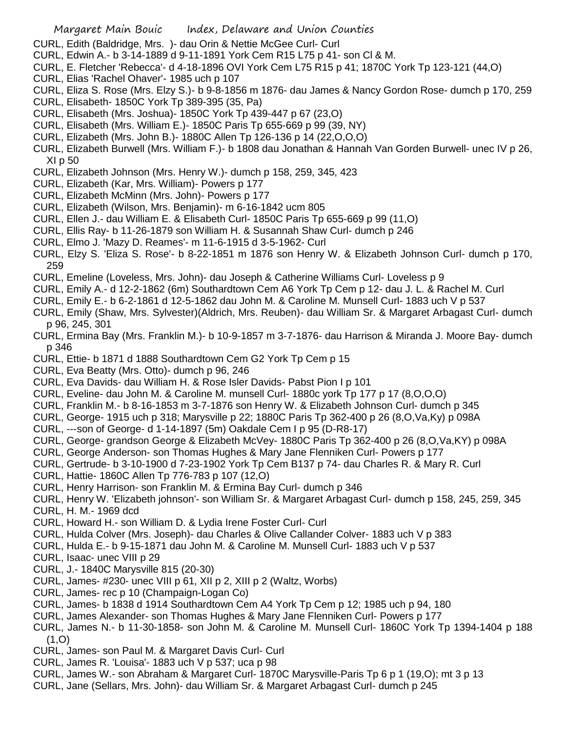- CURL, Edith (Baldridge, Mrs. )- dau Orin & Nettie McGee Curl- Curl
- CURL, Edwin A.- b 3-14-1889 d 9-11-1891 York Cem R15 L75 p 41- son Cl & M.
- CURL, E. Fletcher 'Rebecca'- d 4-18-1896 OVI York Cem L75 R15 p 41; 1870C York Tp 123-121 (44,O)
- CURL, Elias 'Rachel Ohaver'- 1985 uch p 107
- CURL, Eliza S. Rose (Mrs. Elzy S.)- b 9-8-1856 m 1876- dau James & Nancy Gordon Rose- dumch p 170, 259
- CURL, Elisabeth- 1850C York Tp 389-395 (35, Pa)
- CURL, Elisabeth (Mrs. Joshua)- 1850C York Tp 439-447 p 67 (23,O)
- CURL, Elisabeth (Mrs. William E.)- 1850C Paris Tp 655-669 p 99 (39, NY)
- CURL, Elizabeth (Mrs. John B.)- 1880C Allen Tp 126-136 p 14 (22,O,O,O)
- CURL, Elizabeth Burwell (Mrs. William F.)- b 1808 dau Jonathan & Hannah Van Gorden Burwell- unec IV p 26, XI p 50
- CURL, Elizabeth Johnson (Mrs. Henry W.)- dumch p 158, 259, 345, 423
- CURL, Elizabeth (Kar, Mrs. William)- Powers p 177
- CURL, Elizabeth McMinn (Mrs. John)- Powers p 177
- CURL, Elizabeth (Wilson, Mrs. Benjamin)- m 6-16-1842 ucm 805
- CURL, Ellen J.- dau William E. & Elisabeth Curl- 1850C Paris Tp 655-669 p 99 (11,O)
- CURL, Ellis Ray- b 11-26-1879 son William H. & Susannah Shaw Curl- dumch p 246
- CURL, Elmo J. 'Mazy D. Reames'- m 11-6-1915 d 3-5-1962- Curl
- CURL, Elzy S. 'Eliza S. Rose'- b 8-22-1851 m 1876 son Henry W. & Elizabeth Johnson Curl- dumch p 170, 259
- CURL, Emeline (Loveless, Mrs. John)- dau Joseph & Catherine Williams Curl- Loveless p 9
- CURL, Emily A.- d 12-2-1862 (6m) Southardtown Cem A6 York Tp Cem p 12- dau J. L. & Rachel M. Curl
- CURL, Emily E.- b 6-2-1861 d 12-5-1862 dau John M. & Caroline M. Munsell Curl- 1883 uch V p 537
- CURL, Emily (Shaw, Mrs. Sylvester)(Aldrich, Mrs. Reuben)- dau William Sr. & Margaret Arbagast Curl- dumch p 96, 245, 301
- CURL, Ermina Bay (Mrs. Franklin M.)- b 10-9-1857 m 3-7-1876- dau Harrison & Miranda J. Moore Bay- dumch p 346
- CURL, Ettie- b 1871 d 1888 Southardtown Cem G2 York Tp Cem p 15
- CURL, Eva Beatty (Mrs. Otto)- dumch p 96, 246
- CURL, Eva Davids- dau William H. & Rose Isler Davids- Pabst Pion I p 101
- CURL, Eveline- dau John M. & Caroline M. munsell Curl- 1880c york Tp 177 p 17 (8,O,O,O)
- CURL, Franklin M.- b 8-16-1853 m 3-7-1876 son Henry W. & Elizabeth Johnson Curl- dumch p 345
- CURL, George- 1915 uch p 318; Marysville p 22; 1880C Paris Tp 362-400 p 26 (8,O,Va,Ky) p 098A
- CURL, ---son of George- d 1-14-1897 (5m) Oakdale Cem I p 95 (D-R8-17)
- CURL, George- grandson George & Elizabeth McVey- 1880C Paris Tp 362-400 p 26 (8,O,Va,KY) p 098A
- CURL, George Anderson- son Thomas Hughes & Mary Jane Flenniken Curl- Powers p 177
- CURL, Gertrude- b 3-10-1900 d 7-23-1902 York Tp Cem B137 p 74- dau Charles R. & Mary R. Curl
- CURL, Hattie- 1860C Allen Tp 776-783 p 107 (12,O)
- CURL, Henry Harrison- son Franklin M. & Ermina Bay Curl- dumch p 346
- CURL, Henry W. 'Elizabeth johnson'- son William Sr. & Margaret Arbagast Curl- dumch p 158, 245, 259, 345
- CURL, H. M.- 1969 dcd
- CURL, Howard H.- son William D. & Lydia Irene Foster Curl- Curl
- CURL, Hulda Colver (Mrs. Joseph)- dau Charles & Olive Callander Colver- 1883 uch V p 383
- CURL, Hulda E.- b 9-15-1871 dau John M. & Caroline M. Munsell Curl- 1883 uch V p 537
- CURL, Isaac- unec VIII p 29
- CURL, J.- 1840C Marysville 815 (20-30)
- CURL, James- #230- unec VIII p 61, XII p 2, XIII p 2 (Waltz, Worbs)
- CURL, James- rec p 10 (Champaign-Logan Co)
- CURL, James- b 1838 d 1914 Southardtown Cem A4 York Tp Cem p 12; 1985 uch p 94, 180
- CURL, James Alexander- son Thomas Hughes & Mary Jane Flenniken Curl- Powers p 177
- CURL, James N.- b 11-30-1858- son John M. & Caroline M. Munsell Curl- 1860C York Tp 1394-1404 p 188  $(1, 0)$
- CURL, James- son Paul M. & Margaret Davis Curl- Curl
- CURL, James R. 'Louisa'- 1883 uch V p 537; uca p 98
- CURL, James W.- son Abraham & Margaret Curl- 1870C Marysville-Paris Tp 6 p 1 (19,O); mt 3 p 13
- CURL, Jane (Sellars, Mrs. John)- dau William Sr. & Margaret Arbagast Curl- dumch p 245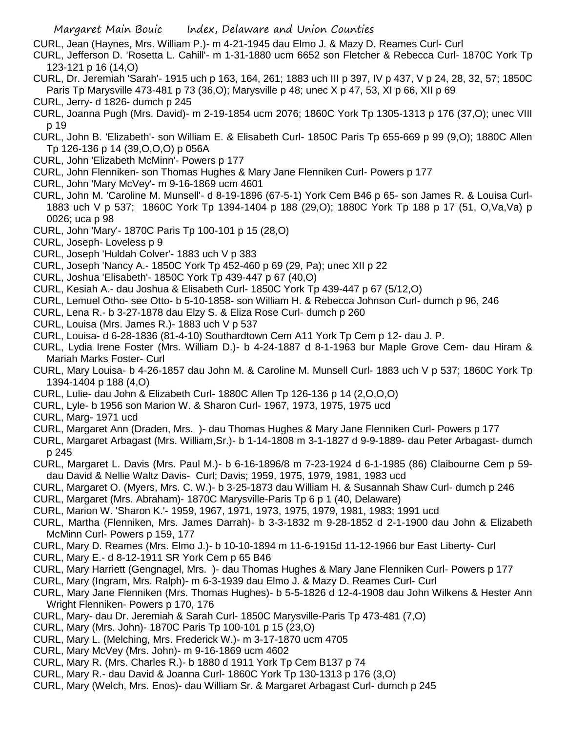CURL, Jean (Haynes, Mrs. William P.)- m 4-21-1945 dau Elmo J. & Mazy D. Reames Curl- Curl

- CURL, Jefferson D. 'Rosetta L. Cahill'- m 1-31-1880 ucm 6652 son Fletcher & Rebecca Curl- 1870C York Tp 123-121 p 16 (14,O)
- CURL, Dr. Jeremiah 'Sarah'- 1915 uch p 163, 164, 261; 1883 uch III p 397, IV p 437, V p 24, 28, 32, 57; 1850C Paris Tp Marysville 473-481 p 73 (36,O); Marysville p 48; unec X p 47, 53, XI p 66, XII p 69
- CURL, Jerry- d 1826- dumch p 245
- CURL, Joanna Pugh (Mrs. David)- m 2-19-1854 ucm 2076; 1860C York Tp 1305-1313 p 176 (37,O); unec VIII p 19
- CURL, John B. 'Elizabeth'- son William E. & Elisabeth Curl- 1850C Paris Tp 655-669 p 99 (9,O); 1880C Allen Tp 126-136 p 14 (39,O,O,O) p 056A
- CURL, John 'Elizabeth McMinn'- Powers p 177
- CURL, John Flenniken- son Thomas Hughes & Mary Jane Flenniken Curl- Powers p 177
- CURL, John 'Mary McVey'- m 9-16-1869 ucm 4601
- CURL, John M. 'Caroline M. Munsell'- d 8-19-1896 (67-5-1) York Cem B46 p 65- son James R. & Louisa Curl-1883 uch V p 537; 1860C York Tp 1394-1404 p 188 (29,O); 1880C York Tp 188 p 17 (51, O,Va,Va) p 0026; uca p 98
- CURL, John 'Mary'- 1870C Paris Tp 100-101 p 15 (28,O)
- CURL, Joseph- Loveless p 9
- CURL, Joseph 'Huldah Colver'- 1883 uch V p 383
- CURL, Joseph 'Nancy A.- 1850C York Tp 452-460 p 69 (29, Pa); unec XII p 22
- CURL, Joshua 'Elisabeth'- 1850C York Tp 439-447 p 67 (40,O)
- CURL, Kesiah A.- dau Joshua & Elisabeth Curl- 1850C York Tp 439-447 p 67 (5/12,O)
- CURL, Lemuel Otho- see Otto- b 5-10-1858- son William H. & Rebecca Johnson Curl- dumch p 96, 246
- CURL, Lena R.- b 3-27-1878 dau Elzy S. & Eliza Rose Curl- dumch p 260
- CURL, Louisa (Mrs. James R.)- 1883 uch V p 537
- CURL, Louisa- d 6-28-1836 (81-4-10) Southardtown Cem A11 York Tp Cem p 12- dau J. P.
- CURL, Lydia Irene Foster (Mrs. William D.)- b 4-24-1887 d 8-1-1963 bur Maple Grove Cem- dau Hiram & Mariah Marks Foster- Curl
- CURL, Mary Louisa- b 4-26-1857 dau John M. & Caroline M. Munsell Curl- 1883 uch V p 537; 1860C York Tp 1394-1404 p 188 (4,O)
- CURL, Lulie- dau John & Elizabeth Curl- 1880C Allen Tp 126-136 p 14 (2,O,O,O)
- CURL, Lyle- b 1956 son Marion W. & Sharon Curl- 1967, 1973, 1975, 1975 ucd
- CURL, Marg- 1971 ucd
- CURL, Margaret Ann (Draden, Mrs. )- dau Thomas Hughes & Mary Jane Flenniken Curl- Powers p 177
- CURL, Margaret Arbagast (Mrs. William,Sr.)- b 1-14-1808 m 3-1-1827 d 9-9-1889- dau Peter Arbagast- dumch p 245
- CURL, Margaret L. Davis (Mrs. Paul M.)- b 6-16-1896/8 m 7-23-1924 d 6-1-1985 (86) Claibourne Cem p 59 dau David & Nellie Waltz Davis- Curl; Davis; 1959, 1975, 1979, 1981, 1983 ucd
- CURL, Margaret O. (Myers, Mrs. C. W.)- b 3-25-1873 dau William H. & Susannah Shaw Curl- dumch p 246
- CURL, Margaret (Mrs. Abraham)- 1870C Marysville-Paris Tp 6 p 1 (40, Delaware)
- CURL, Marion W. 'Sharon K.'- 1959, 1967, 1971, 1973, 1975, 1979, 1981, 1983; 1991 ucd
- CURL, Martha (Flenniken, Mrs. James Darrah)- b 3-3-1832 m 9-28-1852 d 2-1-1900 dau John & Elizabeth McMinn Curl- Powers p 159, 177
- CURL, Mary D. Reames (Mrs. Elmo J.)- b 10-10-1894 m 11-6-1915d 11-12-1966 bur East Liberty- Curl
- CURL, Mary E.- d 8-12-1911 SR York Cem p 65 B46
- CURL, Mary Harriett (Gengnagel, Mrs. )- dau Thomas Hughes & Mary Jane Flenniken Curl- Powers p 177
- CURL, Mary (Ingram, Mrs. Ralph)- m 6-3-1939 dau Elmo J. & Mazy D. Reames Curl- Curl
- CURL, Mary Jane Flenniken (Mrs. Thomas Hughes)- b 5-5-1826 d 12-4-1908 dau John Wilkens & Hester Ann Wright Flenniken- Powers p 170, 176
- CURL, Mary- dau Dr. Jeremiah & Sarah Curl- 1850C Marysville-Paris Tp 473-481 (7,O)
- CURL, Mary (Mrs. John)- 1870C Paris Tp 100-101 p 15 (23,O)
- CURL, Mary L. (Melching, Mrs. Frederick W.)- m 3-17-1870 ucm 4705
- CURL, Mary McVey (Mrs. John)- m 9-16-1869 ucm 4602
- CURL, Mary R. (Mrs. Charles R.)- b 1880 d 1911 York Tp Cem B137 p 74
- CURL, Mary R.- dau David & Joanna Curl- 1860C York Tp 130-1313 p 176 (3,O)
- CURL, Mary (Welch, Mrs. Enos)- dau William Sr. & Margaret Arbagast Curl- dumch p 245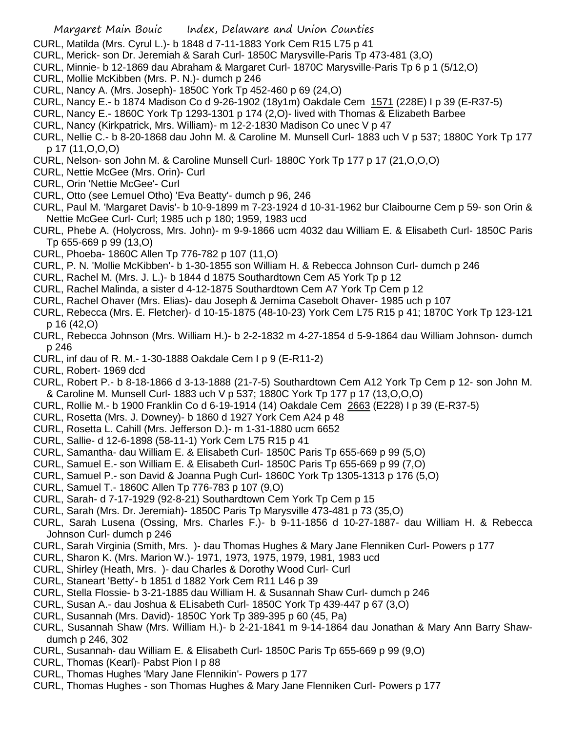- CURL, Matilda (Mrs. Cyrul L.)- b 1848 d 7-11-1883 York Cem R15 L75 p 41
- CURL, Merick- son Dr. Jeremiah & Sarah Curl- 1850C Marysville-Paris Tp 473-481 (3,O)
- CURL, Minnie- b 12-1869 dau Abraham & Margaret Curl- 1870C Marysville-Paris Tp 6 p 1 (5/12,O)
- CURL, Mollie McKibben (Mrs. P. N.)- dumch p 246
- CURL, Nancy A. (Mrs. Joseph)- 1850C York Tp 452-460 p 69 (24,O)
- CURL, Nancy E.- b 1874 Madison Co d 9-26-1902 (18y1m) Oakdale Cem 1571 (228E) I p 39 (E-R37-5)
- CURL, Nancy E.- 1860C York Tp 1293-1301 p 174 (2,O)- lived with Thomas & Elizabeth Barbee
- CURL, Nancy (Kirkpatrick, Mrs. William)- m 12-2-1830 Madison Co unec V p 47
- CURL, Nellie C.- b 8-20-1868 dau John M. & Caroline M. Munsell Curl- 1883 uch V p 537; 1880C York Tp 177 p 17 (11,O,O,O)
- CURL, Nelson- son John M. & Caroline Munsell Curl- 1880C York Tp 177 p 17 (21,O,O,O)
- CURL, Nettie McGee (Mrs. Orin)- Curl
- CURL, Orin 'Nettie McGee'- Curl
- CURL, Otto (see Lemuel Otho) 'Eva Beatty'- dumch p 96, 246
- CURL, Paul M. 'Margaret Davis'- b 10-9-1899 m 7-23-1924 d 10-31-1962 bur Claibourne Cem p 59- son Orin & Nettie McGee Curl- Curl; 1985 uch p 180; 1959, 1983 ucd
- CURL, Phebe A. (Holycross, Mrs. John)- m 9-9-1866 ucm 4032 dau William E. & Elisabeth Curl- 1850C Paris Tp 655-669 p 99 (13,O)
- CURL, Phoeba- 1860C Allen Tp 776-782 p 107 (11,O)
- CURL, P. N. 'Mollie McKibben'- b 1-30-1855 son William H. & Rebecca Johnson Curl- dumch p 246
- CURL, Rachel M. (Mrs. J. L.)- b 1844 d 1875 Southardtown Cem A5 York Tp p 12
- CURL, Rachel Malinda, a sister d 4-12-1875 Southardtown Cem A7 York Tp Cem p 12
- CURL, Rachel Ohaver (Mrs. Elias)- dau Joseph & Jemima Casebolt Ohaver- 1985 uch p 107
- CURL, Rebecca (Mrs. E. Fletcher)- d 10-15-1875 (48-10-23) York Cem L75 R15 p 41; 1870C York Tp 123-121 p 16 (42,O)
- CURL, Rebecca Johnson (Mrs. William H.)- b 2-2-1832 m 4-27-1854 d 5-9-1864 dau William Johnson- dumch p 246
- CURL, inf dau of R. M.- 1-30-1888 Oakdale Cem I p 9 (E-R11-2)
- CURL, Robert- 1969 dcd
- CURL, Robert P.- b 8-18-1866 d 3-13-1888 (21-7-5) Southardtown Cem A12 York Tp Cem p 12- son John M. & Caroline M. Munsell Curl- 1883 uch V p 537; 1880C York Tp 177 p 17 (13,O,O,O)
- CURL, Rollie M.- b 1900 Franklin Co d 6-19-1914 (14) Oakdale Cem 2663 (E228) I p 39 (E-R37-5)
- CURL, Rosetta (Mrs. J. Downey)- b 1860 d 1927 York Cem A24 p 48
- CURL, Rosetta L. Cahill (Mrs. Jefferson D.)- m 1-31-1880 ucm 6652
- CURL, Sallie- d 12-6-1898 (58-11-1) York Cem L75 R15 p 41
- CURL, Samantha- dau William E. & Elisabeth Curl- 1850C Paris Tp 655-669 p 99 (5,O)
- CURL, Samuel E.- son William E. & Elisabeth Curl- 1850C Paris Tp 655-669 p 99 (7,O)
- CURL, Samuel P.- son David & Joanna Pugh Curl- 1860C York Tp 1305-1313 p 176 (5,O)
- CURL, Samuel T.- 1860C Allen Tp 776-783 p 107 (9,O)
- CURL, Sarah- d 7-17-1929 (92-8-21) Southardtown Cem York Tp Cem p 15
- CURL, Sarah (Mrs. Dr. Jeremiah)- 1850C Paris Tp Marysville 473-481 p 73 (35,O)
- CURL, Sarah Lusena (Ossing, Mrs. Charles F.)- b 9-11-1856 d 10-27-1887- dau William H. & Rebecca Johnson Curl- dumch p 246
- CURL, Sarah Virginia (Smith, Mrs. )- dau Thomas Hughes & Mary Jane Flenniken Curl- Powers p 177
- CURL, Sharon K. (Mrs. Marion W.)- 1971, 1973, 1975, 1979, 1981, 1983 ucd
- CURL, Shirley (Heath, Mrs. )- dau Charles & Dorothy Wood Curl- Curl
- CURL, Staneart 'Betty'- b 1851 d 1882 York Cem R11 L46 p 39
- CURL, Stella Flossie- b 3-21-1885 dau William H. & Susannah Shaw Curl- dumch p 246
- CURL, Susan A.- dau Joshua & ELisabeth Curl- 1850C York Tp 439-447 p 67 (3,O)
- CURL, Susannah (Mrs. David)- 1850C York Tp 389-395 p 60 (45, Pa)
- CURL, Susannah Shaw (Mrs. William H.)- b 2-21-1841 m 9-14-1864 dau Jonathan & Mary Ann Barry Shawdumch p 246, 302
- CURL, Susannah- dau William E. & Elisabeth Curl- 1850C Paris Tp 655-669 p 99 (9,O)
- CURL, Thomas (Kearl)- Pabst Pion I p 88
- CURL, Thomas Hughes 'Mary Jane Flennikin'- Powers p 177
- CURL, Thomas Hughes son Thomas Hughes & Mary Jane Flenniken Curl- Powers p 177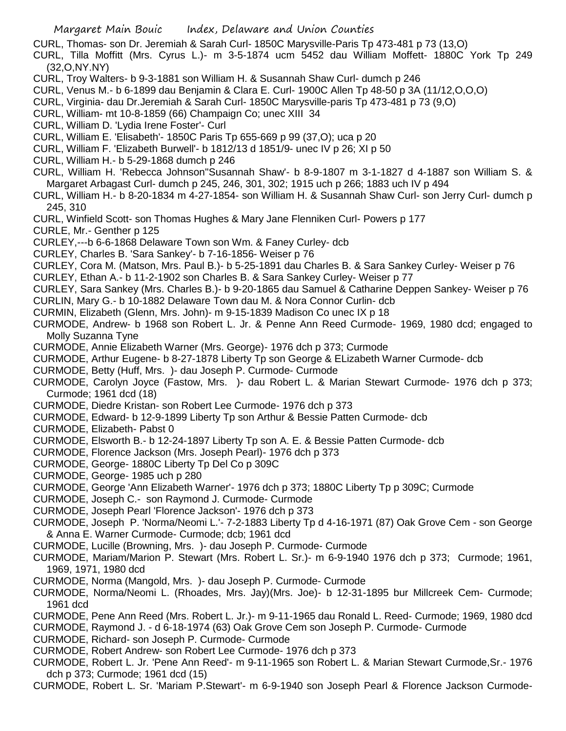CURL, Thomas- son Dr. Jeremiah & Sarah Curl- 1850C Marysville-Paris Tp 473-481 p 73 (13,O)

- CURL, Tilla Moffitt (Mrs. Cyrus L.)- m 3-5-1874 ucm 5452 dau William Moffett- 1880C York Tp 249 (32,O,NY.NY)
- CURL, Troy Walters- b 9-3-1881 son William H. & Susannah Shaw Curl- dumch p 246
- CURL, Venus M.- b 6-1899 dau Benjamin & Clara E. Curl- 1900C Allen Tp 48-50 p 3A (11/12,O,O,O)
- CURL, Virginia- dau Dr.Jeremiah & Sarah Curl- 1850C Marysville-paris Tp 473-481 p 73 (9,O)
- CURL, William- mt 10-8-1859 (66) Champaign Co; unec XIII 34
- CURL, William D. 'Lydia Irene Foster'- Curl
- CURL, William E. 'Elisabeth'- 1850C Paris Tp 655-669 p 99 (37,O); uca p 20
- CURL, William F. 'Elizabeth Burwell'- b 1812/13 d 1851/9- unec IV p 26; XI p 50
- CURL, William H.- b 5-29-1868 dumch p 246
- CURL, William H. 'Rebecca Johnson''Susannah Shaw'- b 8-9-1807 m 3-1-1827 d 4-1887 son William S. & Margaret Arbagast Curl- dumch p 245, 246, 301, 302; 1915 uch p 266; 1883 uch IV p 494
- CURL, William H.- b 8-20-1834 m 4-27-1854- son William H. & Susannah Shaw Curl- son Jerry Curl- dumch p 245, 310
- CURL, Winfield Scott- son Thomas Hughes & Mary Jane Flenniken Curl- Powers p 177
- CURLE, Mr.- Genther p 125
- CURLEY,---b 6-6-1868 Delaware Town son Wm. & Faney Curley- dcb
- CURLEY, Charles B. 'Sara Sankey'- b 7-16-1856- Weiser p 76
- CURLEY, Cora M. (Matson, Mrs. Paul B.)- b 5-25-1891 dau Charles B. & Sara Sankey Curley- Weiser p 76
- CURLEY, Ethan A.- b 11-2-1902 son Charles B. & Sara Sankey Curley- Weiser p 77
- CURLEY, Sara Sankey (Mrs. Charles B.)- b 9-20-1865 dau Samuel & Catharine Deppen Sankey- Weiser p 76
- CURLIN, Mary G.- b 10-1882 Delaware Town dau M. & Nora Connor Curlin- dcb
- CURMIN, Elizabeth (Glenn, Mrs. John)- m 9-15-1839 Madison Co unec IX p 18
- CURMODE, Andrew- b 1968 son Robert L. Jr. & Penne Ann Reed Curmode- 1969, 1980 dcd; engaged to Molly Suzanna Tyne
- CURMODE, Annie Elizabeth Warner (Mrs. George)- 1976 dch p 373; Curmode
- CURMODE, Arthur Eugene- b 8-27-1878 Liberty Tp son George & ELizabeth Warner Curmode- dcb
- CURMODE, Betty (Huff, Mrs. )- dau Joseph P. Curmode- Curmode
- CURMODE, Carolyn Joyce (Fastow, Mrs. )- dau Robert L. & Marian Stewart Curmode- 1976 dch p 373; Curmode; 1961 dcd (18)
- CURMODE, Diedre Kristan- son Robert Lee Curmode- 1976 dch p 373
- CURMODE, Edward- b 12-9-1899 Liberty Tp son Arthur & Bessie Patten Curmode- dcb
- CURMODE, Elizabeth- Pabst 0
- CURMODE, Elsworth B.- b 12-24-1897 Liberty Tp son A. E. & Bessie Patten Curmode- dcb
- CURMODE, Florence Jackson (Mrs. Joseph Pearl)- 1976 dch p 373
- CURMODE, George- 1880C Liberty Tp Del Co p 309C
- CURMODE, George- 1985 uch p 280
- CURMODE, George 'Ann Elizabeth Warner'- 1976 dch p 373; 1880C Liberty Tp p 309C; Curmode
- CURMODE, Joseph C.- son Raymond J. Curmode- Curmode
- CURMODE, Joseph Pearl 'Florence Jackson'- 1976 dch p 373
- CURMODE, Joseph P. 'Norma/Neomi L.'- 7-2-1883 Liberty Tp d 4-16-1971 (87) Oak Grove Cem son George & Anna E. Warner Curmode- Curmode; dcb; 1961 dcd
- CURMODE, Lucille (Browning, Mrs. )- dau Joseph P. Curmode- Curmode
- CURMODE, Mariam/Marion P. Stewart (Mrs. Robert L. Sr.)- m 6-9-1940 1976 dch p 373; Curmode; 1961, 1969, 1971, 1980 dcd
- CURMODE, Norma (Mangold, Mrs. )- dau Joseph P. Curmode- Curmode
- CURMODE, Norma/Neomi L. (Rhoades, Mrs. Jay)(Mrs. Joe)- b 12-31-1895 bur Millcreek Cem- Curmode; 1961 dcd
- CURMODE, Pene Ann Reed (Mrs. Robert L. Jr.)- m 9-11-1965 dau Ronald L. Reed- Curmode; 1969, 1980 dcd
- CURMODE, Raymond J. d 6-18-1974 (63) Oak Grove Cem son Joseph P. Curmode- Curmode
- CURMODE, Richard- son Joseph P. Curmode- Curmode
- CURMODE, Robert Andrew- son Robert Lee Curmode- 1976 dch p 373
- CURMODE, Robert L. Jr. 'Pene Ann Reed'- m 9-11-1965 son Robert L. & Marian Stewart Curmode,Sr.- 1976 dch p 373; Curmode; 1961 dcd (15)
- CURMODE, Robert L. Sr. 'Mariam P.Stewart'- m 6-9-1940 son Joseph Pearl & Florence Jackson Curmode-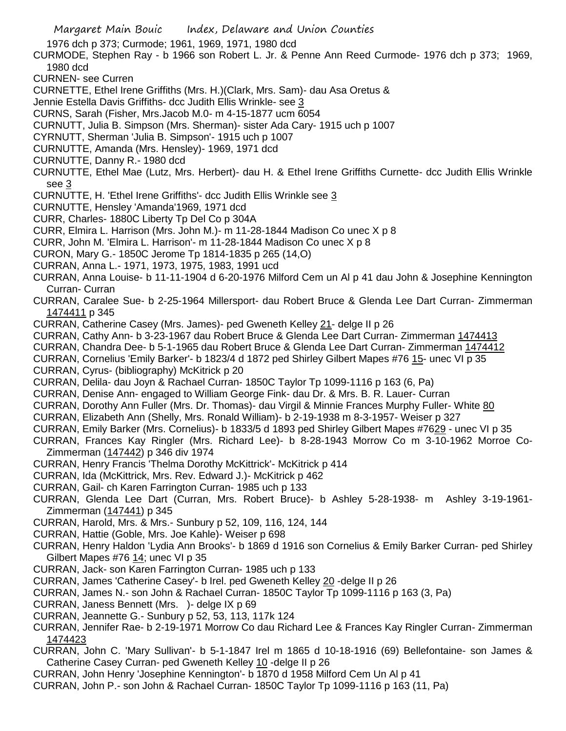1976 dch p 373; Curmode; 1961, 1969, 1971, 1980 dcd

- CURMODE, Stephen Ray b 1966 son Robert L. Jr. & Penne Ann Reed Curmode- 1976 dch p 373; 1969, 1980 dcd
- CURNEN- see Curren
- CURNETTE, Ethel Irene Griffiths (Mrs. H.)(Clark, Mrs. Sam)- dau Asa Oretus &
- Jennie Estella Davis Griffiths- dcc Judith Ellis Wrinkle- see 3
- CURNS, Sarah (Fisher, Mrs.Jacob M.0- m 4-15-1877 ucm 6054
- CURNUTT, Julia B. Simpson (Mrs. Sherman)- sister Ada Cary- 1915 uch p 1007
- CYRNUTT, Sherman 'Julia B. Simpson'- 1915 uch p 1007
- CURNUTTE, Amanda (Mrs. Hensley)- 1969, 1971 dcd
- CURNUTTE, Danny R.- 1980 dcd
- CURNUTTE, Ethel Mae (Lutz, Mrs. Herbert)- dau H. & Ethel Irene Griffiths Curnette- dcc Judith Ellis Wrinkle see 3
- CURNUTTE, H. 'Ethel Irene Griffiths'- dcc Judith Ellis Wrinkle see 3
- CURNUTTE, Hensley 'Amanda'1969, 1971 dcd
- CURR, Charles- 1880C Liberty Tp Del Co p 304A
- CURR, Elmira L. Harrison (Mrs. John M.)- m 11-28-1844 Madison Co unec X p 8
- CURR, John M. 'Elmira L. Harrison'- m 11-28-1844 Madison Co unec X p 8
- CURON, Mary G.- 1850C Jerome Tp 1814-1835 p 265 (14,O)
- CURRAN, Anna L.- 1971, 1973, 1975, 1983, 1991 ucd
- CURRAN, Anna Louise- b 11-11-1904 d 6-20-1976 Milford Cem un Al p 41 dau John & Josephine Kennington Curran- Curran
- CURRAN, Caralee Sue- b 2-25-1964 Millersport- dau Robert Bruce & Glenda Lee Dart Curran- Zimmerman 1474411 p 345
- CURRAN, Catherine Casey (Mrs. James)- ped Gweneth Kelley 21- delge II p 26
- CURRAN, Cathy Ann- b 3-23-1967 dau Robert Bruce & Glenda Lee Dart Curran- Zimmerman 1474413
- CURRAN, Chandra Dee- b 5-1-1965 dau Robert Bruce & Glenda Lee Dart Curran- Zimmerman 1474412
- CURRAN, Cornelius 'Emily Barker'- b 1823/4 d 1872 ped Shirley Gilbert Mapes #76 15- unec VI p 35
- CURRAN, Cyrus- (bibliography) McKitrick p 20
- CURRAN, Delila- dau Joyn & Rachael Curran- 1850C Taylor Tp 1099-1116 p 163 (6, Pa)
- CURRAN, Denise Ann- engaged to William George Fink- dau Dr. & Mrs. B. R. Lauer- Curran
- CURRAN, Dorothy Ann Fuller (Mrs. Dr. Thomas)- dau Virgil & Minnie Frances Murphy Fuller- White 80
- CURRAN, Elizabeth Ann (Shelly, Mrs. Ronald William)- b 2-19-1938 m 8-3-1957- Weiser p 327
- CURRAN, Emily Barker (Mrs. Cornelius)- b 1833/5 d 1893 ped Shirley Gilbert Mapes #7629 unec VI p 35
- CURRAN, Frances Kay Ringler (Mrs. Richard Lee)- b 8-28-1943 Morrow Co m 3-10-1962 Morroe Co-Zimmerman (147442) p 346 div 1974
- CURRAN, Henry Francis 'Thelma Dorothy McKittrick'- McKitrick p 414
- CURRAN, Ida (McKittrick, Mrs. Rev. Edward J.)- McKitrick p 462
- CURRAN, Gail- ch Karen Farrington Curran- 1985 uch p 133
- CURRAN, Glenda Lee Dart (Curran, Mrs. Robert Bruce)- b Ashley 5-28-1938- m Ashley 3-19-1961- Zimmerman (147441) p 345
- CURRAN, Harold, Mrs. & Mrs.- Sunbury p 52, 109, 116, 124, 144
- CURRAN, Hattie (Goble, Mrs. Joe Kahle)- Weiser p 698
- CURRAN, Henry Haldon 'Lydia Ann Brooks'- b 1869 d 1916 son Cornelius & Emily Barker Curran- ped Shirley Gilbert Mapes #76 14; unec VI p 35
- CURRAN, Jack- son Karen Farrington Curran- 1985 uch p 133
- CURRAN, James 'Catherine Casey'- b Irel. ped Gweneth Kelley 20 -delge II p 26
- CURRAN, James N.- son John & Rachael Curran- 1850C Taylor Tp 1099-1116 p 163 (3, Pa)
- CURRAN, Janess Bennett (Mrs. )- delge IX p 69
- CURRAN, Jeannette G.- Sunbury p 52, 53, 113, 117k 124
- CURRAN, Jennifer Rae- b 2-19-1971 Morrow Co dau Richard Lee & Frances Kay Ringler Curran- Zimmerman 1474423
- CURRAN, John C. 'Mary Sullivan'- b 5-1-1847 Irel m 1865 d 10-18-1916 (69) Bellefontaine- son James & Catherine Casey Curran- ped Gweneth Kelley 10 -delge II p 26
- CURRAN, John Henry 'Josephine Kennington'- b 1870 d 1958 Milford Cem Un Al p 41
- CURRAN, John P.- son John & Rachael Curran- 1850C Taylor Tp 1099-1116 p 163 (11, Pa)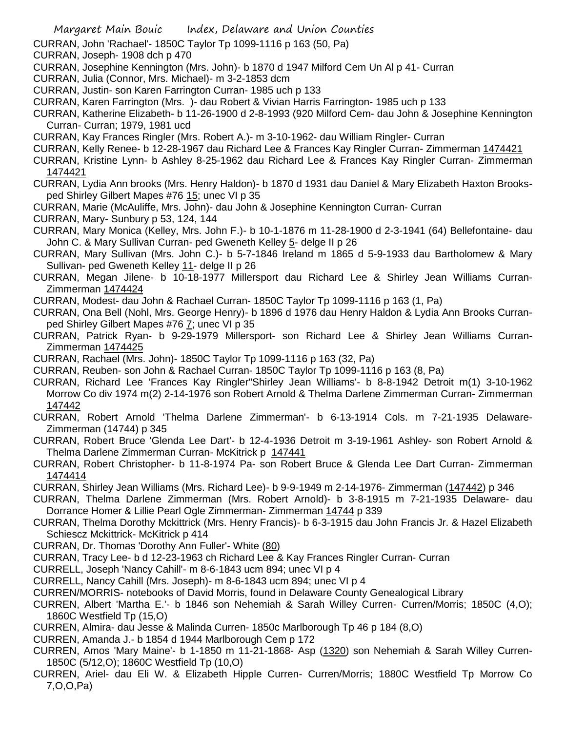- CURRAN, John 'Rachael'- 1850C Taylor Tp 1099-1116 p 163 (50, Pa)
- CURRAN, Joseph- 1908 dch p 470
- CURRAN, Josephine Kennington (Mrs. John)- b 1870 d 1947 Milford Cem Un Al p 41- Curran
- CURRAN, Julia (Connor, Mrs. Michael)- m 3-2-1853 dcm
- CURRAN, Justin- son Karen Farrington Curran- 1985 uch p 133
- CURRAN, Karen Farrington (Mrs. )- dau Robert & Vivian Harris Farrington- 1985 uch p 133
- CURRAN, Katherine Elizabeth- b 11-26-1900 d 2-8-1993 (920 Milford Cem- dau John & Josephine Kennington Curran- Curran; 1979, 1981 ucd
- CURRAN, Kay Frances Ringler (Mrs. Robert A.)- m 3-10-1962- dau William Ringler- Curran
- CURRAN, Kelly Renee- b 12-28-1967 dau Richard Lee & Frances Kay Ringler Curran- Zimmerman 1474421
- CURRAN, Kristine Lynn- b Ashley 8-25-1962 dau Richard Lee & Frances Kay Ringler Curran- Zimmerman 1474421
- CURRAN, Lydia Ann brooks (Mrs. Henry Haldon)- b 1870 d 1931 dau Daniel & Mary Elizabeth Haxton Brooksped Shirley Gilbert Mapes #76 15; unec VI p 35
- CURRAN, Marie (McAuliffe, Mrs. John)- dau John & Josephine Kennington Curran- Curran
- CURRAN, Mary- Sunbury p 53, 124, 144
- CURRAN, Mary Monica (Kelley, Mrs. John F.)- b 10-1-1876 m 11-28-1900 d 2-3-1941 (64) Bellefontaine- dau John C. & Mary Sullivan Curran- ped Gweneth Kelley 5- delge II p 26
- CURRAN, Mary Sullivan (Mrs. John C.)- b 5-7-1846 Ireland m 1865 d 5-9-1933 dau Bartholomew & Mary Sullivan- ped Gweneth Kelley 11- delge II p 26
- CURRAN, Megan Jilene- b 10-18-1977 Millersport dau Richard Lee & Shirley Jean Williams Curran-Zimmerman 1474424
- CURRAN, Modest- dau John & Rachael Curran- 1850C Taylor Tp 1099-1116 p 163 (1, Pa)
- CURRAN, Ona Bell (Nohl, Mrs. George Henry)- b 1896 d 1976 dau Henry Haldon & Lydia Ann Brooks Curranped Shirley Gilbert Mapes #76 7; unec VI p 35
- CURRAN, Patrick Ryan- b 9-29-1979 Millersport- son Richard Lee & Shirley Jean Williams Curran-Zimmerman 1474425
- CURRAN, Rachael (Mrs. John)- 1850C Taylor Tp 1099-1116 p 163 (32, Pa)
- CURRAN, Reuben- son John & Rachael Curran- 1850C Taylor Tp 1099-1116 p 163 (8, Pa)
- CURRAN, Richard Lee 'Frances Kay Ringler''Shirley Jean Williams'- b 8-8-1942 Detroit m(1) 3-10-1962 Morrow Co div 1974 m(2) 2-14-1976 son Robert Arnold & Thelma Darlene Zimmerman Curran- Zimmerman 147442
- CURRAN, Robert Arnold 'Thelma Darlene Zimmerman'- b 6-13-1914 Cols. m 7-21-1935 Delaware-Zimmerman (14744) p 345
- CURRAN, Robert Bruce 'Glenda Lee Dart'- b 12-4-1936 Detroit m 3-19-1961 Ashley- son Robert Arnold & Thelma Darlene Zimmerman Curran- McKitrick p 147441
- CURRAN, Robert Christopher- b 11-8-1974 Pa- son Robert Bruce & Glenda Lee Dart Curran- Zimmerman 1474414
- CURRAN, Shirley Jean Williams (Mrs. Richard Lee)- b 9-9-1949 m 2-14-1976- Zimmerman (147442) p 346
- CURRAN, Thelma Darlene Zimmerman (Mrs. Robert Arnold)- b 3-8-1915 m 7-21-1935 Delaware- dau Dorrance Homer & Lillie Pearl Ogle Zimmerman- Zimmerman 14744 p 339
- CURRAN, Thelma Dorothy Mckittrick (Mrs. Henry Francis)- b 6-3-1915 dau John Francis Jr. & Hazel Elizabeth Schiescz Mckittrick- McKitrick p 414
- CURRAN, Dr. Thomas 'Dorothy Ann Fuller'- White (80)
- CURRAN, Tracy Lee- b d 12-23-1963 ch Richard Lee & Kay Frances Ringler Curran- Curran
- CURRELL, Joseph 'Nancy Cahill'- m 8-6-1843 ucm 894; unec VI p 4
- CURRELL, Nancy Cahill (Mrs. Joseph)- m 8-6-1843 ucm 894; unec VI p 4
- CURREN/MORRIS- notebooks of David Morris, found in Delaware County Genealogical Library
- CURREN, Albert 'Martha E.'- b 1846 son Nehemiah & Sarah Willey Curren- Curren/Morris; 1850C (4,O); 1860C Westfield Tp (15,O)
- CURREN, Almira- dau Jesse & Malinda Curren- 1850c Marlborough Tp 46 p 184 (8,O)
- CURREN, Amanda J.- b 1854 d 1944 Marlborough Cem p 172
- CURREN, Amos 'Mary Maine'- b 1-1850 m 11-21-1868- Asp (1320) son Nehemiah & Sarah Willey Curren-1850C (5/12,O); 1860C Westfield Tp (10,O)
- CURREN, Ariel- dau Eli W. & Elizabeth Hipple Curren- Curren/Morris; 1880C Westfield Tp Morrow Co 7,O,O,Pa)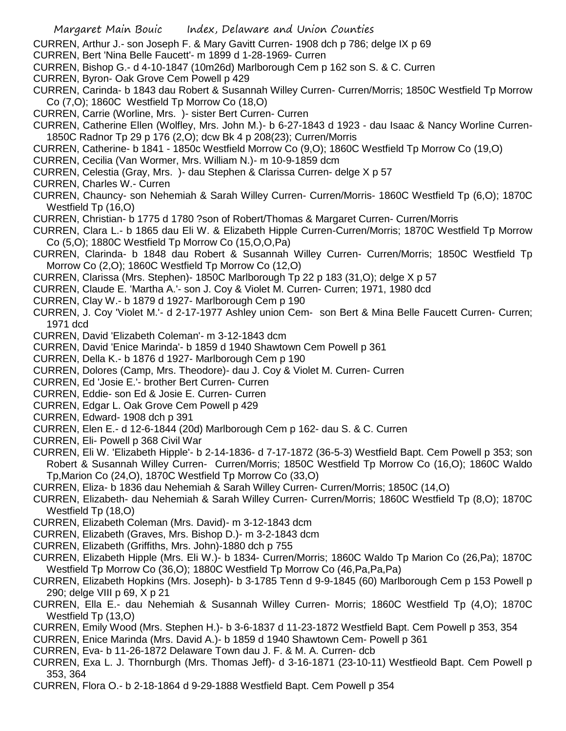CURREN, Arthur J.- son Joseph F. & Mary Gavitt Curren- 1908 dch p 786; delge IX p 69

- CURREN, Bert 'Nina Belle Faucett'- m 1899 d 1-28-1969- Curren
- CURREN, Bishop G.- d 4-10-1847 (10m26d) Marlborough Cem p 162 son S. & C. Curren
- CURREN, Byron- Oak Grove Cem Powell p 429
- CURREN, Carinda- b 1843 dau Robert & Susannah Willey Curren- Curren/Morris; 1850C Westfield Tp Morrow Co (7,O); 1860C Westfield Tp Morrow Co (18,O)
- CURREN, Carrie (Worline, Mrs. )- sister Bert Curren- Curren
- CURREN, Catherine Ellen (Wolfley, Mrs. John M.)- b 6-27-1843 d 1923 dau Isaac & Nancy Worline Curren-1850C Radnor Tp 29 p 176 (2,O); dcw Bk 4 p 208(23); Curren/Morris
- CURREN, Catherine- b 1841 1850c Westfield Morrow Co (9,O); 1860C Westfield Tp Morrow Co (19,O)
- CURREN, Cecilia (Van Wormer, Mrs. William N.)- m 10-9-1859 dcm
- CURREN, Celestia (Gray, Mrs. )- dau Stephen & Clarissa Curren- delge X p 57
- CURREN, Charles W.- Curren
- CURREN, Chauncy- son Nehemiah & Sarah Willey Curren- Curren/Morris- 1860C Westfield Tp (6,O); 1870C Westfield Tp (16,O)
- CURREN, Christian- b 1775 d 1780 ?son of Robert/Thomas & Margaret Curren- Curren/Morris
- CURREN, Clara L.- b 1865 dau Eli W. & Elizabeth Hipple Curren-Curren/Morris; 1870C Westfield Tp Morrow Co (5,O); 1880C Westfield Tp Morrow Co (15,O,O,Pa)
- CURREN, Clarinda- b 1848 dau Robert & Susannah Willey Curren- Curren/Morris; 1850C Westfield Tp Morrow Co (2,O); 1860C Westfield Tp Morrow Co (12,O)
- CURREN, Clarissa (Mrs. Stephen)- 1850C Marlborough Tp 22 p 183 (31,O); delge X p 57
- CURREN, Claude E. 'Martha A.'- son J. Coy & Violet M. Curren- Curren; 1971, 1980 dcd
- CURREN, Clay W.- b 1879 d 1927- Marlborough Cem p 190
- CURREN, J. Coy 'Violet M.'- d 2-17-1977 Ashley union Cem- son Bert & Mina Belle Faucett Curren- Curren; 1971 dcd
- CURREN, David 'Elizabeth Coleman'- m 3-12-1843 dcm
- CURREN, David 'Enice Marinda'- b 1859 d 1940 Shawtown Cem Powell p 361
- CURREN, Della K.- b 1876 d 1927- Marlborough Cem p 190
- CURREN, Dolores (Camp, Mrs. Theodore)- dau J. Coy & Violet M. Curren- Curren
- CURREN, Ed 'Josie E.'- brother Bert Curren- Curren
- CURREN, Eddie- son Ed & Josie E. Curren- Curren
- CURREN, Edgar L. Oak Grove Cem Powell p 429
- CURREN, Edward- 1908 dch p 391
- CURREN, Elen E.- d 12-6-1844 (20d) Marlborough Cem p 162- dau S. & C. Curren
- CURREN, Eli- Powell p 368 Civil War
- CURREN, Eli W. 'Elizabeth Hipple'- b 2-14-1836- d 7-17-1872 (36-5-3) Westfield Bapt. Cem Powell p 353; son Robert & Susannah Willey Curren- Curren/Morris; 1850C Westfield Tp Morrow Co (16,O); 1860C Waldo Tp,Marion Co (24,O), 1870C Westfield Tp Morrow Co (33,O)
- CURREN, Eliza- b 1836 dau Nehemiah & Sarah Willey Curren- Curren/Morris; 1850C (14,O)
- CURREN, Elizabeth- dau Nehemiah & Sarah Willey Curren- Curren/Morris; 1860C Westfield Tp (8,O); 1870C Westfield Tp (18,O)
- CURREN, Elizabeth Coleman (Mrs. David)- m 3-12-1843 dcm
- CURREN, Elizabeth (Graves, Mrs. Bishop D.)- m 3-2-1843 dcm
- CURREN, Elizabeth (Griffiths, Mrs. John)-1880 dch p 755
- CURREN, Elizabeth Hipple (Mrs. Eli W.)- b 1834- Curren/Morris; 1860C Waldo Tp Marion Co (26,Pa); 1870C Westfield Tp Morrow Co (36,O); 1880C Westfield Tp Morrow Co (46,Pa,Pa,Pa)
- CURREN, Elizabeth Hopkins (Mrs. Joseph)- b 3-1785 Tenn d 9-9-1845 (60) Marlborough Cem p 153 Powell p 290; delge VIII p 69, X p 21
- CURREN, Ella E.- dau Nehemiah & Susannah Willey Curren- Morris; 1860C Westfield Tp (4,O); 1870C Westfield Tp (13,O)
- CURREN, Emily Wood (Mrs. Stephen H.)- b 3-6-1837 d 11-23-1872 Westfield Bapt. Cem Powell p 353, 354
- CURREN, Enice Marinda (Mrs. David A.)- b 1859 d 1940 Shawtown Cem- Powell p 361
- CURREN, Eva- b 11-26-1872 Delaware Town dau J. F. & M. A. Curren- dcb
- CURREN, Exa L. J. Thornburgh (Mrs. Thomas Jeff)- d 3-16-1871 (23-10-11) Westfieold Bapt. Cem Powell p 353, 364
- CURREN, Flora O.- b 2-18-1864 d 9-29-1888 Westfield Bapt. Cem Powell p 354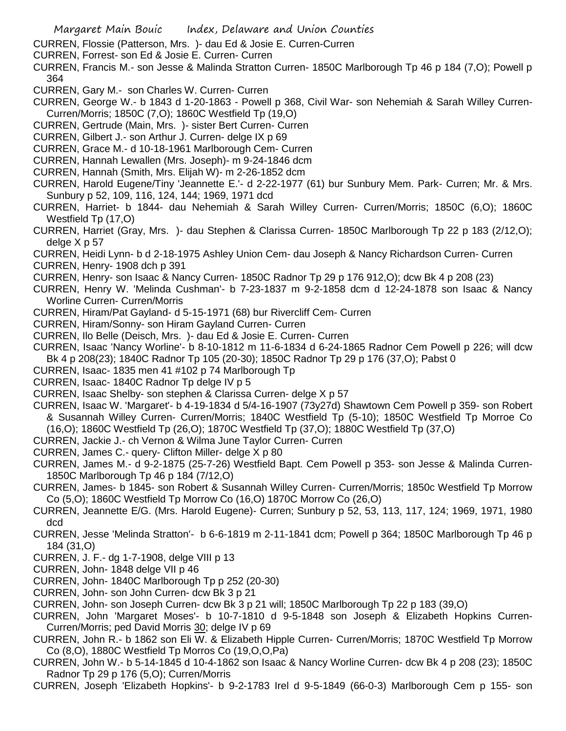- CURREN, Flossie (Patterson, Mrs. )- dau Ed & Josie E. Curren-Curren
- CURREN, Forrest- son Ed & Josie E. Curren- Curren
- CURREN, Francis M.- son Jesse & Malinda Stratton Curren- 1850C Marlborough Tp 46 p 184 (7,O); Powell p 364
- CURREN, Gary M.- son Charles W. Curren- Curren
- CURREN, George W.- b 1843 d 1-20-1863 Powell p 368, Civil War- son Nehemiah & Sarah Willey Curren-Curren/Morris; 1850C (7,O); 1860C Westfield Tp (19,O)
- CURREN, Gertrude (Main, Mrs. )- sister Bert Curren- Curren
- CURREN, Gilbert J.- son Arthur J. Curren- delge IX p 69
- CURREN, Grace M.- d 10-18-1961 Marlborough Cem- Curren
- CURREN, Hannah Lewallen (Mrs. Joseph)- m 9-24-1846 dcm
- CURREN, Hannah (Smith, Mrs. Elijah W)- m 2-26-1852 dcm
- CURREN, Harold Eugene/Tiny 'Jeannette E.'- d 2-22-1977 (61) bur Sunbury Mem. Park- Curren; Mr. & Mrs. Sunbury p 52, 109, 116, 124, 144; 1969, 1971 dcd
- CURREN, Harriet- b 1844- dau Nehemiah & Sarah Willey Curren- Curren/Morris; 1850C (6,O); 1860C Westfield Tp (17,O)
- CURREN, Harriet (Gray, Mrs. )- dau Stephen & Clarissa Curren- 1850C Marlborough Tp 22 p 183 (2/12,O); delge X p 57
- CURREN, Heidi Lynn- b d 2-18-1975 Ashley Union Cem- dau Joseph & Nancy Richardson Curren- Curren
- CURREN, Henry- 1908 dch p 391
- CURREN, Henry- son Isaac & Nancy Curren- 1850C Radnor Tp 29 p 176 912,O); dcw Bk 4 p 208 (23)
- CURREN, Henry W. 'Melinda Cushman'- b 7-23-1837 m 9-2-1858 dcm d 12-24-1878 son Isaac & Nancy Worline Curren- Curren/Morris
- CURREN, Hiram/Pat Gayland- d 5-15-1971 (68) bur Rivercliff Cem- Curren
- CURREN, Hiram/Sonny- son Hiram Gayland Curren- Curren
- CURREN, Ilo Belle (Deisch, Mrs. )- dau Ed & Josie E. Curren- Curren
- CURREN, Isaac 'Nancy Worline'- b 8-10-1812 m 11-6-1834 d 6-24-1865 Radnor Cem Powell p 226; will dcw Bk 4 p 208(23); 1840C Radnor Tp 105 (20-30); 1850C Radnor Tp 29 p 176 (37,O); Pabst 0
- CURREN, Isaac- 1835 men 41 #102 p 74 Marlborough Tp
- CURREN, Isaac- 1840C Radnor Tp delge IV p 5
- CURREN, Isaac Shelby- son stephen & Clarissa Curren- delge X p 57
- CURREN, Isaac W. 'Margaret'- b 4-19-1834 d 5/4-16-1907 (73y27d) Shawtown Cem Powell p 359- son Robert & Susannah Willey Curren- Curren/Morris; 1840C Westfield Tp (5-10); 1850C Westfield Tp Morroe Co (16,O); 1860C Westfield Tp (26,O); 1870C Westfield Tp (37,O); 1880C Westfield Tp (37,O)
- CURREN, Jackie J.- ch Vernon & Wilma June Taylor Curren- Curren
- CURREN, James C.- query- Clifton Miller- delge X p 80
- CURREN, James M.- d 9-2-1875 (25-7-26) Westfield Bapt. Cem Powell p 353- son Jesse & Malinda Curren-1850C Marlborough Tp 46 p 184 (7/12,O)
- CURREN, James- b 1845- son Robert & Susannah Willey Curren- Curren/Morris; 1850c Westfield Tp Morrow Co (5,O); 1860C Westfield Tp Morrow Co (16,O) 1870C Morrow Co (26,O)
- CURREN, Jeannette E/G. (Mrs. Harold Eugene)- Curren; Sunbury p 52, 53, 113, 117, 124; 1969, 1971, 1980 dcd
- CURREN, Jesse 'Melinda Stratton'- b 6-6-1819 m 2-11-1841 dcm; Powell p 364; 1850C Marlborough Tp 46 p 184 (31,O)
- CURREN, J. F.- dg 1-7-1908, delge VIII p 13
- CURREN, John- 1848 delge VII p 46
- CURREN, John- 1840C Marlborough Tp p 252 (20-30)
- CURREN, John- son John Curren- dcw Bk 3 p 21
- CURREN, John- son Joseph Curren- dcw Bk 3 p 21 will; 1850C Marlborough Tp 22 p 183 (39,O)
- CURREN, John 'Margaret Moses'- b 10-7-1810 d 9-5-1848 son Joseph & Elizabeth Hopkins Curren-Curren/Morris; ped David Morris 30; delge IV p 69
- CURREN, John R.- b 1862 son Eli W. & Elizabeth Hipple Curren- Curren/Morris; 1870C Westfield Tp Morrow Co (8,O), 1880C Westfield Tp Morros Co (19,O,O,Pa)
- CURREN, John W.- b 5-14-1845 d 10-4-1862 son Isaac & Nancy Worline Curren- dcw Bk 4 p 208 (23); 1850C Radnor Tp 29 p 176 (5,O); Curren/Morris
- CURREN, Joseph 'Elizabeth Hopkins'- b 9-2-1783 Irel d 9-5-1849 (66-0-3) Marlborough Cem p 155- son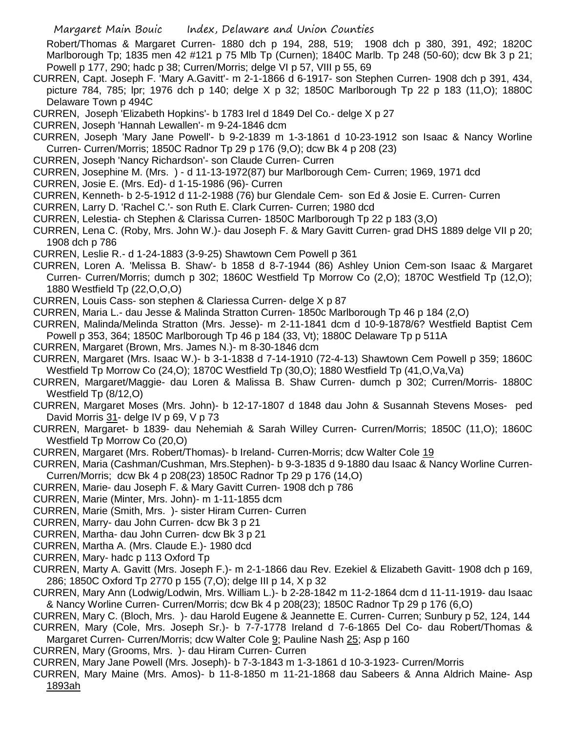Robert/Thomas & Margaret Curren- 1880 dch p 194, 288, 519; 1908 dch p 380, 391, 492; 1820C Marlborough Tp; 1835 men 42 #121 p 75 Mlb Tp (Curnen); 1840C Marlb. Tp 248 (50-60); dcw Bk 3 p 21; Powell p 177, 290; hadc p 38; Curren/Morris; delge VI p 57, VIII p 55, 69

- CURREN, Capt. Joseph F. 'Mary A.Gavitt'- m 2-1-1866 d 6-1917- son Stephen Curren- 1908 dch p 391, 434, picture 784, 785; lpr; 1976 dch p 140; delge X p 32; 1850C Marlborough Tp 22 p 183 (11,O); 1880C Delaware Town p 494C
- CURREN, Joseph 'Elizabeth Hopkins'- b 1783 Irel d 1849 Del Co.- delge X p 27
- CURREN, Joseph 'Hannah Lewallen'- m 9-24-1846 dcm

CURREN, Joseph 'Mary Jane Powell'- b 9-2-1839 m 1-3-1861 d 10-23-1912 son Isaac & Nancy Worline Curren- Curren/Morris; 1850C Radnor Tp 29 p 176 (9,O); dcw Bk 4 p 208 (23)

- CURREN, Joseph 'Nancy Richardson'- son Claude Curren- Curren
- CURREN, Josephine M. (Mrs. ) d 11-13-1972(87) bur Marlborough Cem- Curren; 1969, 1971 dcd
- CURREN, Josie E. (Mrs. Ed)- d 1-15-1986 (96)- Curren
- CURREN, Kenneth- b 2-5-1912 d 11-2-1988 (76) bur Glendale Cem- son Ed & Josie E. Curren- Curren
- CURREN, Larry D. 'Rachel C.'- son Ruth E. Clark Curren- Curren; 1980 dcd
- CURREN, Lelestia- ch Stephen & Clarissa Curren- 1850C Marlborough Tp 22 p 183 (3,O)
- CURREN, Lena C. (Roby, Mrs. John W.)- dau Joseph F. & Mary Gavitt Curren- grad DHS 1889 delge VII p 20; 1908 dch p 786
- CURREN, Leslie R.- d 1-24-1883 (3-9-25) Shawtown Cem Powell p 361
- CURREN, Loren A. 'Melissa B. Shaw'- b 1858 d 8-7-1944 (86) Ashley Union Cem-son Isaac & Margaret Curren- Curren/Morris; dumch p 302; 1860C Westfield Tp Morrow Co (2,O); 1870C Westfield Tp (12,O); 1880 Westfield Tp (22,O,O,O)
- CURREN, Louis Cass- son stephen & Clariessa Curren- delge X p 87
- CURREN, Maria L.- dau Jesse & Malinda Stratton Curren- 1850c Marlborough Tp 46 p 184 (2,O)
- CURREN, Malinda/Melinda Stratton (Mrs. Jesse)- m 2-11-1841 dcm d 10-9-1878/6? Westfield Baptist Cem Powell p 353, 364; 1850C Marlborough Tp 46 p 184 (33, Vt); 1880C Delaware Tp p 511A
- CURREN, Margaret (Brown, Mrs. James N.)- m 8-30-1846 dcm
- CURREN, Margaret (Mrs. Isaac W.)- b 3-1-1838 d 7-14-1910 (72-4-13) Shawtown Cem Powell p 359; 1860C Westfield Tp Morrow Co (24,O); 1870C Westfield Tp (30,O); 1880 Westfield Tp (41,O,Va,Va)
- CURREN, Margaret/Maggie- dau Loren & Malissa B. Shaw Curren- dumch p 302; Curren/Morris- 1880C Westfield Tp (8/12,O)
- CURREN, Margaret Moses (Mrs. John)- b 12-17-1807 d 1848 dau John & Susannah Stevens Moses- ped David Morris 31- delge IV p 69, V p 73
- CURREN, Margaret- b 1839- dau Nehemiah & Sarah Willey Curren- Curren/Morris; 1850C (11,O); 1860C Westfield Tp Morrow Co (20,O)
- CURREN, Margaret (Mrs. Robert/Thomas)- b Ireland- Curren-Morris; dcw Walter Cole 19
- CURREN, Maria (Cashman/Cushman, Mrs.Stephen)- b 9-3-1835 d 9-1880 dau Isaac & Nancy Worline Curren-Curren/Morris; dcw Bk 4 p 208(23) 1850C Radnor Tp 29 p 176 (14,O)
- CURREN, Marie- dau Joseph F. & Mary Gavitt Curren- 1908 dch p 786
- CURREN, Marie (Minter, Mrs. John)- m 1-11-1855 dcm
- CURREN, Marie (Smith, Mrs. )- sister Hiram Curren- Curren
- CURREN, Marry- dau John Curren- dcw Bk 3 p 21
- CURREN, Martha- dau John Curren- dcw Bk 3 p 21
- CURREN, Martha A. (Mrs. Claude E.)- 1980 dcd
- CURREN, Mary- hadc p 113 Oxford Tp
- CURREN, Marty A. Gavitt (Mrs. Joseph F.)- m 2-1-1866 dau Rev. Ezekiel & Elizabeth Gavitt- 1908 dch p 169, 286; 1850C Oxford Tp 2770 p 155 (7,O); delge III p 14, X p 32
- CURREN, Mary Ann (Lodwig/Lodwin, Mrs. William L.)- b 2-28-1842 m 11-2-1864 dcm d 11-11-1919- dau Isaac & Nancy Worline Curren- Curren/Morris; dcw Bk 4 p 208(23); 1850C Radnor Tp 29 p 176 (6,O)
- CURREN, Mary C. (Bloch, Mrs. )- dau Harold Eugene & Jeannette E. Curren- Curren; Sunbury p 52, 124, 144
- CURREN, Mary (Cole, Mrs. Joseph Sr.)- b 7-7-1778 Ireland d 7-6-1865 Del Co- dau Robert/Thomas & Margaret Curren- Curren/Morris; dcw Walter Cole 9; Pauline Nash 25; Asp p 160
- CURREN, Mary (Grooms, Mrs. )- dau Hiram Curren- Curren
- CURREN, Mary Jane Powell (Mrs. Joseph)- b 7-3-1843 m 1-3-1861 d 10-3-1923- Curren/Morris
- CURREN, Mary Maine (Mrs. Amos)- b 11-8-1850 m 11-21-1868 dau Sabeers & Anna Aldrich Maine- Asp 1893ah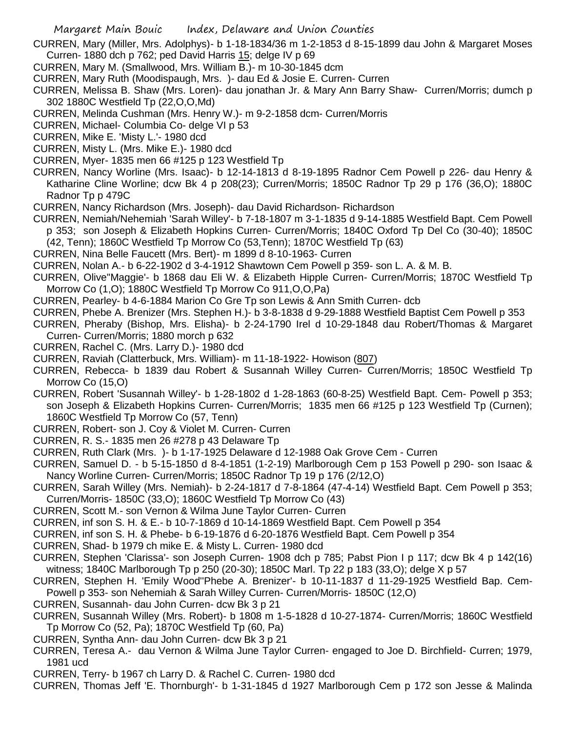- CURREN, Mary (Miller, Mrs. Adolphys)- b 1-18-1834/36 m 1-2-1853 d 8-15-1899 dau John & Margaret Moses Curren- 1880 dch p 762; ped David Harris 15; delge IV p 69
- CURREN, Mary M. (Smallwood, Mrs. William B.)- m 10-30-1845 dcm
- CURREN, Mary Ruth (Moodispaugh, Mrs. )- dau Ed & Josie E. Curren- Curren
- CURREN, Melissa B. Shaw (Mrs. Loren)- dau jonathan Jr. & Mary Ann Barry Shaw- Curren/Morris; dumch p 302 1880C Westfield Tp (22,O,O,Md)
- CURREN, Melinda Cushman (Mrs. Henry W.)- m 9-2-1858 dcm- Curren/Morris
- CURREN, Michael- Columbia Co- delge VI p 53
- CURREN, Mike E. 'Misty L.'- 1980 dcd
- CURREN, Misty L. (Mrs. Mike E.)- 1980 dcd
- CURREN, Myer- 1835 men 66 #125 p 123 Westfield Tp
- CURREN, Nancy Worline (Mrs. Isaac)- b 12-14-1813 d 8-19-1895 Radnor Cem Powell p 226- dau Henry & Katharine Cline Worline; dcw Bk 4 p 208(23); Curren/Morris; 1850C Radnor Tp 29 p 176 (36,O); 1880C Radnor Tp p 479C
- CURREN, Nancy Richardson (Mrs. Joseph)- dau David Richardson- Richardson
- CURREN, Nemiah/Nehemiah 'Sarah Willey'- b 7-18-1807 m 3-1-1835 d 9-14-1885 Westfield Bapt. Cem Powell p 353; son Joseph & Elizabeth Hopkins Curren- Curren/Morris; 1840C Oxford Tp Del Co (30-40); 1850C (42, Tenn); 1860C Westfield Tp Morrow Co (53,Tenn); 1870C Westfield Tp (63)
- CURREN, Nina Belle Faucett (Mrs. Bert)- m 1899 d 8-10-1963- Curren
- CURREN, Nolan A.- b 6-22-1902 d 3-4-1912 Shawtown Cem Powell p 359- son L. A. & M. B.
- CURREN, Olive"Maggie'- b 1868 dau Eli W. & Elizabeth Hipple Curren- Curren/Morris; 1870C Westfield Tp Morrow Co (1,O); 1880C Westfield Tp Morrow Co 911,O,O,Pa)
- CURREN, Pearley- b 4-6-1884 Marion Co Gre Tp son Lewis & Ann Smith Curren- dcb
- CURREN, Phebe A. Brenizer (Mrs. Stephen H.)- b 3-8-1838 d 9-29-1888 Westfield Baptist Cem Powell p 353
- CURREN, Pheraby (Bishop, Mrs. Elisha)- b 2-24-1790 Irel d 10-29-1848 dau Robert/Thomas & Margaret Curren- Curren/Morris; 1880 morch p 632
- CURREN, Rachel C. (Mrs. Larry D.)- 1980 dcd
- CURREN, Raviah (Clatterbuck, Mrs. William)- m 11-18-1922- Howison (807)
- CURREN, Rebecca- b 1839 dau Robert & Susannah Willey Curren- Curren/Morris; 1850C Westfield Tp Morrow Co (15,O)
- CURREN, Robert 'Susannah Willey'- b 1-28-1802 d 1-28-1863 (60-8-25) Westfield Bapt. Cem- Powell p 353; son Joseph & Elizabeth Hopkins Curren- Curren/Morris; 1835 men 66 #125 p 123 Westfield Tp (Curnen); 1860C Westfield Tp Morrow Co (57, Tenn)
- CURREN, Robert- son J. Coy & Violet M. Curren- Curren
- CURREN, R. S.- 1835 men 26 #278 p 43 Delaware Tp
- CURREN, Ruth Clark (Mrs. )- b 1-17-1925 Delaware d 12-1988 Oak Grove Cem Curren
- CURREN, Samuel D. b 5-15-1850 d 8-4-1851 (1-2-19) Marlborough Cem p 153 Powell p 290- son Isaac & Nancy Worline Curren- Curren/Morris; 1850C Radnor Tp 19 p 176 (2/12,O)
- CURREN, Sarah Willey (Mrs. Nemiah)- b 2-24-1817 d 7-8-1864 (47-4-14) Westfield Bapt. Cem Powell p 353; Curren/Morris- 1850C (33,O); 1860C Westfield Tp Morrow Co (43)
- CURREN, Scott M.- son Vernon & Wilma June Taylor Curren- Curren
- CURREN, inf son S. H. & E.- b 10-7-1869 d 10-14-1869 Westfield Bapt. Cem Powell p 354
- CURREN, inf son S. H. & Phebe- b 6-19-1876 d 6-20-1876 Westfield Bapt. Cem Powell p 354
- CURREN, Shad- b 1979 ch mike E. & Misty L. Curren- 1980 dcd
- CURREN, Stephen 'Clarissa'- son Joseph Curren- 1908 dch p 785; Pabst Pion I p 117; dcw Bk 4 p 142(16) witness; 1840C Marlborough Tp p 250 (20-30); 1850C Marl. Tp 22 p 183 (33,O); delge X p 57
- CURREN, Stephen H. 'Emily Wood''Phebe A. Brenizer'- b 10-11-1837 d 11-29-1925 Westfield Bap. Cem-Powell p 353- son Nehemiah & Sarah Willey Curren- Curren/Morris- 1850C (12,O)
- CURREN, Susannah- dau John Curren- dcw Bk 3 p 21
- CURREN, Susannah Willey (Mrs. Robert)- b 1808 m 1-5-1828 d 10-27-1874- Curren/Morris; 1860C Westfield Tp Morrow Co (52, Pa); 1870C Westfield Tp (60, Pa)
- CURREN, Syntha Ann- dau John Curren- dcw Bk 3 p 21
- CURREN, Teresa A.- dau Vernon & Wilma June Taylor Curren- engaged to Joe D. Birchfield- Curren; 1979, 1981 ucd
- CURREN, Terry- b 1967 ch Larry D. & Rachel C. Curren- 1980 dcd
- CURREN, Thomas Jeff 'E. Thornburgh'- b 1-31-1845 d 1927 Marlborough Cem p 172 son Jesse & Malinda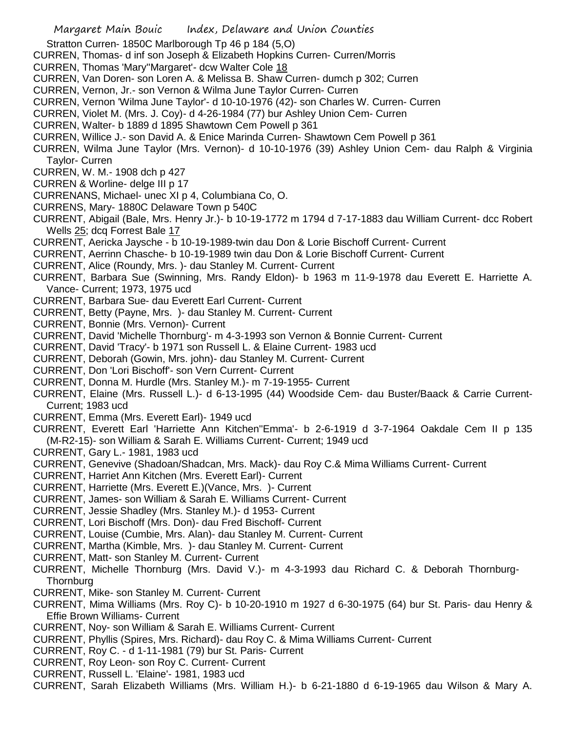Stratton Curren- 1850C Marlborough Tp 46 p 184 (5,O)

- CURREN, Thomas- d inf son Joseph & Elizabeth Hopkins Curren- Curren/Morris
- CURREN, Thomas 'Mary''Margaret'- dcw Walter Cole 18
- CURREN, Van Doren- son Loren A. & Melissa B. Shaw Curren- dumch p 302; Curren
- CURREN, Vernon, Jr.- son Vernon & Wilma June Taylor Curren- Curren
- CURREN, Vernon 'Wilma June Taylor'- d 10-10-1976 (42)- son Charles W. Curren- Curren
- CURREN, Violet M. (Mrs. J. Coy)- d 4-26-1984 (77) bur Ashley Union Cem- Curren
- CURREN, Walter- b 1889 d 1895 Shawtown Cem Powell p 361
- CURREN, Willice J.- son David A. & Enice Marinda Curren- Shawtown Cem Powell p 361
- CURREN, Wilma June Taylor (Mrs. Vernon)- d 10-10-1976 (39) Ashley Union Cem- dau Ralph & Virginia Taylor- Curren
- CURREN, W. M.- 1908 dch p 427
- CURREN & Worline- delge III p 17
- CURRENANS, Michael- unec XI p 4, Columbiana Co, O.
- CURRENS, Mary- 1880C Delaware Town p 540C
- CURRENT, Abigail (Bale, Mrs. Henry Jr.)- b 10-19-1772 m 1794 d 7-17-1883 dau William Current- dcc Robert Wells 25; dcq Forrest Bale 17
- CURRENT, Aericka Jaysche b 10-19-1989-twin dau Don & Lorie Bischoff Current- Current
- CURRENT, Aerrinn Chasche- b 10-19-1989 twin dau Don & Lorie Bischoff Current- Current
- CURRENT, Alice (Roundy, Mrs. )- dau Stanley M. Current- Current
- CURRENT, Barbara Sue (Swinning, Mrs. Randy Eldon)- b 1963 m 11-9-1978 dau Everett E. Harriette A. Vance- Current; 1973, 1975 ucd
- CURRENT, Barbara Sue- dau Everett Earl Current- Current
- CURRENT, Betty (Payne, Mrs. )- dau Stanley M. Current- Current
- CURRENT, Bonnie (Mrs. Vernon)- Current
- CURRENT, David 'Michelle Thornburg'- m 4-3-1993 son Vernon & Bonnie Current- Current
- CURRENT, David 'Tracy'- b 1971 son Russell L. & Elaine Current- 1983 ucd
- CURRENT, Deborah (Gowin, Mrs. john)- dau Stanley M. Current- Current
- CURRENT, Don 'Lori Bischoff'- son Vern Current- Current
- CURRENT, Donna M. Hurdle (Mrs. Stanley M.)- m 7-19-1955- Current
- CURRENT, Elaine (Mrs. Russell L.)- d 6-13-1995 (44) Woodside Cem- dau Buster/Baack & Carrie Current-Current; 1983 ucd
- CURRENT, Emma (Mrs. Everett Earl)- 1949 ucd
- CURRENT, Everett Earl 'Harriette Ann Kitchen''Emma'- b 2-6-1919 d 3-7-1964 Oakdale Cem II p 135 (M-R2-15)- son William & Sarah E. Williams Current- Current; 1949 ucd
- CURRENT, Gary L.- 1981, 1983 ucd
- CURRENT, Genevive (Shadoan/Shadcan, Mrs. Mack)- dau Roy C.& Mima Williams Current- Current
- CURRENT, Harriet Ann Kitchen (Mrs. Everett Earl)- Current
- CURRENT, Harriette (Mrs. Everett E.)(Vance, Mrs. )- Current
- CURRENT, James- son William & Sarah E. Williams Current- Current
- CURRENT, Jessie Shadley (Mrs. Stanley M.)- d 1953- Current
- CURRENT, Lori Bischoff (Mrs. Don)- dau Fred Bischoff- Current
- CURRENT, Louise (Cumbie, Mrs. Alan)- dau Stanley M. Current- Current
- CURRENT, Martha (Kimble, Mrs. )- dau Stanley M. Current- Current
- CURRENT, Matt- son Stanley M. Current- Current
- CURRENT, Michelle Thornburg (Mrs. David V.)- m 4-3-1993 dau Richard C. & Deborah Thornburg-**Thornburg**
- CURRENT, Mike- son Stanley M. Current- Current
- CURRENT, Mima Williams (Mrs. Roy C)- b 10-20-1910 m 1927 d 6-30-1975 (64) bur St. Paris- dau Henry & Effie Brown Williams- Current
- CURRENT, Noy- son William & Sarah E. Williams Current- Current
- CURRENT, Phyllis (Spires, Mrs. Richard)- dau Roy C. & Mima Williams Current- Current
- CURRENT, Roy C. d 1-11-1981 (79) bur St. Paris- Current
- CURRENT, Roy Leon- son Roy C. Current- Current
- CURRENT, Russell L. 'Elaine'- 1981, 1983 ucd
- CURRENT, Sarah Elizabeth Williams (Mrs. William H.)- b 6-21-1880 d 6-19-1965 dau Wilson & Mary A.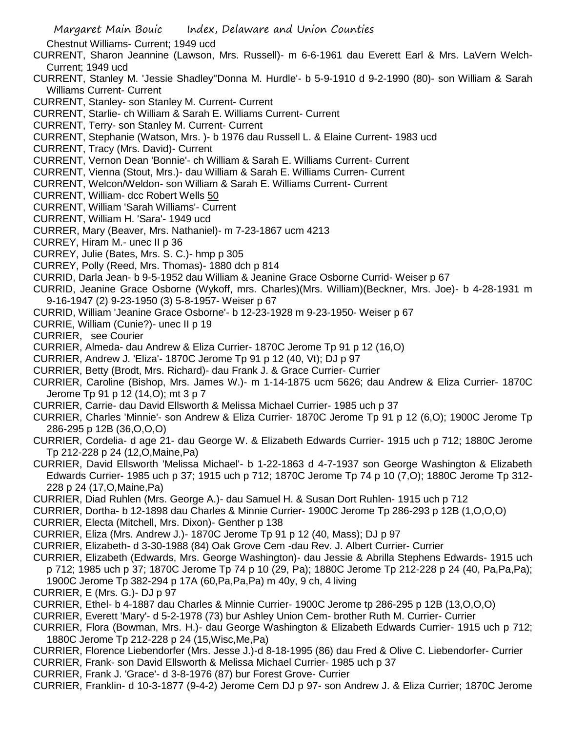Chestnut Williams- Current; 1949 ucd

- CURRENT, Sharon Jeannine (Lawson, Mrs. Russell)- m 6-6-1961 dau Everett Earl & Mrs. LaVern Welch-Current; 1949 ucd
- CURRENT, Stanley M. 'Jessie Shadley''Donna M. Hurdle'- b 5-9-1910 d 9-2-1990 (80)- son William & Sarah Williams Current- Current
- CURRENT, Stanley- son Stanley M. Current- Current
- CURRENT, Starlie- ch William & Sarah E. Williams Current- Current
- CURRENT, Terry- son Stanley M. Current- Current
- CURRENT, Stephanie (Watson, Mrs. )- b 1976 dau Russell L. & Elaine Current- 1983 ucd
- CURRENT, Tracy (Mrs. David)- Current
- CURRENT, Vernon Dean 'Bonnie'- ch William & Sarah E. Williams Current- Current
- CURRENT, Vienna (Stout, Mrs.)- dau William & Sarah E. Williams Curren- Current
- CURRENT, Welcon/Weldon- son William & Sarah E. Williams Current- Current
- CURRENT, William- dcc Robert Wells 50
- CURRENT, William 'Sarah Williams'- Current
- CURRENT, William H. 'Sara'- 1949 ucd
- CURRER, Mary (Beaver, Mrs. Nathaniel)- m 7-23-1867 ucm 4213
- CURREY, Hiram M.- unec II p 36
- CURREY, Julie (Bates, Mrs. S. C.)- hmp p 305
- CURREY, Polly (Reed, Mrs. Thomas)- 1880 dch p 814
- CURRID, Darla Jean- b 9-5-1952 dau William & Jeanine Grace Osborne Currid- Weiser p 67
- CURRID, Jeanine Grace Osborne (Wykoff, mrs. Charles)(Mrs. William)(Beckner, Mrs. Joe)- b 4-28-1931 m
- 9-16-1947 (2) 9-23-1950 (3) 5-8-1957- Weiser p 67
- CURRID, William 'Jeanine Grace Osborne'- b 12-23-1928 m 9-23-1950- Weiser p 67
- CURRIE, William (Cunie?)- unec II p 19
- CURRIER, see Courier
- CURRIER, Almeda- dau Andrew & Eliza Currier- 1870C Jerome Tp 91 p 12 (16,O)
- CURRIER, Andrew J. 'Eliza'- 1870C Jerome Tp 91 p 12 (40, Vt); DJ p 97
- CURRIER, Betty (Brodt, Mrs. Richard)- dau Frank J. & Grace Currier- Currier
- CURRIER, Caroline (Bishop, Mrs. James W.)- m 1-14-1875 ucm 5626; dau Andrew & Eliza Currier- 1870C Jerome Tp 91 p 12 (14,O); mt 3 p 7
- CURRIER, Carrie- dau David Ellsworth & Melissa Michael Currier- 1985 uch p 37
- CURRIER, Charles 'Minnie'- son Andrew & Eliza Currier- 1870C Jerome Tp 91 p 12 (6,O); 1900C Jerome Tp 286-295 p 12B (36,O,O,O)
- CURRIER, Cordelia- d age 21- dau George W. & Elizabeth Edwards Currier- 1915 uch p 712; 1880C Jerome Tp 212-228 p 24 (12,O,Maine,Pa)
- CURRIER, David Ellsworth 'Melissa Michael'- b 1-22-1863 d 4-7-1937 son George Washington & Elizabeth Edwards Currier- 1985 uch p 37; 1915 uch p 712; 1870C Jerome Tp 74 p 10 (7,O); 1880C Jerome Tp 312- 228 p 24 (17,O,Maine,Pa)
- CURRIER, Diad Ruhlen (Mrs. George A.)- dau Samuel H. & Susan Dort Ruhlen- 1915 uch p 712
- CURRIER, Dortha- b 12-1898 dau Charles & Minnie Currier- 1900C Jerome Tp 286-293 p 12B (1,O,O,O)
- CURRIER, Electa (Mitchell, Mrs. Dixon)- Genther p 138
- CURRIER, Eliza (Mrs. Andrew J.)- 1870C Jerome Tp 91 p 12 (40, Mass); DJ p 97
- CURRIER, Elizabeth- d 3-30-1988 (84) Oak Grove Cem -dau Rev. J. Albert Currier- Currier
- CURRIER, Elizabeth (Edwards, Mrs. George Washington)- dau Jessie & Abrilla Stephens Edwards- 1915 uch p 712; 1985 uch p 37; 1870C Jerome Tp 74 p 10 (29, Pa); 1880C Jerome Tp 212-228 p 24 (40, Pa,Pa,Pa); 1900C Jerome Tp 382-294 p 17A (60,Pa,Pa,Pa) m 40y, 9 ch, 4 living
- CURRIER, E (Mrs. G.)- DJ p 97
- CURRIER, Ethel- b 4-1887 dau Charles & Minnie Currier- 1900C Jerome tp 286-295 p 12B (13,O,O,O)
- CURRIER, Everett 'Mary'- d 5-2-1978 (73) bur Ashley Union Cem- brother Ruth M. Currier- Currier
- CURRIER, Flora (Bowman, Mrs. H.)- dau George Washington & Elizabeth Edwards Currier- 1915 uch p 712; 1880C Jerome Tp 212-228 p 24 (15,Wisc,Me,Pa)
- CURRIER, Florence Liebendorfer (Mrs. Jesse J.)-d 8-18-1995 (86) dau Fred & Olive C. Liebendorfer- Currier
- CURRIER, Frank- son David Ellsworth & Melissa Michael Currier- 1985 uch p 37
- CURRIER, Frank J. 'Grace'- d 3-8-1976 (87) bur Forest Grove- Currier
- CURRIER, Franklin- d 10-3-1877 (9-4-2) Jerome Cem DJ p 97- son Andrew J. & Eliza Currier; 1870C Jerome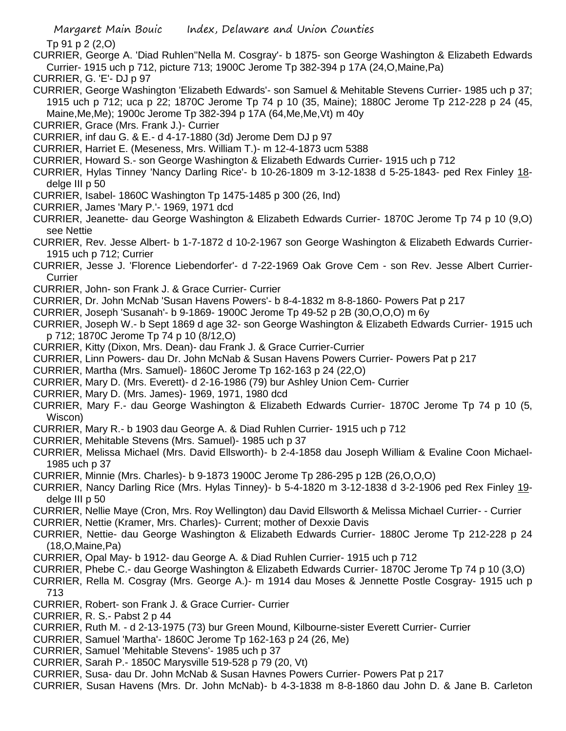Tp 91 p 2 (2,O)

- CURRIER, George A. 'Diad Ruhlen''Nella M. Cosgray'- b 1875- son George Washington & Elizabeth Edwards Currier- 1915 uch p 712, picture 713; 1900C Jerome Tp 382-394 p 17A (24,O,Maine,Pa)
- CURRIER, G. 'E'- DJ p 97
- CURRIER, George Washington 'Elizabeth Edwards'- son Samuel & Mehitable Stevens Currier- 1985 uch p 37; 1915 uch p 712; uca p 22; 1870C Jerome Tp 74 p 10 (35, Maine); 1880C Jerome Tp 212-228 p 24 (45, Maine,Me,Me); 1900c Jerome Tp 382-394 p 17A (64,Me,Me,Vt) m 40y
- CURRIER, Grace (Mrs. Frank J.)- Currier
- CURRIER, inf dau G. & E.- d 4-17-1880 (3d) Jerome Dem DJ p 97
- CURRIER, Harriet E. (Meseness, Mrs. William T.)- m 12-4-1873 ucm 5388
- CURRIER, Howard S.- son George Washington & Elizabeth Edwards Currier- 1915 uch p 712
- CURRIER, Hylas Tinney 'Nancy Darling Rice'- b 10-26-1809 m 3-12-1838 d 5-25-1843- ped Rex Finley 18 delge III p 50
- CURRIER, Isabel- 1860C Washington Tp 1475-1485 p 300 (26, Ind)
- CURRIER, James 'Mary P.'- 1969, 1971 dcd
- CURRIER, Jeanette- dau George Washington & Elizabeth Edwards Currier- 1870C Jerome Tp 74 p 10 (9,O) see Nettie
- CURRIER, Rev. Jesse Albert- b 1-7-1872 d 10-2-1967 son George Washington & Elizabeth Edwards Currier-1915 uch p 712; Currier
- CURRIER, Jesse J. 'Florence Liebendorfer'- d 7-22-1969 Oak Grove Cem son Rev. Jesse Albert Currier-**Currier**
- CURRIER, John- son Frank J. & Grace Currier- Currier
- CURRIER, Dr. John McNab 'Susan Havens Powers'- b 8-4-1832 m 8-8-1860- Powers Pat p 217
- CURRIER, Joseph 'Susanah'- b 9-1869- 1900C Jerome Tp 49-52 p 2B (30,O,O,O) m 6y
- CURRIER, Joseph W.- b Sept 1869 d age 32- son George Washington & Elizabeth Edwards Currier- 1915 uch p 712; 1870C Jerome Tp 74 p 10 (8/12,O)
- CURRIER, Kitty (Dixon, Mrs. Dean)- dau Frank J. & Grace Currier-Currier
- CURRIER, Linn Powers- dau Dr. John McNab & Susan Havens Powers Currier- Powers Pat p 217
- CURRIER, Martha (Mrs. Samuel)- 1860C Jerome Tp 162-163 p 24 (22,O)
- CURRIER, Mary D. (Mrs. Everett)- d 2-16-1986 (79) bur Ashley Union Cem- Currier
- CURRIER, Mary D. (Mrs. James)- 1969, 1971, 1980 dcd
- CURRIER, Mary F.- dau George Washington & Elizabeth Edwards Currier- 1870C Jerome Tp 74 p 10 (5, Wiscon)
- CURRIER, Mary R.- b 1903 dau George A. & Diad Ruhlen Currier- 1915 uch p 712
- CURRIER, Mehitable Stevens (Mrs. Samuel)- 1985 uch p 37
- CURRIER, Melissa Michael (Mrs. David Ellsworth)- b 2-4-1858 dau Joseph William & Evaline Coon Michael-1985 uch p 37
- CURRIER, Minnie (Mrs. Charles)- b 9-1873 1900C Jerome Tp 286-295 p 12B (26,O,O,O)
- CURRIER, Nancy Darling Rice (Mrs. Hylas Tinney)- b 5-4-1820 m 3-12-1838 d 3-2-1906 ped Rex Finley 19 delge III p 50
- CURRIER, Nellie Maye (Cron, Mrs. Roy Wellington) dau David Ellsworth & Melissa Michael Currier- Currier
- CURRIER, Nettie (Kramer, Mrs. Charles)- Current; mother of Dexxie Davis
- CURRIER, Nettie- dau George Washington & Elizabeth Edwards Currier- 1880C Jerome Tp 212-228 p 24 (18,O,Maine,Pa)
- CURRIER, Opal May- b 1912- dau George A. & Diad Ruhlen Currier- 1915 uch p 712
- CURRIER, Phebe C.- dau George Washington & Elizabeth Edwards Currier- 1870C Jerome Tp 74 p 10 (3,O)
- CURRIER, Rella M. Cosgray (Mrs. George A.)- m 1914 dau Moses & Jennette Postle Cosgray- 1915 uch p 713
- CURRIER, Robert- son Frank J. & Grace Currier- Currier
- CURRIER, R. S.- Pabst 2 p 44
- CURRIER, Ruth M. d 2-13-1975 (73) bur Green Mound, Kilbourne-sister Everett Currier- Currier
- CURRIER, Samuel 'Martha'- 1860C Jerome Tp 162-163 p 24 (26, Me)
- CURRIER, Samuel 'Mehitable Stevens'- 1985 uch p 37
- CURRIER, Sarah P.- 1850C Marysville 519-528 p 79 (20, Vt)
- CURRIER, Susa- dau Dr. John McNab & Susan Havnes Powers Currier- Powers Pat p 217
- CURRIER, Susan Havens (Mrs. Dr. John McNab)- b 4-3-1838 m 8-8-1860 dau John D. & Jane B. Carleton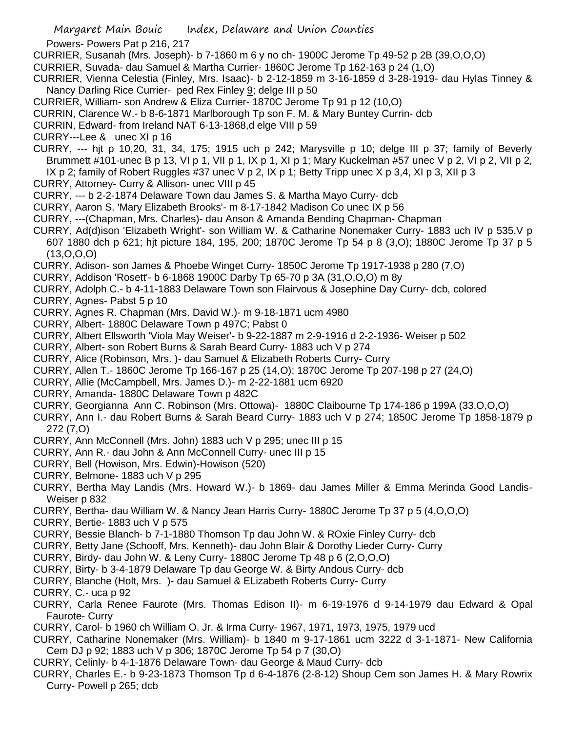```
 Margaret Main Bouic Index, Delaware and Union Counties
```
Powers- Powers Pat p 216, 217

CURRIER, Susanah (Mrs. Joseph)- b 7-1860 m 6 y no ch- 1900C Jerome Tp 49-52 p 2B (39,O,O,O)

- CURRIER, Suvada- dau Samuel & Martha Currier- 1860C Jerome Tp 162-163 p 24 (1,O)
- CURRIER, Vienna Celestia (Finley, Mrs. Isaac)- b 2-12-1859 m 3-16-1859 d 3-28-1919- dau Hylas Tinney & Nancy Darling Rice Currier- ped Rex Finley 9; delge III p 50
- CURRIER, William- son Andrew & Eliza Currier- 1870C Jerome Tp 91 p 12 (10,O)
- CURRIN, Clarence W.- b 8-6-1871 Marlborough Tp son F. M. & Mary Buntey Currin- dcb
- CURRIN, Edward- from Ireland NAT 6-13-1868,d elge VIII p 59
- CURRY---Lee & unec XI p 16
- CURRY, --- hjt p 10,20, 31, 34, 175; 1915 uch p 242; Marysville p 10; delge III p 37; family of Beverly Brummett #101-unec B p 13, VI p 1, VII p 1, IX p 1, XI p 1; Mary Kuckelman #57 unec V p 2, VI p 2, VII p 2, IX p 2; family of Robert Ruggles #37 unec V p 2, IX p 1; Betty Tripp unec X p 3,4, XI p 3, XII p 3
- CURRY, Attorney- Curry & Allison- unec VIII p 45
- CURRY, --- b 2-2-1874 Delaware Town dau James S. & Martha Mayo Curry- dcb
- CURRY, Aaron S. 'Mary Elizabeth Brooks'- m 8-17-1842 Madison Co unec IX p 56
- CURRY, ---(Chapman, Mrs. Charles)- dau Anson & Amanda Bending Chapman- Chapman
- CURRY, Ad(d)ison 'Elizabeth Wright'- son William W. & Catharine Nonemaker Curry- 1883 uch IV p 535,V p 607 1880 dch p 621; hjt picture 184, 195, 200; 1870C Jerome Tp 54 p 8 (3,O); 1880C Jerome Tp 37 p 5 (13,O,O,O)
- CURRY, Adison- son James & Phoebe Winget Curry- 1850C Jerome Tp 1917-1938 p 280 (7,O)
- CURRY, Addison 'Rosett'- b 6-1868 1900C Darby Tp 65-70 p 3A (31,O,O,O) m 8y
- CURRY, Adolph C.- b 4-11-1883 Delaware Town son Flairvous & Josephine Day Curry- dcb, colored
- CURRY, Agnes- Pabst 5 p 10
- CURRY, Agnes R. Chapman (Mrs. David W.)- m 9-18-1871 ucm 4980
- CURRY, Albert- 1880C Delaware Town p 497C; Pabst 0
- CURRY, Albert Ellsworth 'Viola May Weiser'- b 9-22-1887 m 2-9-1916 d 2-2-1936- Weiser p 502
- CURRY, Albert- son Robert Burns & Sarah Beard Curry- 1883 uch V p 274
- CURRY, Alice (Robinson, Mrs. )- dau Samuel & Elizabeth Roberts Curry- Curry
- CURRY, Allen T.- 1860C Jerome Tp 166-167 p 25 (14,O); 1870C Jerome Tp 207-198 p 27 (24,O)
- CURRY, Allie (McCampbell, Mrs. James D.)- m 2-22-1881 ucm 6920
- CURRY, Amanda- 1880C Delaware Town p 482C
- CURRY, Georgianna Ann C. Robinson (Mrs. Ottowa)- 1880C Claibourne Tp 174-186 p 199A (33,O,O,O)
- CURRY, Ann I.- dau Robert Burns & Sarah Beard Curry- 1883 uch V p 274; 1850C Jerome Tp 1858-1879 p 272 (7,O)
- CURRY, Ann McConnell (Mrs. John) 1883 uch V p 295; unec III p 15
- CURRY, Ann R.- dau John & Ann McConnell Curry- unec III p 15
- CURRY, Bell (Howison, Mrs. Edwin)-Howison (520)
- CURRY, Belmone- 1883 uch V p 295
- CURRY, Bertha May Landis (Mrs. Howard W.)- b 1869- dau James Miller & Emma Merinda Good Landis-Weiser p 832
- CURRY, Bertha- dau William W. & Nancy Jean Harris Curry- 1880C Jerome Tp 37 p 5 (4,O,O,O)
- CURRY, Bertie- 1883 uch V p 575
- CURRY, Bessie Blanch- b 7-1-1880 Thomson Tp dau John W. & ROxie Finley Curry- dcb
- CURRY, Betty Jane (Schooff, Mrs. Kenneth)- dau John Blair & Dorothy Lieder Curry- Curry
- CURRY, Birdy- dau John W. & Leny Curry- 1880C Jerome Tp 48 p 6 (2,O,O,O)
- CURRY, Birty- b 3-4-1879 Delaware Tp dau George W. & Birty Andous Curry- dcb
- CURRY, Blanche (Holt, Mrs. )- dau Samuel & ELizabeth Roberts Curry- Curry
- CURRY, C.- uca p 92
- CURRY, Carla Renee Faurote (Mrs. Thomas Edison II)- m 6-19-1976 d 9-14-1979 dau Edward & Opal Faurote- Curry
- CURRY, Carol- b 1960 ch William O. Jr. & Irma Curry- 1967, 1971, 1973, 1975, 1979 ucd
- CURRY, Catharine Nonemaker (Mrs. William)- b 1840 m 9-17-1861 ucm 3222 d 3-1-1871- New California Cem DJ p 92; 1883 uch V p 306; 1870C Jerome Tp 54 p 7 (30,O)
- CURRY, Celinly- b 4-1-1876 Delaware Town- dau George & Maud Curry- dcb
- CURRY, Charles E.- b 9-23-1873 Thomson Tp d 6-4-1876 (2-8-12) Shoup Cem son James H. & Mary Rowrix Curry- Powell p 265; dcb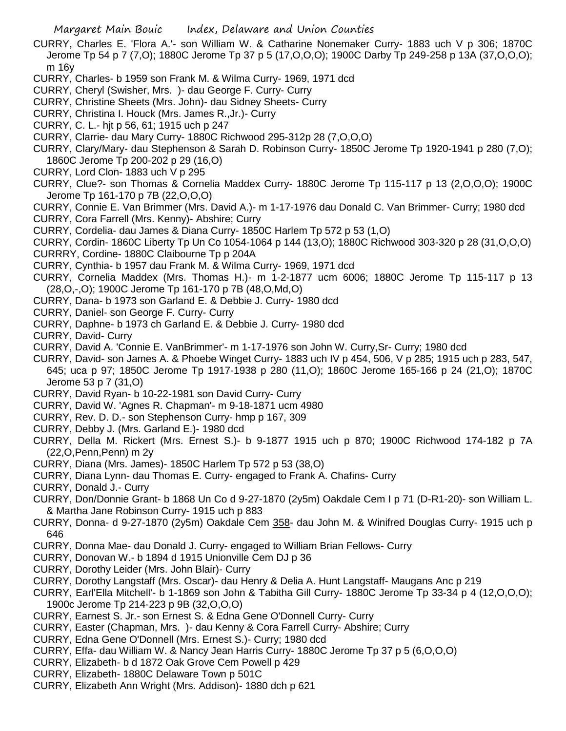- CURRY, Charles E. 'Flora A.'- son William W. & Catharine Nonemaker Curry- 1883 uch V p 306; 1870C Jerome Tp 54 p 7 (7,O); 1880C Jerome Tp 37 p 5 (17,O,O,O); 1900C Darby Tp 249-258 p 13A (37,O,O,O); m 16y
- CURRY, Charles- b 1959 son Frank M. & Wilma Curry- 1969, 1971 dcd
- CURRY, Cheryl (Swisher, Mrs. )- dau George F. Curry- Curry
- CURRY, Christine Sheets (Mrs. John)- dau Sidney Sheets- Curry
- CURRY, Christina I. Houck (Mrs. James R.,Jr.)- Curry
- CURRY, C. L.- hjt p 56, 61; 1915 uch p 247
- CURRY, Clarrie- dau Mary Curry- 1880C Richwood 295-312p 28 (7,O,O,O)
- CURRY, Clary/Mary- dau Stephenson & Sarah D. Robinson Curry- 1850C Jerome Tp 1920-1941 p 280 (7,O); 1860C Jerome Tp 200-202 p 29 (16,O)
- CURRY, Lord Clon- 1883 uch V p 295
- CURRY, Clue?- son Thomas & Cornelia Maddex Curry- 1880C Jerome Tp 115-117 p 13 (2,O,O,O); 1900C Jerome Tp 161-170 p 7B (22,O,O,O)
- CURRY, Connie E. Van Brimmer (Mrs. David A.)- m 1-17-1976 dau Donald C. Van Brimmer- Curry; 1980 dcd CURRY, Cora Farrell (Mrs. Kenny)- Abshire; Curry
- CURRY, Cordelia- dau James & Diana Curry- 1850C Harlem Tp 572 p 53 (1,O)
- CURRY, Cordin- 1860C Liberty Tp Un Co 1054-1064 p 144 (13,O); 1880C Richwood 303-320 p 28 (31,O,O,O)
- CURRRY, Cordine- 1880C Claibourne Tp p 204A
- CURRY, Cynthia- b 1957 dau Frank M. & Wilma Curry- 1969, 1971 dcd
- CURRY, Cornelia Maddex (Mrs. Thomas H.)- m 1-2-1877 ucm 6006; 1880C Jerome Tp 115-117 p 13 (28,O,-,O); 1900C Jerome Tp 161-170 p 7B (48,O,Md,O)
- CURRY, Dana- b 1973 son Garland E. & Debbie J. Curry- 1980 dcd
- CURRY, Daniel- son George F. Curry- Curry
- CURRY, Daphne- b 1973 ch Garland E. & Debbie J. Curry- 1980 dcd
- CURRY, David- Curry
- CURRY, David A. 'Connie E. VanBrimmer'- m 1-17-1976 son John W. Curry,Sr- Curry; 1980 dcd
- CURRY, David- son James A. & Phoebe Winget Curry- 1883 uch IV p 454, 506, V p 285; 1915 uch p 283, 547, 645; uca p 97; 1850C Jerome Tp 1917-1938 p 280 (11,O); 1860C Jerome 165-166 p 24 (21,O); 1870C Jerome 53 p 7 (31,O)
- CURRY, David Ryan- b 10-22-1981 son David Curry- Curry
- CURRY, David W. 'Agnes R. Chapman'- m 9-18-1871 ucm 4980
- CURRY, Rev. D. D.- son Stephenson Curry- hmp p 167, 309
- CURRY, Debby J. (Mrs. Garland E.)- 1980 dcd
- CURRY, Della M. Rickert (Mrs. Ernest S.)- b 9-1877 1915 uch p 870; 1900C Richwood 174-182 p 7A (22,O,Penn,Penn) m 2y
- CURRY, Diana (Mrs. James)- 1850C Harlem Tp 572 p 53 (38,O)
- CURRY, Diana Lynn- dau Thomas E. Curry- engaged to Frank A. Chafins- Curry
- CURRY, Donald J.- Curry
- CURRY, Don/Donnie Grant- b 1868 Un Co d 9-27-1870 (2y5m) Oakdale Cem I p 71 (D-R1-20)- son William L. & Martha Jane Robinson Curry- 1915 uch p 883
- CURRY, Donna- d 9-27-1870 (2y5m) Oakdale Cem 358- dau John M. & Winifred Douglas Curry- 1915 uch p 646
- CURRY, Donna Mae- dau Donald J. Curry- engaged to William Brian Fellows- Curry
- CURRY, Donovan W.- b 1894 d 1915 Unionville Cem DJ p 36
- CURRY, Dorothy Leider (Mrs. John Blair)- Curry
- CURRY, Dorothy Langstaff (Mrs. Oscar)- dau Henry & Delia A. Hunt Langstaff- Maugans Anc p 219
- CURRY, Earl'Ella Mitchell'- b 1-1869 son John & Tabitha Gill Curry- 1880C Jerome Tp 33-34 p 4 (12,O,O,O); 1900c Jerome Tp 214-223 p 9B (32,O,O,O)
- CURRY, Earnest S. Jr.- son Ernest S. & Edna Gene O'Donnell Curry- Curry
- CURRY, Easter (Chapman, Mrs. )- dau Kenny & Cora Farrell Curry- Abshire; Curry
- CURRY, Edna Gene O'Donnell (Mrs. Ernest S.)- Curry; 1980 dcd
- CURRY, Effa- dau William W. & Nancy Jean Harris Curry- 1880C Jerome Tp 37 p 5 (6,O,O,O)
- CURRY, Elizabeth- b d 1872 Oak Grove Cem Powell p 429
- CURRY, Elizabeth- 1880C Delaware Town p 501C
- CURRY, Elizabeth Ann Wright (Mrs. Addison)- 1880 dch p 621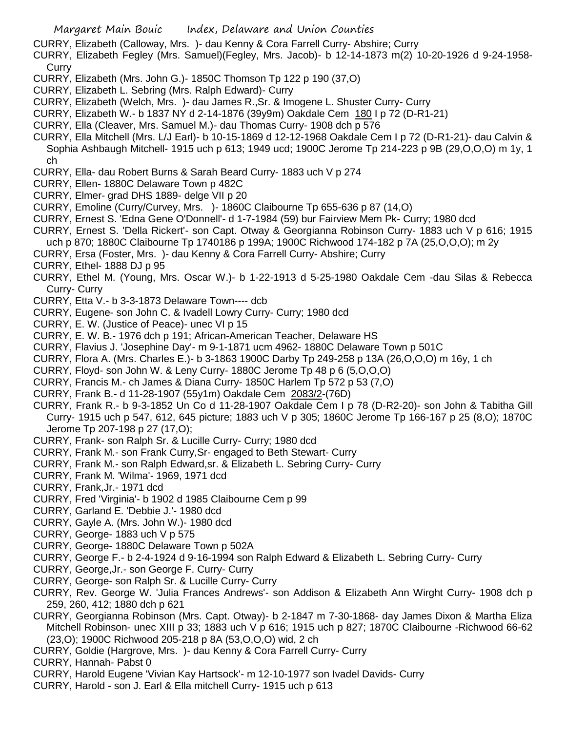- CURRY, Elizabeth (Calloway, Mrs. )- dau Kenny & Cora Farrell Curry- Abshire; Curry
- CURRY, Elizabeth Fegley (Mrs. Samuel)(Fegley, Mrs. Jacob)- b 12-14-1873 m(2) 10-20-1926 d 9-24-1958- **Curry**
- CURRY, Elizabeth (Mrs. John G.)- 1850C Thomson Tp 122 p 190 (37,O)
- CURRY, Elizabeth L. Sebring (Mrs. Ralph Edward)- Curry
- CURRY, Elizabeth (Welch, Mrs. )- dau James R.,Sr. & Imogene L. Shuster Curry- Curry
- CURRY, Elizabeth W.- b 1837 NY d 2-14-1876 (39y9m) Oakdale Cem 180 I p 72 (D-R1-21)
- CURRY, Ella (Cleaver, Mrs. Samuel M.)- dau Thomas Curry- 1908 dch p 576
- CURRY, Ella Mitchell (Mrs. L/J Earl)- b 10-15-1869 d 12-12-1968 Oakdale Cem I p 72 (D-R1-21)- dau Calvin & Sophia Ashbaugh Mitchell- 1915 uch p 613; 1949 ucd; 1900C Jerome Tp 214-223 p 9B (29,O,O,O) m 1y, 1 ch
- CURRY, Ella- dau Robert Burns & Sarah Beard Curry- 1883 uch V p 274
- CURRY, Ellen- 1880C Delaware Town p 482C
- CURRY, Elmer- grad DHS 1889- delge VII p 20
- CURRY, Emoline (Curry/Curvey, Mrs. )- 1860C Claibourne Tp 655-636 p 87 (14,O)
- CURRY, Ernest S. 'Edna Gene O'Donnell'- d 1-7-1984 (59) bur Fairview Mem Pk- Curry; 1980 dcd
- CURRY, Ernest S. 'Della Rickert'- son Capt. Otway & Georgianna Robinson Curry- 1883 uch V p 616; 1915 uch p 870; 1880C Claibourne Tp 1740186 p 199A; 1900C Richwood 174-182 p 7A (25,O,O,O); m 2y
- CURRY, Ersa (Foster, Mrs. )- dau Kenny & Cora Farrell Curry- Abshire; Curry
- CURRY, Ethel- 1888 DJ p 95
- CURRY, Ethel M. (Young, Mrs. Oscar W.)- b 1-22-1913 d 5-25-1980 Oakdale Cem -dau Silas & Rebecca Curry- Curry
- CURRY, Etta V.- b 3-3-1873 Delaware Town---- dcb
- CURRY, Eugene- son John C. & Ivadell Lowry Curry- Curry; 1980 dcd
- CURRY, E. W. (Justice of Peace)- unec VI p 15
- CURRY, E. W. B.- 1976 dch p 191; African-American Teacher, Delaware HS
- CURRY, Flavius J. 'Josephine Day'- m 9-1-1871 ucm 4962- 1880C Delaware Town p 501C
- CURRY, Flora A. (Mrs. Charles E.)- b 3-1863 1900C Darby Tp 249-258 p 13A (26,O,O,O) m 16y, 1 ch
- CURRY, Floyd- son John W. & Leny Curry- 1880C Jerome Tp 48 p 6 (5,O,O,O)
- CURRY, Francis M.- ch James & Diana Curry- 1850C Harlem Tp 572 p 53 (7,O)
- CURRY, Frank B.- d 11-28-1907 (55y1m) Oakdale Cem 2083/2-(76D)
- CURRY, Frank R.- b 9-3-1852 Un Co d 11-28-1907 Oakdale Cem I p 78 (D-R2-20)- son John & Tabitha Gill Curry- 1915 uch p 547, 612, 645 picture; 1883 uch V p 305; 1860C Jerome Tp 166-167 p 25 (8,O); 1870C Jerome Tp 207-198 p 27 (17,O);
- CURRY, Frank- son Ralph Sr. & Lucille Curry- Curry; 1980 dcd
- CURRY, Frank M.- son Frank Curry,Sr- engaged to Beth Stewart- Curry
- CURRY, Frank M.- son Ralph Edward,sr. & Elizabeth L. Sebring Curry- Curry
- CURRY, Frank M. 'Wilma'- 1969, 1971 dcd
- CURRY, Frank,Jr.- 1971 dcd
- CURRY, Fred 'Virginia'- b 1902 d 1985 Claibourne Cem p 99
- CURRY, Garland E. 'Debbie J.'- 1980 dcd
- CURRY, Gayle A. (Mrs. John W.)- 1980 dcd
- CURRY, George- 1883 uch V p 575
- CURRY, George- 1880C Delaware Town p 502A
- CURRY, George F.- b 2-4-1924 d 9-16-1994 son Ralph Edward & Elizabeth L. Sebring Curry- Curry
- CURRY, George,Jr.- son George F. Curry- Curry
- CURRY, George- son Ralph Sr. & Lucille Curry- Curry
- CURRY, Rev. George W. 'Julia Frances Andrews'- son Addison & Elizabeth Ann Wirght Curry- 1908 dch p 259, 260, 412; 1880 dch p 621
- CURRY, Georgianna Robinson (Mrs. Capt. Otway)- b 2-1847 m 7-30-1868- day James Dixon & Martha Eliza Mitchell Robinson- unec XIII p 33; 1883 uch V p 616; 1915 uch p 827; 1870C Claibourne -Richwood 66-62 (23,O); 1900C Richwood 205-218 p 8A (53,O,O,O) wid, 2 ch
- CURRY, Goldie (Hargrove, Mrs. )- dau Kenny & Cora Farrell Curry- Curry
- CURRY, Hannah- Pabst 0
- CURRY, Harold Eugene 'Vivian Kay Hartsock'- m 12-10-1977 son Ivadel Davids- Curry
- CURRY, Harold son J. Earl & Ella mitchell Curry- 1915 uch p 613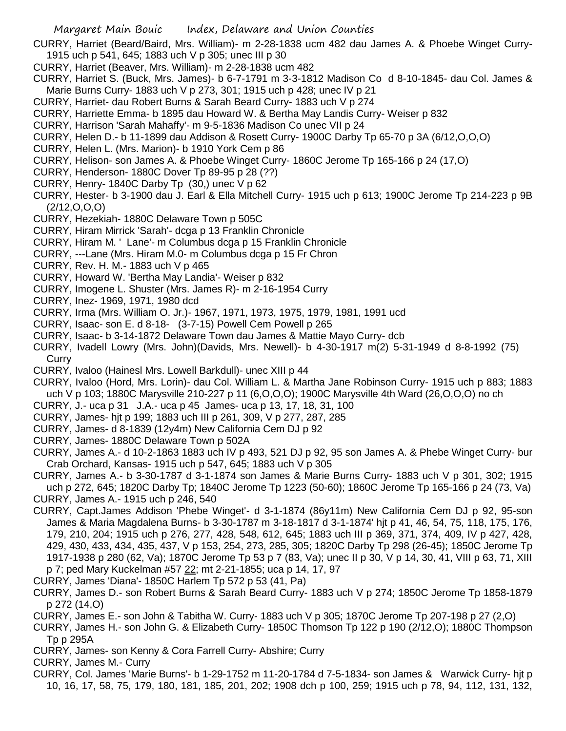- CURRY, Harriet (Beard/Baird, Mrs. William)- m 2-28-1838 ucm 482 dau James A. & Phoebe Winget Curry-1915 uch p 541, 645; 1883 uch V p 305; unec III p 30
- CURRY, Harriet (Beaver, Mrs. William)- m 2-28-1838 ucm 482
- CURRY, Harriet S. (Buck, Mrs. James)- b 6-7-1791 m 3-3-1812 Madison Co d 8-10-1845- dau Col. James & Marie Burns Curry- 1883 uch V p 273, 301; 1915 uch p 428; unec IV p 21
- CURRY, Harriet- dau Robert Burns & Sarah Beard Curry- 1883 uch V p 274
- CURRY, Harriette Emma- b 1895 dau Howard W. & Bertha May Landis Curry- Weiser p 832
- CURRY, Harrison 'Sarah Mahaffy'- m 9-5-1836 Madison Co unec VII p 24
- CURRY, Helen D.- b 11-1899 dau Addison & Rosett Curry- 1900C Darby Tp 65-70 p 3A (6/12,O,O,O)
- CURRY, Helen L. (Mrs. Marion)- b 1910 York Cem p 86
- CURRY, Helison- son James A. & Phoebe Winget Curry- 1860C Jerome Tp 165-166 p 24 (17,O)
- CURRY, Henderson- 1880C Dover Tp 89-95 p 28 (??)
- CURRY, Henry- 1840C Darby Tp (30,) unec V p 62
- CURRY, Hester- b 3-1900 dau J. Earl & Ella Mitchell Curry- 1915 uch p 613; 1900C Jerome Tp 214-223 p 9B (2/12,O,O,O)
- CURRY, Hezekiah- 1880C Delaware Town p 505C
- CURRY, Hiram Mirrick 'Sarah'- dcga p 13 Franklin Chronicle
- CURRY, Hiram M. ' Lane'- m Columbus dcga p 15 Franklin Chronicle
- CURRY, ---Lane (Mrs. Hiram M.0- m Columbus dcga p 15 Fr Chron
- CURRY, Rev. H. M.- 1883 uch V p 465
- CURRY, Howard W. 'Bertha May Landia'- Weiser p 832
- CURRY, Imogene L. Shuster (Mrs. James R)- m 2-16-1954 Curry
- CURRY, Inez- 1969, 1971, 1980 dcd
- CURRY, Irma (Mrs. William O. Jr.)- 1967, 1971, 1973, 1975, 1979, 1981, 1991 ucd
- CURRY, Isaac- son E. d 8-18- (3-7-15) Powell Cem Powell p 265
- CURRY, Isaac- b 3-14-1872 Delaware Town dau James & Mattie Mayo Curry- dcb
- CURRY, Ivadell Lowry (Mrs. John)(Davids, Mrs. Newell)- b 4-30-1917 m(2) 5-31-1949 d 8-8-1992 (75) **Curry**
- CURRY, Ivaloo (Hainesl Mrs. Lowell Barkdull)- unec XIII p 44
- CURRY, Ivaloo (Hord, Mrs. Lorin)- dau Col. William L. & Martha Jane Robinson Curry- 1915 uch p 883; 1883 uch V p 103; 1880C Marysville 210-227 p 11 (6,O,O,O); 1900C Marysville 4th Ward (26,O,O,O) no ch
- CURRY, J.- uca p 31 J.A.- uca p 45 James- uca p 13, 17, 18, 31, 100
- CURRY, James- hjt p 199; 1883 uch III p 261, 309, V p 277, 287, 285
- CURRY, James- d 8-1839 (12y4m) New California Cem DJ p 92
- CURRY, James- 1880C Delaware Town p 502A
- CURRY, James A.- d 10-2-1863 1883 uch IV p 493, 521 DJ p 92, 95 son James A. & Phebe Winget Curry- bur Crab Orchard, Kansas- 1915 uch p 547, 645; 1883 uch V p 305
- CURRY, James A.- b 3-30-1787 d 3-1-1874 son James & Marie Burns Curry- 1883 uch V p 301, 302; 1915 uch p 272, 645; 1820C Darby Tp; 1840C Jerome Tp 1223 (50-60); 1860C Jerome Tp 165-166 p 24 (73, Va) CURRY, James A.- 1915 uch p 246, 540
- CURRY, Capt.James Addison 'Phebe Winget'- d 3-1-1874 (86y11m) New California Cem DJ p 92, 95-son James & Maria Magdalena Burns- b 3-30-1787 m 3-18-1817 d 3-1-1874' hjt p 41, 46, 54, 75, 118, 175, 176, 179, 210, 204; 1915 uch p 276, 277, 428, 548, 612, 645; 1883 uch III p 369, 371, 374, 409, IV p 427, 428, 429, 430, 433, 434, 435, 437, V p 153, 254, 273, 285, 305; 1820C Darby Tp 298 (26-45); 1850C Jerome Tp 1917-1938 p 280 (62, Va); 1870C Jerome Tp 53 p 7 (83, Va); unec II p 30, V p 14, 30, 41, VIII p 63, 71, XIII p 7; ped Mary Kuckelman #57 22; mt 2-21-1855; uca p 14, 17, 97
- CURRY, James 'Diana'- 1850C Harlem Tp 572 p 53 (41, Pa)
- CURRY, James D.- son Robert Burns & Sarah Beard Curry- 1883 uch V p 274; 1850C Jerome Tp 1858-1879 p 272 (14,O)
- CURRY, James E.- son John & Tabitha W. Curry- 1883 uch V p 305; 1870C Jerome Tp 207-198 p 27 (2,O)
- CURRY, James H.- son John G. & Elizabeth Curry- 1850C Thomson Tp 122 p 190 (2/12,O); 1880C Thompson Tp p 295A
- CURRY, James- son Kenny & Cora Farrell Curry- Abshire; Curry
- CURRY, James M.- Curry
- CURRY, Col. James 'Marie Burns'- b 1-29-1752 m 11-20-1784 d 7-5-1834- son James & Warwick Curry- hjt p 10, 16, 17, 58, 75, 179, 180, 181, 185, 201, 202; 1908 dch p 100, 259; 1915 uch p 78, 94, 112, 131, 132,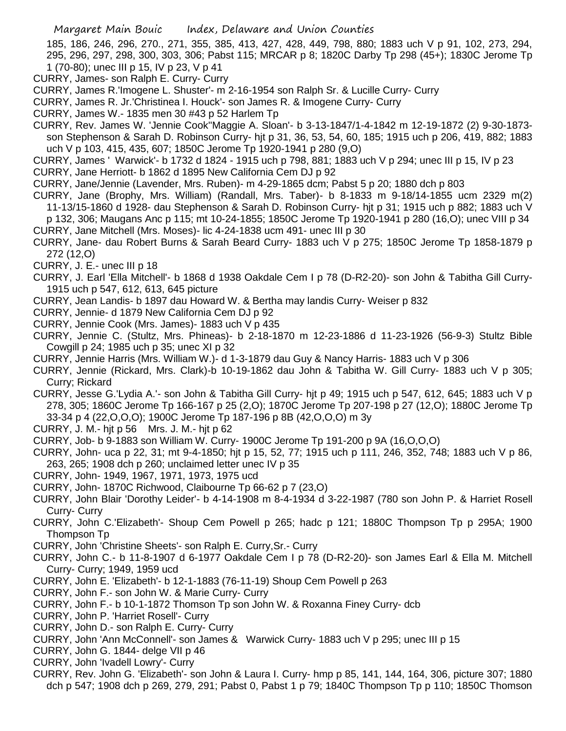185, 186, 246, 296, 270., 271, 355, 385, 413, 427, 428, 449, 798, 880; 1883 uch V p 91, 102, 273, 294, 295, 296, 297, 298, 300, 303, 306; Pabst 115; MRCAR p 8; 1820C Darby Tp 298 (45+); 1830C Jerome Tp 1 (70-80); unec III p 15, IV p 23, V p 41

- CURRY, James- son Ralph E. Curry- Curry
- CURRY, James R.'Imogene L. Shuster'- m 2-16-1954 son Ralph Sr. & Lucille Curry- Curry
- CURRY, James R. Jr.'Christinea I. Houck'- son James R. & Imogene Curry- Curry
- CURRY, James W.- 1835 men 30 #43 p 52 Harlem Tp
- CURRY, Rev. James W. 'Jennie Cook''Maggie A. Sloan'- b 3-13-1847/1-4-1842 m 12-19-1872 (2) 9-30-1873 son Stephenson & Sarah D. Robinson Curry- hjt p 31, 36, 53, 54, 60, 185; 1915 uch p 206, 419, 882; 1883 uch V p 103, 415, 435, 607; 1850C Jerome Tp 1920-1941 p 280 (9,O)
- CURRY, James ' Warwick'- b 1732 d 1824 1915 uch p 798, 881; 1883 uch V p 294; unec III p 15, IV p 23
- CURRY, Jane Herriott- b 1862 d 1895 New California Cem DJ p 92
- CURRY, Jane/Jennie (Lavender, Mrs. Ruben)- m 4-29-1865 dcm; Pabst 5 p 20; 1880 dch p 803
- CURRY, Jane (Brophy, Mrs. William) (Randall, Mrs. Taber)- b 8-1833 m 9-18/14-1855 ucm 2329 m(2) 11-13/15-1860 d 1928- dau Stephenson & Sarah D. Robinson Curry- hjt p 31; 1915 uch p 882; 1883 uch V p 132, 306; Maugans Anc p 115; mt 10-24-1855; 1850C Jerome Tp 1920-1941 p 280 (16,O); unec VIII p 34
- CURRY, Jane Mitchell (Mrs. Moses)- lic 4-24-1838 ucm 491- unec III p 30
- CURRY, Jane- dau Robert Burns & Sarah Beard Curry- 1883 uch V p 275; 1850C Jerome Tp 1858-1879 p 272 (12,O)
- CURRY, J. E.- unec III p 18
- CURRY, J. Earl 'Ella Mitchell'- b 1868 d 1938 Oakdale Cem I p 78 (D-R2-20)- son John & Tabitha Gill Curry-1915 uch p 547, 612, 613, 645 picture
- CURRY, Jean Landis- b 1897 dau Howard W. & Bertha may landis Curry- Weiser p 832
- CURRY, Jennie- d 1879 New California Cem DJ p 92
- CURRY, Jennie Cook (Mrs. James)- 1883 uch V p 435
- CURRY, Jennie C. (Stultz, Mrs. Phineas)- b 2-18-1870 m 12-23-1886 d 11-23-1926 (56-9-3) Stultz Bible Cowgill p 24; 1985 uch p 35; unec XI p 32
- CURRY, Jennie Harris (Mrs. William W.)- d 1-3-1879 dau Guy & Nancy Harris- 1883 uch V p 306
- CURRY, Jennie (Rickard, Mrs. Clark)-b 10-19-1862 dau John & Tabitha W. Gill Curry- 1883 uch V p 305; Curry; Rickard
- CURRY, Jesse G.'Lydia A.'- son John & Tabitha Gill Curry- hjt p 49; 1915 uch p 547, 612, 645; 1883 uch V p 278, 305; 1860C Jerome Tp 166-167 p 25 (2,O); 1870C Jerome Tp 207-198 p 27 (12,O); 1880C Jerome Tp 33-34 p 4 (22,O,O,O); 1900C Jerome Tp 187-196 p 8B (42,O,O,O) m 3y
- CURRY, J. M.- hjt p 56 Mrs. J. M.- hjt p 62
- CURRY, Job- b 9-1883 son William W. Curry- 1900C Jerome Tp 191-200 p 9A (16,O,O,O)
- CURRY, John- uca p 22, 31; mt 9-4-1850; hjt p 15, 52, 77; 1915 uch p 111, 246, 352, 748; 1883 uch V p 86, 263, 265; 1908 dch p 260; unclaimed letter unec IV p 35
- CURRY, John- 1949, 1967, 1971, 1973, 1975 ucd
- CURRY, John- 1870C Richwood, Claibourne Tp 66-62 p 7 (23,O)
- CURRY, John Blair 'Dorothy Leider'- b 4-14-1908 m 8-4-1934 d 3-22-1987 (780 son John P. & Harriet Rosell Curry- Curry
- CURRY, John C.'Elizabeth'- Shoup Cem Powell p 265; hadc p 121; 1880C Thompson Tp p 295A; 1900 Thompson Tp
- CURRY, John 'Christine Sheets'- son Ralph E. Curry,Sr.- Curry
- CURRY, John C.- b 11-8-1907 d 6-1977 Oakdale Cem I p 78 (D-R2-20)- son James Earl & Ella M. Mitchell Curry- Curry; 1949, 1959 ucd
- CURRY, John E. 'Elizabeth'- b 12-1-1883 (76-11-19) Shoup Cem Powell p 263
- CURRY, John F.- son John W. & Marie Curry- Curry
- CURRY, John F.- b 10-1-1872 Thomson Tp son John W. & Roxanna Finey Curry- dcb
- CURRY, John P. 'Harriet Rosell'- Curry
- CURRY, John D.- son Ralph E. Curry- Curry
- CURRY, John 'Ann McConnell'- son James & Warwick Curry- 1883 uch V p 295; unec III p 15
- CURRY, John G. 1844- delge VII p 46
- CURRY, John 'Ivadell Lowry'- Curry
- CURRY, Rev. John G. 'Elizabeth'- son John & Laura I. Curry- hmp p 85, 141, 144, 164, 306, picture 307; 1880 dch p 547; 1908 dch p 269, 279, 291; Pabst 0, Pabst 1 p 79; 1840C Thompson Tp p 110; 1850C Thomson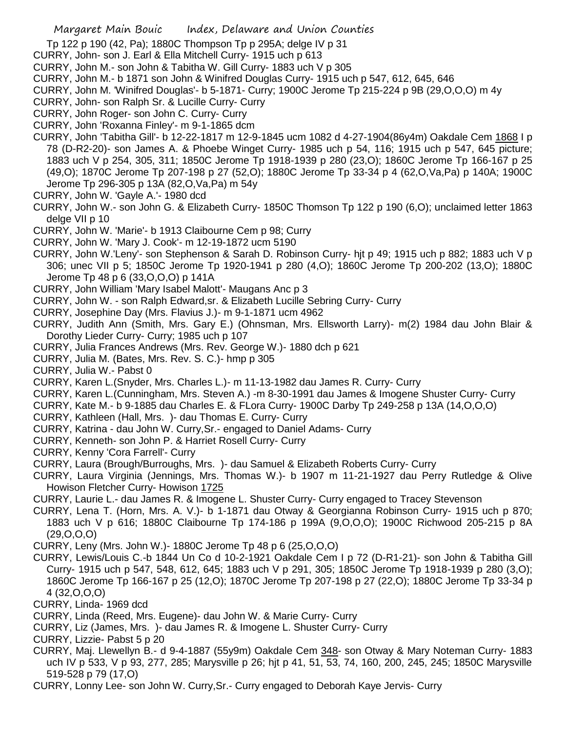- Tp 122 p 190 (42, Pa); 1880C Thompson Tp p 295A; delge IV p 31
- CURRY, John- son J. Earl & Ella Mitchell Curry- 1915 uch p 613
- CURRY, John M.- son John & Tabitha W. Gill Curry- 1883 uch V p 305
- CURRY, John M.- b 1871 son John & Winifred Douglas Curry- 1915 uch p 547, 612, 645, 646
- CURRY, John M. 'Winifred Douglas'- b 5-1871- Curry; 1900C Jerome Tp 215-224 p 9B (29,O,O,O) m 4y
- CURRY, John- son Ralph Sr. & Lucille Curry- Curry
- CURRY, John Roger- son John C. Curry- Curry
- CURRY, John 'Roxanna Finley'- m 9-1-1865 dcm
- CURRY, John 'Tabitha Gill'- b 12-22-1817 m 12-9-1845 ucm 1082 d 4-27-1904(86y4m) Oakdale Cem 1868 I p 78 (D-R2-20)- son James A. & Phoebe Winget Curry- 1985 uch p 54, 116; 1915 uch p 547, 645 picture; 1883 uch V p 254, 305, 311; 1850C Jerome Tp 1918-1939 p 280 (23,O); 1860C Jerome Tp 166-167 p 25 (49,O); 1870C Jerome Tp 207-198 p 27 (52,O); 1880C Jerome Tp 33-34 p 4 (62,O,Va,Pa) p 140A; 1900C Jerome Tp 296-305 p 13A (82,O,Va,Pa) m 54y
- CURRY, John W. 'Gayle A.'- 1980 dcd
- CURRY, John W.- son John G. & Elizabeth Curry- 1850C Thomson Tp 122 p 190 (6,O); unclaimed letter 1863 delge VII p 10
- CURRY, John W. 'Marie'- b 1913 Claibourne Cem p 98; Curry
- CURRY, John W. 'Mary J. Cook'- m 12-19-1872 ucm 5190
- CURRY, John W.'Leny'- son Stephenson & Sarah D. Robinson Curry- hjt p 49; 1915 uch p 882; 1883 uch V p 306; unec VII p 5; 1850C Jerome Tp 1920-1941 p 280 (4,O); 1860C Jerome Tp 200-202 (13,O); 1880C Jerome Tp 48 p 6 (33,O,O,O) p 141A
- CURRY, John William 'Mary Isabel Malott'- Maugans Anc p 3
- CURRY, John W. son Ralph Edward,sr. & Elizabeth Lucille Sebring Curry- Curry
- CURRY, Josephine Day (Mrs. Flavius J.)- m 9-1-1871 ucm 4962
- CURRY, Judith Ann (Smith, Mrs. Gary E.) (Ohnsman, Mrs. Ellsworth Larry)- m(2) 1984 dau John Blair & Dorothy Lieder Curry- Curry; 1985 uch p 107
- CURRY, Julia Frances Andrews (Mrs. Rev. George W.)- 1880 dch p 621
- CURRY, Julia M. (Bates, Mrs. Rev. S. C.)- hmp p 305
- CURRY, Julia W.- Pabst 0
- CURRY, Karen L.(Snyder, Mrs. Charles L.)- m 11-13-1982 dau James R. Curry- Curry
- CURRY, Karen L.(Cunningham, Mrs. Steven A.) -m 8-30-1991 dau James & Imogene Shuster Curry- Curry
- CURRY, Kate M.- b 9-1885 dau Charles E. & FLora Curry- 1900C Darby Tp 249-258 p 13A (14,O,O,O)
- CURRY, Kathleen (Hall, Mrs. )- dau Thomas E. Curry- Curry
- CURRY, Katrina dau John W. Curry,Sr.- engaged to Daniel Adams- Curry
- CURRY, Kenneth- son John P. & Harriet Rosell Curry- Curry
- CURRY, Kenny 'Cora Farrell'- Curry
- CURRY, Laura (Brough/Burroughs, Mrs. )- dau Samuel & Elizabeth Roberts Curry- Curry
- CURRY, Laura Virginia (Jennings, Mrs. Thomas W.)- b 1907 m 11-21-1927 dau Perry Rutledge & Olive Howison Fletcher Curry- Howison 1725
- CURRY, Laurie L.- dau James R. & Imogene L. Shuster Curry- Curry engaged to Tracey Stevenson
- CURRY, Lena T. (Horn, Mrs. A. V.)- b 1-1871 dau Otway & Georgianna Robinson Curry- 1915 uch p 870; 1883 uch V p 616; 1880C Claibourne Tp 174-186 p 199A (9,O,O,O); 1900C Richwood 205-215 p 8A (29,O,O,O)
- CURRY, Leny (Mrs. John W.)- 1880C Jerome Tp 48 p 6 (25,O,O,O)
- CURRY, Lewis/Louis C.-b 1844 Un Co d 10-2-1921 Oakdale Cem I p 72 (D-R1-21)- son John & Tabitha Gill Curry- 1915 uch p 547, 548, 612, 645; 1883 uch V p 291, 305; 1850C Jerome Tp 1918-1939 p 280 (3,O); 1860C Jerome Tp 166-167 p 25 (12,O); 1870C Jerome Tp 207-198 p 27 (22,O); 1880C Jerome Tp 33-34 p 4 (32,O,O,O)
- CURRY, Linda- 1969 dcd
- CURRY, Linda (Reed, Mrs. Eugene)- dau John W. & Marie Curry- Curry
- CURRY, Liz (James, Mrs. )- dau James R. & Imogene L. Shuster Curry- Curry
- CURRY, Lizzie- Pabst 5 p 20
- CURRY, Maj. Llewellyn B.- d 9-4-1887 (55y9m) Oakdale Cem 348- son Otway & Mary Noteman Curry- 1883 uch IV p 533, V p 93, 277, 285; Marysville p 26; hjt p 41, 51, 53, 74, 160, 200, 245, 245; 1850C Marysville 519-528 p 79 (17,O)
- CURRY, Lonny Lee- son John W. Curry,Sr.- Curry engaged to Deborah Kaye Jervis- Curry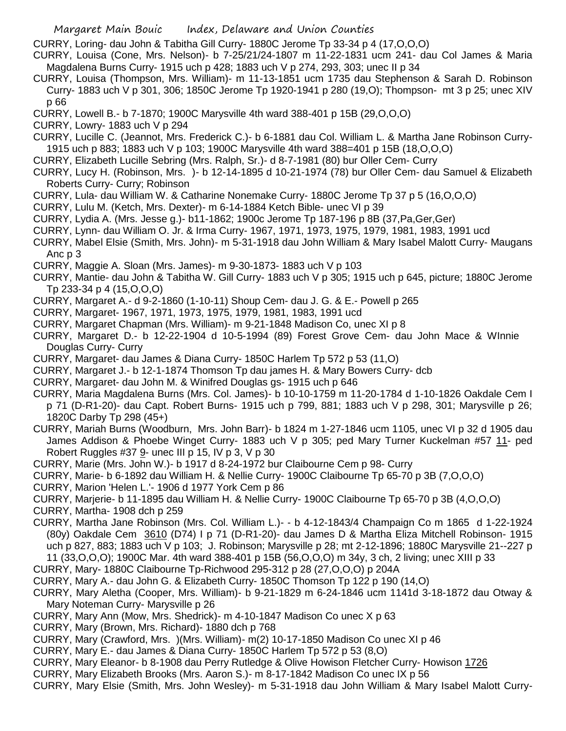CURRY, Loring- dau John & Tabitha Gill Curry- 1880C Jerome Tp 33-34 p 4 (17,O,O,O)

- CURRY, Louisa (Cone, Mrs. Nelson)- b 7-25/21/24-1807 m 11-22-1831 ucm 241- dau Col James & Maria Magdalena Burns Curry- 1915 uch p 428; 1883 uch V p 274, 293, 303; unec II p 34
- CURRY, Louisa (Thompson, Mrs. William)- m 11-13-1851 ucm 1735 dau Stephenson & Sarah D. Robinson Curry- 1883 uch V p 301, 306; 1850C Jerome Tp 1920-1941 p 280 (19,O); Thompson- mt 3 p 25; unec XIV p 66
- CURRY, Lowell B.- b 7-1870; 1900C Marysville 4th ward 388-401 p 15B (29,O,O,O)
- CURRY, Lowry- 1883 uch V p 294
- CURRY, Lucille C. (Jeannot, Mrs. Frederick C.)- b 6-1881 dau Col. William L. & Martha Jane Robinson Curry-1915 uch p 883; 1883 uch V p 103; 1900C Marysville 4th ward 388=401 p 15B (18,O,O,O)
- CURRY, Elizabeth Lucille Sebring (Mrs. Ralph, Sr.)- d 8-7-1981 (80) bur Oller Cem- Curry
- CURRY, Lucy H. (Robinson, Mrs. )- b 12-14-1895 d 10-21-1974 (78) bur Oller Cem- dau Samuel & Elizabeth Roberts Curry- Curry; Robinson
- CURRY, Lula- dau William W. & Catharine Nonemake Curry- 1880C Jerome Tp 37 p 5 (16,O,O,O)
- CURRY, Lulu M. (Ketch, Mrs. Dexter)- m 6-14-1884 Ketch Bible- unec VI p 39
- CURRY, Lydia A. (Mrs. Jesse g.)- b11-1862; 1900c Jerome Tp 187-196 p 8B (37,Pa,Ger,Ger)
- CURRY, Lynn- dau William O. Jr. & Irma Curry- 1967, 1971, 1973, 1975, 1979, 1981, 1983, 1991 ucd
- CURRY, Mabel Elsie (Smith, Mrs. John)- m 5-31-1918 dau John William & Mary Isabel Malott Curry- Maugans Anc p 3
- CURRY, Maggie A. Sloan (Mrs. James)- m 9-30-1873- 1883 uch V p 103
- CURRY, Mantie- dau John & Tabitha W. Gill Curry- 1883 uch V p 305; 1915 uch p 645, picture; 1880C Jerome Tp 233-34 p 4 (15,O,O,O)
- CURRY, Margaret A.- d 9-2-1860 (1-10-11) Shoup Cem- dau J. G. & E.- Powell p 265
- CURRY, Margaret- 1967, 1971, 1973, 1975, 1979, 1981, 1983, 1991 ucd
- CURRY, Margaret Chapman (Mrs. William)- m 9-21-1848 Madison Co, unec XI p 8
- CURRY, Margaret D.- b 12-22-1904 d 10-5-1994 (89) Forest Grove Cem- dau John Mace & WInnie Douglas Curry- Curry
- CURRY, Margaret- dau James & Diana Curry- 1850C Harlem Tp 572 p 53 (11,O)
- CURRY, Margaret J.- b 12-1-1874 Thomson Tp dau james H. & Mary Bowers Curry- dcb
- CURRY, Margaret- dau John M. & Winifred Douglas gs- 1915 uch p 646
- CURRY, Maria Magdalena Burns (Mrs. Col. James)- b 10-10-1759 m 11-20-1784 d 1-10-1826 Oakdale Cem I p 71 (D-R1-20)- dau Capt. Robert Burns- 1915 uch p 799, 881; 1883 uch V p 298, 301; Marysville p 26; 1820C Darby Tp 298 (45+)
- CURRY, Mariah Burns (Woodburn, Mrs. John Barr)- b 1824 m 1-27-1846 ucm 1105, unec VI p 32 d 1905 dau James Addison & Phoebe Winget Curry- 1883 uch V p 305; ped Mary Turner Kuckelman #57 11- ped Robert Ruggles #37 9- unec III p 15, IV p 3, V p 30
- CURRY, Marie (Mrs. John W.)- b 1917 d 8-24-1972 bur Claibourne Cem p 98- Curry
- CURRY, Marie- b 6-1892 dau William H. & Nellie Curry- 1900C Claibourne Tp 65-70 p 3B (7,O,O,O)
- CURRY, Marion 'Helen L.'- 1906 d 1977 York Cem p 86
- CURRY, Marjerie- b 11-1895 dau William H. & Nellie Curry- 1900C Claibourne Tp 65-70 p 3B (4,O,O,O)
- CURRY, Martha- 1908 dch p 259
- CURRY, Martha Jane Robinson (Mrs. Col. William L.)- b 4-12-1843/4 Champaign Co m 1865 d 1-22-1924 (80y) Oakdale Cem 3610 (D74) I p 71 (D-R1-20)- dau James D & Martha Eliza Mitchell Robinson- 1915 uch p 827, 883; 1883 uch V p 103; J. Robinson; Marysville p 28; mt 2-12-1896; 1880C Marysville 21--227 p 11 (33,O,O,O); 1900C Mar. 4th ward 388-401 p 15B (56,O,O,O) m 34y, 3 ch, 2 living; unec XIII p 33
- CURRY, Mary- 1880C Claibourne Tp-Richwood 295-312 p 28 (27,O,O,O) p 204A
- CURRY, Mary A.- dau John G. & Elizabeth Curry- 1850C Thomson Tp 122 p 190 (14,O)
- CURRY, Mary Aletha (Cooper, Mrs. William)- b 9-21-1829 m 6-24-1846 ucm 1141d 3-18-1872 dau Otway & Mary Noteman Curry- Marysville p 26
- CURRY, Mary Ann (Mow, Mrs. Shedrick)- m 4-10-1847 Madison Co unec X p 63
- CURRY, Mary (Brown, Mrs. Richard)- 1880 dch p 768
- CURRY, Mary (Crawford, Mrs. )(Mrs. William)- m(2) 10-17-1850 Madison Co unec XI p 46
- CURRY, Mary E.- dau James & Diana Curry- 1850C Harlem Tp 572 p 53 (8,O)
- CURRY, Mary Eleanor- b 8-1908 dau Perry Rutledge & Olive Howison Fletcher Curry- Howison 1726
- CURRY, Mary Elizabeth Brooks (Mrs. Aaron S.)- m 8-17-1842 Madison Co unec IX p 56
- CURRY, Mary Elsie (Smith, Mrs. John Wesley)- m 5-31-1918 dau John William & Mary Isabel Malott Curry-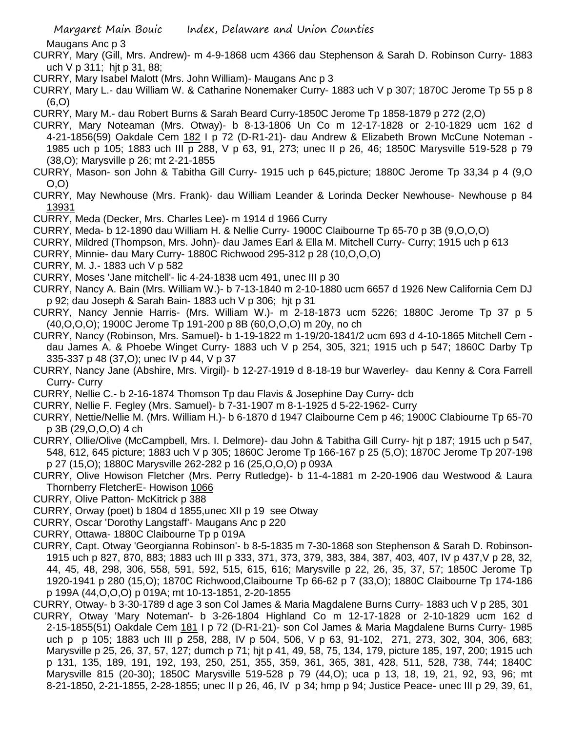Maugans Anc p 3

- CURRY, Mary (Gill, Mrs. Andrew)- m 4-9-1868 ucm 4366 dau Stephenson & Sarah D. Robinson Curry- 1883 uch V p 311; hjt p 31, 88;
- CURRY, Mary Isabel Malott (Mrs. John William)- Maugans Anc p 3
- CURRY, Mary L.- dau William W. & Catharine Nonemaker Curry- 1883 uch V p 307; 1870C Jerome Tp 55 p 8 (6,O)
- CURRY, Mary M.- dau Robert Burns & Sarah Beard Curry-1850C Jerome Tp 1858-1879 p 272 (2,O)
- CURRY, Mary Noteaman (Mrs. Otway)- b 8-13-1806 Un Co m 12-17-1828 or 2-10-1829 ucm 162 d 4-21-1856(59) Oakdale Cem 182 I p 72 (D-R1-21)- dau Andrew & Elizabeth Brown McCune Noteman - 1985 uch p 105; 1883 uch III p 288, V p 63, 91, 273; unec II p 26, 46; 1850C Marysville 519-528 p 79 (38,O); Marysville p 26; mt 2-21-1855
- CURRY, Mason- son John & Tabitha Gill Curry- 1915 uch p 645,picture; 1880C Jerome Tp 33,34 p 4 (9,O O,O)
- CURRY, May Newhouse (Mrs. Frank)- dau William Leander & Lorinda Decker Newhouse- Newhouse p 84 13931
- CURRY, Meda (Decker, Mrs. Charles Lee)- m 1914 d 1966 Curry
- CURRY, Meda- b 12-1890 dau William H. & Nellie Curry- 1900C Claibourne Tp 65-70 p 3B (9,O,O,O)
- CURRY, Mildred (Thompson, Mrs. John)- dau James Earl & Ella M. Mitchell Curry- Curry; 1915 uch p 613
- CURRY, Minnie- dau Mary Curry- 1880C Richwood 295-312 p 28 (10,O,O,O)
- CURRY, M. J.- 1883 uch V p 582
- CURRY, Moses 'Jane mitchell'- lic 4-24-1838 ucm 491, unec III p 30
- CURRY, Nancy A. Bain (Mrs. William W.)- b 7-13-1840 m 2-10-1880 ucm 6657 d 1926 New California Cem DJ p 92; dau Joseph & Sarah Bain- 1883 uch V p 306; hjt p 31
- CURRY, Nancy Jennie Harris- (Mrs. William W.)- m 2-18-1873 ucm 5226; 1880C Jerome Tp 37 p 5 (40,O,O,O); 1900C Jerome Tp 191-200 p 8B (60,O,O,O) m 20y, no ch
- CURRY, Nancy (Robinson, Mrs. Samuel)- b 1-19-1822 m 1-19/20-1841/2 ucm 693 d 4-10-1865 Mitchell Cem dau James A. & Phoebe Winget Curry- 1883 uch V p 254, 305, 321; 1915 uch p 547; 1860C Darby Tp 335-337 p 48 (37,O); unec IV p 44, V p 37
- CURRY, Nancy Jane (Abshire, Mrs. Virgil)- b 12-27-1919 d 8-18-19 bur Waverley- dau Kenny & Cora Farrell Curry- Curry
- CURRY, Nellie C.- b 2-16-1874 Thomson Tp dau Flavis & Josephine Day Curry- dcb
- CURRY, Nellie F. Fegley (Mrs. Samuel)- b 7-31-1907 m 8-1-1925 d 5-22-1962- Curry
- CURRY, Nettie/Nellie M. (Mrs. William H.)- b 6-1870 d 1947 Claibourne Cem p 46; 1900C Clabiourne Tp 65-70 p 3B (29,O,O,O) 4 ch
- CURRY, Ollie/Olive (McCampbell, Mrs. I. Delmore)- dau John & Tabitha Gill Curry- hjt p 187; 1915 uch p 547, 548, 612, 645 picture; 1883 uch V p 305; 1860C Jerome Tp 166-167 p 25 (5,O); 1870C Jerome Tp 207-198 p 27 (15,O); 1880C Marysville 262-282 p 16 (25,O,O,O) p 093A
- CURRY, Olive Howison Fletcher (Mrs. Perry Rutledge)- b 11-4-1881 m 2-20-1906 dau Westwood & Laura Thornberry FletcherE- Howison 1066
- CURRY, Olive Patton- McKitrick p 388
- CURRY, Orway (poet) b 1804 d 1855,unec XII p 19 see Otway
- CURRY, Oscar 'Dorothy Langstaff'- Maugans Anc p 220
- CURRY, Ottawa- 1880C Claibourne Tp p 019A
- CURRY, Capt. Otway 'Georgianna Robinson'- b 8-5-1835 m 7-30-1868 son Stephenson & Sarah D. Robinson-1915 uch p 827, 870, 883; 1883 uch III p 333, 371, 373, 379, 383, 384, 387, 403, 407, IV p 437,V p 28, 32, 44, 45, 48, 298, 306, 558, 591, 592, 515, 615, 616; Marysville p 22, 26, 35, 37, 57; 1850C Jerome Tp 1920-1941 p 280 (15,O); 1870C Richwood,Claibourne Tp 66-62 p 7 (33,O); 1880C Claibourne Tp 174-186 p 199A (44,O,O,O) p 019A; mt 10-13-1851, 2-20-1855
- CURRY, Otway- b 3-30-1789 d age 3 son Col James & Maria Magdalene Burns Curry- 1883 uch V p 285, 301
- CURRY, Otway 'Mary Noteman'- b 3-26-1804 Highland Co m 12-17-1828 or 2-10-1829 ucm 162 d 2-15-1855(51) Oakdale Cem 181 I p 72 (D-R1-21)- son Col James & Maria Magdalene Burns Curry- 1985 uch p p 105; 1883 uch III p 258, 288, IV p 504, 506, V p 63, 91-102, 271, 273, 302, 304, 306, 683; Marysville p 25, 26, 37, 57, 127; dumch p 71; hjt p 41, 49, 58, 75, 134, 179, picture 185, 197, 200; 1915 uch p 131, 135, 189, 191, 192, 193, 250, 251, 355, 359, 361, 365, 381, 428, 511, 528, 738, 744; 1840C Marysville 815 (20-30); 1850C Marysville 519-528 p 79 (44,O); uca p 13, 18, 19, 21, 92, 93, 96; mt 8-21-1850, 2-21-1855, 2-28-1855; unec II p 26, 46, IV p 34; hmp p 94; Justice Peace- unec III p 29, 39, 61,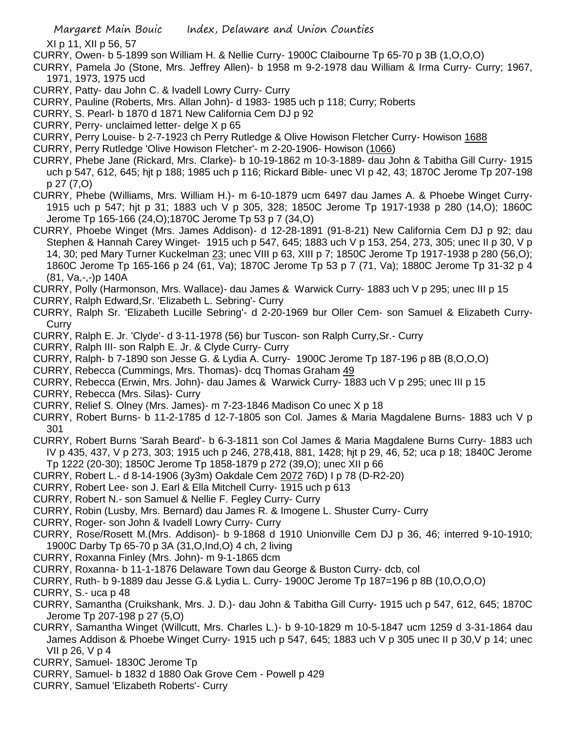XI p 11, XII p 56, 57

- CURRY, Owen- b 5-1899 son William H. & Nellie Curry- 1900C Claibourne Tp 65-70 p 3B (1,O,O,O)
- CURRY, Pamela Jo (Stone, Mrs. Jeffrey Allen)- b 1958 m 9-2-1978 dau William & Irma Curry- Curry; 1967, 1971, 1973, 1975 ucd
- CURRY, Patty- dau John C. & Ivadell Lowry Curry- Curry
- CURRY, Pauline (Roberts, Mrs. Allan John)- d 1983- 1985 uch p 118; Curry; Roberts
- CURRY, S. Pearl- b 1870 d 1871 New California Cem DJ p 92
- CURRY, Perry- unclaimed letter- delge X p 65
- CURRY, Perry Louise- b 2-7-1923 ch Perry Rutledge & Olive Howison Fletcher Curry- Howison 1688
- CURRY, Perry Rutledge 'Olive Howison Fletcher'- m 2-20-1906- Howison (1066)
- CURRY, Phebe Jane (Rickard, Mrs. Clarke)- b 10-19-1862 m 10-3-1889- dau John & Tabitha Gill Curry- 1915 uch p 547, 612, 645; hjt p 188; 1985 uch p 116; Rickard Bible- unec VI p 42, 43; 1870C Jerome Tp 207-198 p 27 (7,O)
- CURRY, Phebe (Williams, Mrs. William H.)- m 6-10-1879 ucm 6497 dau James A. & Phoebe Winget Curry-1915 uch p 547; hjt p 31; 1883 uch V p 305, 328; 1850C Jerome Tp 1917-1938 p 280 (14,O); 1860C Jerome Tp 165-166 (24,O);1870C Jerome Tp 53 p 7 (34,O)
- CURRY, Phoebe Winget (Mrs. James Addison)- d 12-28-1891 (91-8-21) New California Cem DJ p 92; dau Stephen & Hannah Carey Winget- 1915 uch p 547, 645; 1883 uch V p 153, 254, 273, 305; unec II p 30, V p 14, 30; ped Mary Turner Kuckelman 23; unec VIII p 63, XIII p 7; 1850C Jerome Tp 1917-1938 p 280 (56,O); 1860C Jerome Tp 165-166 p 24 (61, Va); 1870C Jerome Tp 53 p 7 (71, Va); 1880C Jerome Tp 31-32 p 4 (81, Va,-,-)p 140A
- CURRY, Polly (Harmonson, Mrs. Wallace)- dau James & Warwick Curry- 1883 uch V p 295; unec III p 15
- CURRY, Ralph Edward,Sr. 'Elizabeth L. Sebring'- Curry
- CURRY, Ralph Sr. 'Elizabeth Lucille Sebring'- d 2-20-1969 bur Oller Cem- son Samuel & Elizabeth Curry-**Curry**
- CURRY, Ralph E. Jr. 'Clyde'- d 3-11-1978 (56) bur Tuscon- son Ralph Curry,Sr.- Curry
- CURRY, Ralph III- son Ralph E. Jr. & Clyde Curry- Curry
- CURRY, Ralph- b 7-1890 son Jesse G. & Lydia A. Curry- 1900C Jerome Tp 187-196 p 8B (8,O,O,O)
- CURRY, Rebecca (Cummings, Mrs. Thomas)- dcq Thomas Graham 49
- CURRY, Rebecca (Erwin, Mrs. John)- dau James & Warwick Curry- 1883 uch V p 295; unec III p 15
- CURRY, Rebecca (Mrs. Silas)- Curry
- CURRY, Relief S. Olney (Mrs. James)- m 7-23-1846 Madison Co unec X p 18
- CURRY, Robert Burns- b 11-2-1785 d 12-7-1805 son Col. James & Maria Magdalene Burns- 1883 uch V p 301
- CURRY, Robert Burns 'Sarah Beard'- b 6-3-1811 son Col James & Maria Magdalene Burns Curry- 1883 uch IV p 435, 437, V p 273, 303; 1915 uch p 246, 278,418, 881, 1428; hjt p 29, 46, 52; uca p 18; 1840C Jerome Tp 1222 (20-30); 1850C Jerome Tp 1858-1879 p 272 (39,O); unec XII p 66
- CURRY, Robert L.- d 8-14-1906 (3y3m) Oakdale Cem 2072 76D) I p 78 (D-R2-20)
- CURRY, Robert Lee- son J. Earl & Ella Mitchell Curry- 1915 uch p 613
- CURRY, Robert N.- son Samuel & Nellie F. Fegley Curry- Curry
- CURRY, Robin (Lusby, Mrs. Bernard) dau James R. & Imogene L. Shuster Curry- Curry
- CURRY, Roger- son John & Ivadell Lowry Curry- Curry
- CURRY, Rose/Rosett M.(Mrs. Addison)- b 9-1868 d 1910 Unionville Cem DJ p 36, 46; interred 9-10-1910; 1900C Darby Tp 65-70 p 3A (31,O,Ind,O) 4 ch, 2 living
- CURRY, Roxanna Finley (Mrs. John)- m 9-1-1865 dcm
- CURRY, Roxanna- b 11-1-1876 Delaware Town dau George & Buston Curry- dcb, col
- CURRY, Ruth- b 9-1889 dau Jesse G.& Lydia L. Curry- 1900C Jerome Tp 187=196 p 8B (10,O,O,O)
- CURRY, S.- uca p 48
- CURRY, Samantha (Cruikshank, Mrs. J. D.)- dau John & Tabitha Gill Curry- 1915 uch p 547, 612, 645; 1870C Jerome Tp 207-198 p 27 (5,O)
- CURRY, Samantha Winget (Willcutt, Mrs. Charles L.)- b 9-10-1829 m 10-5-1847 ucm 1259 d 3-31-1864 dau James Addison & Phoebe Winget Curry- 1915 uch p 547, 645; 1883 uch V p 305 unec II p 30,V p 14; unec VII p 26, V p 4
- CURRY, Samuel- 1830C Jerome Tp
- CURRY, Samuel- b 1832 d 1880 Oak Grove Cem Powell p 429
- CURRY, Samuel 'Elizabeth Roberts'- Curry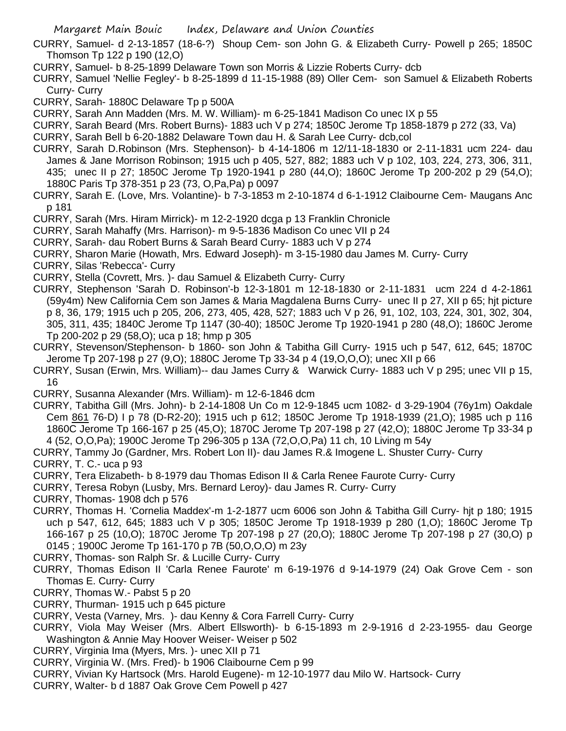CURRY, Samuel- d 2-13-1857 (18-6-?) Shoup Cem- son John G. & Elizabeth Curry- Powell p 265; 1850C Thomson Tp 122 p 190 (12,O)

- CURRY, Samuel- b 8-25-1899 Delaware Town son Morris & Lizzie Roberts Curry- dcb
- CURRY, Samuel 'Nellie Fegley'- b 8-25-1899 d 11-15-1988 (89) Oller Cem- son Samuel & Elizabeth Roberts Curry- Curry

CURRY, Sarah- 1880C Delaware Tp p 500A

- CURRY, Sarah Ann Madden (Mrs. M. W. William)- m 6-25-1841 Madison Co unec IX p 55
- CURRY, Sarah Beard (Mrs. Robert Burns)- 1883 uch V p 274; 1850C Jerome Tp 1858-1879 p 272 (33, Va)
- CURRY, Sarah Bell b 6-20-1882 Delaware Town dau H. & Sarah Lee Curry- dcb,col
- CURRY, Sarah D.Robinson (Mrs. Stephenson)- b 4-14-1806 m 12/11-18-1830 or 2-11-1831 ucm 224- dau James & Jane Morrison Robinson; 1915 uch p 405, 527, 882; 1883 uch V p 102, 103, 224, 273, 306, 311, 435; unec II p 27; 1850C Jerome Tp 1920-1941 p 280 (44,O); 1860C Jerome Tp 200-202 p 29 (54,O); 1880C Paris Tp 378-351 p 23 (73, O,Pa,Pa) p 0097
- CURRY, Sarah E. (Love, Mrs. Volantine)- b 7-3-1853 m 2-10-1874 d 6-1-1912 Claibourne Cem- Maugans Anc p 181
- CURRY, Sarah (Mrs. Hiram Mirrick)- m 12-2-1920 dcga p 13 Franklin Chronicle
- CURRY, Sarah Mahaffy (Mrs. Harrison)- m 9-5-1836 Madison Co unec VII p 24
- CURRY, Sarah- dau Robert Burns & Sarah Beard Curry- 1883 uch V p 274
- CURRY, Sharon Marie (Howath, Mrs. Edward Joseph)- m 3-15-1980 dau James M. Curry- Curry
- CURRY, Silas 'Rebecca'- Curry
- CURRY, Stella (Covrett, Mrs. )- dau Samuel & Elizabeth Curry- Curry
- CURRY, Stephenson 'Sarah D. Robinson'-b 12-3-1801 m 12-18-1830 or 2-11-1831 ucm 224 d 4-2-1861 (59y4m) New California Cem son James & Maria Magdalena Burns Curry- unec II p 27, XII p 65; hjt picture p 8, 36, 179; 1915 uch p 205, 206, 273, 405, 428, 527; 1883 uch V p 26, 91, 102, 103, 224, 301, 302, 304, 305, 311, 435; 1840C Jerome Tp 1147 (30-40); 1850C Jerome Tp 1920-1941 p 280 (48,O); 1860C Jerome Tp 200-202 p 29 (58,O); uca p 18; hmp p 305
- CURRY, Stevenson/Stephenson- b 1860- son John & Tabitha Gill Curry- 1915 uch p 547, 612, 645; 1870C Jerome Tp 207-198 p 27 (9,O); 1880C Jerome Tp 33-34 p 4 (19,O,O,O); unec XII p 66
- CURRY, Susan (Erwin, Mrs. William)-- dau James Curry & Warwick Curry- 1883 uch V p 295; unec VII p 15, 16
- CURRY, Susanna Alexander (Mrs. William)- m 12-6-1846 dcm
- CURRY, Tabitha Gill (Mrs. John)- b 2-14-1808 Un Co m 12-9-1845 ucm 1082- d 3-29-1904 (76y1m) Oakdale Cem 861 76-D) I p 78 (D-R2-20); 1915 uch p 612; 1850C Jerome Tp 1918-1939 (21,O); 1985 uch p 116 1860C Jerome Tp 166-167 p 25 (45,O); 1870C Jerome Tp 207-198 p 27 (42,O); 1880C Jerome Tp 33-34 p 4 (52, O,O,Pa); 1900C Jerome Tp 296-305 p 13A (72,O,O,Pa) 11 ch, 10 Living m 54y
- CURRY, Tammy Jo (Gardner, Mrs. Robert Lon II)- dau James R.& Imogene L. Shuster Curry- Curry

CURRY, T. C.- uca p 93

- CURRY, Tera Elizabeth- b 8-1979 dau Thomas Edison II & Carla Renee Faurote Curry- Curry
- CURRY, Teresa Robyn (Lusby, Mrs. Bernard Leroy)- dau James R. Curry- Curry
- CURRY, Thomas- 1908 dch p 576
- CURRY, Thomas H. 'Cornelia Maddex'-m 1-2-1877 ucm 6006 son John & Tabitha Gill Curry- hjt p 180; 1915 uch p 547, 612, 645; 1883 uch V p 305; 1850C Jerome Tp 1918-1939 p 280 (1,O); 1860C Jerome Tp 166-167 p 25 (10,O); 1870C Jerome Tp 207-198 p 27 (20,O); 1880C Jerome Tp 207-198 p 27 (30,O) p 0145 ; 1900C Jerome Tp 161-170 p 7B (50,O,O,O) m 23y
- CURRY, Thomas- son Ralph Sr. & Lucille Curry- Curry
- CURRY, Thomas Edison II 'Carla Renee Faurote' m 6-19-1976 d 9-14-1979 (24) Oak Grove Cem son Thomas E. Curry- Curry
- CURRY, Thomas W.- Pabst 5 p 20
- CURRY, Thurman- 1915 uch p 645 picture
- CURRY, Vesta (Varney, Mrs. )- dau Kenny & Cora Farrell Curry- Curry
- CURRY, Viola May Weiser (Mrs. Albert Ellsworth)- b 6-15-1893 m 2-9-1916 d 2-23-1955- dau George Washington & Annie May Hoover Weiser- Weiser p 502
- CURRY, Virginia Ima (Myers, Mrs. )- unec XII p 71
- CURRY, Virginia W. (Mrs. Fred)- b 1906 Claibourne Cem p 99
- CURRY, Vivian Ky Hartsock (Mrs. Harold Eugene)- m 12-10-1977 dau Milo W. Hartsock- Curry
- CURRY, Walter- b d 1887 Oak Grove Cem Powell p 427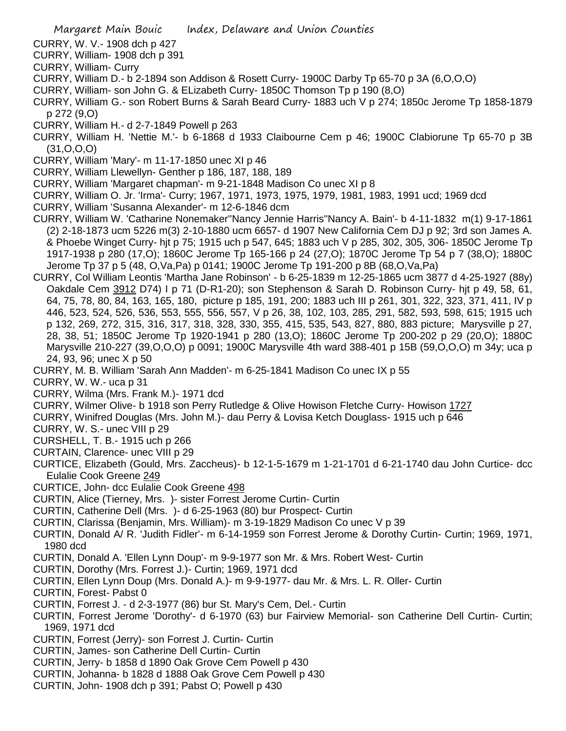CURRY, W. V.- 1908 dch p 427

- CURRY, William- 1908 dch p 391
- CURRY, William- Curry
- CURRY, William D.- b 2-1894 son Addison & Rosett Curry- 1900C Darby Tp 65-70 p 3A (6,O,O,O)
- CURRY, William- son John G. & ELizabeth Curry- 1850C Thomson Tp p 190 (8,O)
- CURRY, William G.- son Robert Burns & Sarah Beard Curry- 1883 uch V p 274; 1850c Jerome Tp 1858-1879 p 272 (9,O)
- CURRY, William H.- d 2-7-1849 Powell p 263
- CURRY, William H. 'Nettie M.'- b 6-1868 d 1933 Claibourne Cem p 46; 1900C Clabiorune Tp 65-70 p 3B  $(31, 0.0, 0)$
- CURRY, William 'Mary'- m 11-17-1850 unec XI p 46
- CURRY, William Llewellyn- Genther p 186, 187, 188, 189
- CURRY, William 'Margaret chapman'- m 9-21-1848 Madison Co unec XI p 8
- CURRY, William O. Jr. 'Irma'- Curry; 1967, 1971, 1973, 1975, 1979, 1981, 1983, 1991 ucd; 1969 dcd
- CURRY, William 'Susanna Alexander'- m 12-6-1846 dcm
- CURRY, William W. 'Catharine Nonemaker''Nancy Jennie Harris''Nancy A. Bain'- b 4-11-1832 m(1) 9-17-1861 (2) 2-18-1873 ucm 5226 m(3) 2-10-1880 ucm 6657- d 1907 New California Cem DJ p 92; 3rd son James A. & Phoebe Winget Curry- hjt p 75; 1915 uch p 547, 645; 1883 uch V p 285, 302, 305, 306- 1850C Jerome Tp 1917-1938 p 280 (17,O); 1860C Jerome Tp 165-166 p 24 (27,O); 1870C Jerome Tp 54 p 7 (38,O); 1880C Jerome Tp 37 p 5 (48, O,Va,Pa) p 0141; 1900C Jerome Tp 191-200 p 8B (68,O,Va,Pa)
- CURRY, Col William Leontis 'Martha Jane Robinson' b 6-25-1839 m 12-25-1865 ucm 3877 d 4-25-1927 (88y) Oakdale Cem 3912 D74) I p 71 (D-R1-20); son Stephenson & Sarah D. Robinson Curry- hjt p 49, 58, 61, 64, 75, 78, 80, 84, 163, 165, 180, picture p 185, 191, 200; 1883 uch III p 261, 301, 322, 323, 371, 411, IV p 446, 523, 524, 526, 536, 553, 555, 556, 557, V p 26, 38, 102, 103, 285, 291, 582, 593, 598, 615; 1915 uch p 132, 269, 272, 315, 316, 317, 318, 328, 330, 355, 415, 535, 543, 827, 880, 883 picture; Marysville p 27, 28, 38, 51; 1850C Jerome Tp 1920-1941 p 280 (13,O); 1860C Jerome Tp 200-202 p 29 (20,O); 1880C Marysville 210-227 (39,O,O,O) p 0091; 1900C Marysville 4th ward 388-401 p 15B (59,O,O,O) m 34y; uca p 24, 93, 96; unec X p 50
- CURRY, M. B. William 'Sarah Ann Madden'- m 6-25-1841 Madison Co unec IX p 55
- CURRY, W. W.- uca p 31
- CURRY, Wilma (Mrs. Frank M.)- 1971 dcd
- CURRY, Wilmer Olive- b 1918 son Perry Rutledge & Olive Howison Fletche Curry- Howison 1727
- CURRY, Winifred Douglas (Mrs. John M.)- dau Perry & Lovisa Ketch Douglass- 1915 uch p 646
- CURRY, W. S.- unec VIII p 29
- CURSHELL, T. B.- 1915 uch p 266
- CURTAIN, Clarence- unec VIII p 29
- CURTICE, Elizabeth (Gould, Mrs. Zaccheus)- b 12-1-5-1679 m 1-21-1701 d 6-21-1740 dau John Curtice- dcc Eulalie Cook Greene 249
- CURTICE, John- dcc Eulalie Cook Greene 498
- CURTIN, Alice (Tierney, Mrs. )- sister Forrest Jerome Curtin- Curtin
- CURTIN, Catherine Dell (Mrs. )- d 6-25-1963 (80) bur Prospect- Curtin
- CURTIN, Clarissa (Benjamin, Mrs. William)- m 3-19-1829 Madison Co unec V p 39
- CURTIN, Donald A/ R. 'Judith Fidler'- m 6-14-1959 son Forrest Jerome & Dorothy Curtin- Curtin; 1969, 1971, 1980 dcd
- CURTIN, Donald A. 'Ellen Lynn Doup'- m 9-9-1977 son Mr. & Mrs. Robert West- Curtin
- CURTIN, Dorothy (Mrs. Forrest J.)- Curtin; 1969, 1971 dcd
- CURTIN, Ellen Lynn Doup (Mrs. Donald A.)- m 9-9-1977- dau Mr. & Mrs. L. R. Oller- Curtin
- CURTIN, Forest- Pabst 0
- CURTIN, Forrest J. d 2-3-1977 (86) bur St. Mary's Cem, Del.- Curtin
- CURTIN, Forrest Jerome 'Dorothy'- d 6-1970 (63) bur Fairview Memorial- son Catherine Dell Curtin- Curtin; 1969, 1971 dcd
- CURTIN, Forrest (Jerry)- son Forrest J. Curtin- Curtin
- CURTIN, James- son Catherine Dell Curtin- Curtin
- CURTIN, Jerry- b 1858 d 1890 Oak Grove Cem Powell p 430
- CURTIN, Johanna- b 1828 d 1888 Oak Grove Cem Powell p 430
- CURTIN, John- 1908 dch p 391; Pabst O; Powell p 430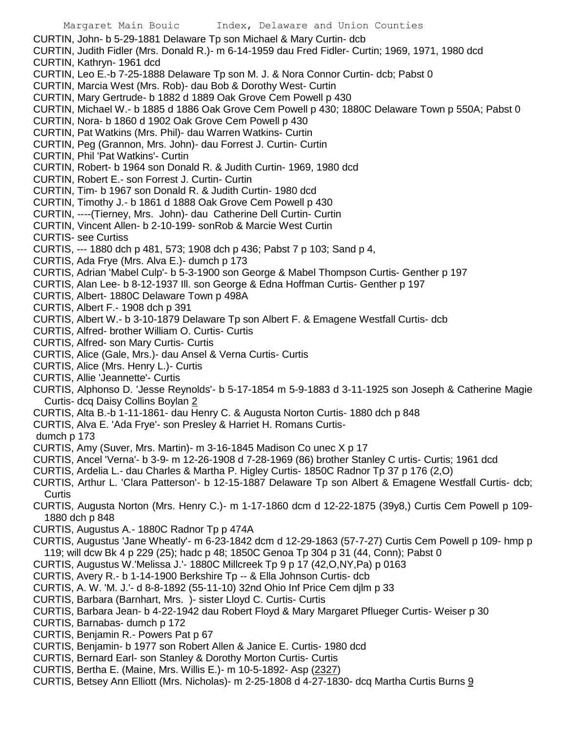CURTIN, John- b 5-29-1881 Delaware Tp son Michael & Mary Curtin- dcb CURTIN, Judith Fidler (Mrs. Donald R.)- m 6-14-1959 dau Fred Fidler- Curtin; 1969, 1971, 1980 dcd CURTIN, Kathryn- 1961 dcd CURTIN, Leo E.-b 7-25-1888 Delaware Tp son M. J. & Nora Connor Curtin- dcb; Pabst 0 CURTIN, Marcia West (Mrs. Rob)- dau Bob & Dorothy West- Curtin CURTIN, Mary Gertrude- b 1882 d 1889 Oak Grove Cem Powell p 430 CURTIN, Michael W.- b 1885 d 1886 Oak Grove Cem Powell p 430; 1880C Delaware Town p 550A; Pabst 0 CURTIN, Nora- b 1860 d 1902 Oak Grove Cem Powell p 430 CURTIN, Pat Watkins (Mrs. Phil)- dau Warren Watkins- Curtin CURTIN, Peg (Grannon, Mrs. John)- dau Forrest J. Curtin- Curtin CURTIN, Phil 'Pat Watkins'- Curtin CURTIN, Robert- b 1964 son Donald R. & Judith Curtin- 1969, 1980 dcd CURTIN, Robert E.- son Forrest J. Curtin- Curtin CURTIN, Tim- b 1967 son Donald R. & Judith Curtin- 1980 dcd CURTIN, Timothy J.- b 1861 d 1888 Oak Grove Cem Powell p 430 CURTIN, ----(Tierney, Mrs. John)- dau Catherine Dell Curtin- Curtin CURTIN, Vincent Allen- b 2-10-199- sonRob & Marcie West Curtin CURTIS- see Curtiss CURTIS, --- 1880 dch p 481, 573; 1908 dch p 436; Pabst 7 p 103; Sand p 4, CURTIS, Ada Frye (Mrs. Alva E.)- dumch p 173 CURTIS, Adrian 'Mabel Culp'- b 5-3-1900 son George & Mabel Thompson Curtis- Genther p 197 CURTIS, Alan Lee- b 8-12-1937 Ill. son George & Edna Hoffman Curtis- Genther p 197 CURTIS, Albert- 1880C Delaware Town p 498A CURTIS, Albert F.- 1908 dch p 391 CURTIS, Albert W.- b 3-10-1879 Delaware Tp son Albert F. & Emagene Westfall Curtis- dcb CURTIS, Alfred- brother William O. Curtis- Curtis CURTIS, Alfred- son Mary Curtis- Curtis CURTIS, Alice (Gale, Mrs.)- dau Ansel & Verna Curtis- Curtis CURTIS, Alice (Mrs. Henry L.)- Curtis CURTIS, Allie 'Jeannette'- Curtis CURTIS, Alphonso D. 'Jesse Reynolds'- b 5-17-1854 m 5-9-1883 d 3-11-1925 son Joseph & Catherine Magie Curtis- dcq Daisy Collins Boylan 2 CURTIS, Alta B.-b 1-11-1861- dau Henry C. & Augusta Norton Curtis- 1880 dch p 848 CURTIS, Alva E. 'Ada Frye'- son Presley & Harriet H. Romans Curtisdumch p 173

- CURTIS, Amy (Suver, Mrs. Martin)- m 3-16-1845 Madison Co unec X p 17
- CURTIS, Ancel 'Verna'- b 3-9- m 12-26-1908 d 7-28-1969 (86) brother Stanley C urtis- Curtis; 1961 dcd
- CURTIS, Ardelia L.- dau Charles & Martha P. Higley Curtis- 1850C Radnor Tp 37 p 176 (2,O)
- CURTIS, Arthur L. 'Clara Patterson'- b 12-15-1887 Delaware Tp son Albert & Emagene Westfall Curtis- dcb; **Curtis**
- CURTIS, Augusta Norton (Mrs. Henry C.)- m 1-17-1860 dcm d 12-22-1875 (39y8,) Curtis Cem Powell p 109- 1880 dch p 848
- CURTIS, Augustus A.- 1880C Radnor Tp p 474A
- CURTIS, Augustus 'Jane Wheatly'- m 6-23-1842 dcm d 12-29-1863 (57-7-27) Curtis Cem Powell p 109- hmp p 119; will dcw Bk 4 p 229 (25); hadc p 48; 1850C Genoa Tp 304 p 31 (44, Conn); Pabst 0
- CURTIS, Augustus W.'Melissa J.'- 1880C Millcreek Tp 9 p 17 (42,O,NY,Pa) p 0163
- CURTIS, Avery R.- b 1-14-1900 Berkshire Tp -- & Ella Johnson Curtis- dcb
- CURTIS, A. W. 'M. J.'- d 8-8-1892 (55-11-10) 32nd Ohio Inf Price Cem djlm p 33
- CURTIS, Barbara (Barnhart, Mrs. )- sister Lloyd C. Curtis- Curtis
- CURTIS, Barbara Jean- b 4-22-1942 dau Robert Floyd & Mary Margaret Pflueger Curtis- Weiser p 30
- CURTIS, Barnabas- dumch p 172
- CURTIS, Benjamin R.- Powers Pat p 67
- CURTIS, Benjamin- b 1977 son Robert Allen & Janice E. Curtis- 1980 dcd
- CURTIS, Bernard Earl- son Stanley & Dorothy Morton Curtis- Curtis
- CURTIS, Bertha E. (Maine, Mrs. Willis E.)- m 10-5-1892- Asp (2327)
- CURTIS, Betsey Ann Elliott (Mrs. Nicholas)- m 2-25-1808 d 4-27-1830- dcq Martha Curtis Burns 9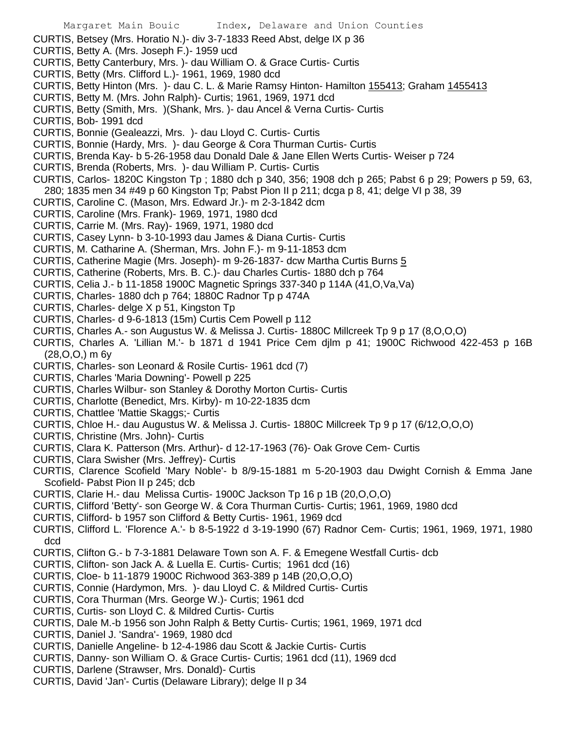- CURTIS, Betsey (Mrs. Horatio N.)- div 3-7-1833 Reed Abst, delge IX p 36
- CURTIS, Betty A. (Mrs. Joseph F.)- 1959 ucd
- CURTIS, Betty Canterbury, Mrs. )- dau William O. & Grace Curtis- Curtis
- CURTIS, Betty (Mrs. Clifford L.)- 1961, 1969, 1980 dcd
- CURTIS, Betty Hinton (Mrs. )- dau C. L. & Marie Ramsy Hinton- Hamilton 155413; Graham 1455413
- CURTIS, Betty M. (Mrs. John Ralph)- Curtis; 1961, 1969, 1971 dcd
- CURTIS, Betty (Smith, Mrs. )(Shank, Mrs. )- dau Ancel & Verna Curtis- Curtis
- CURTIS, Bob- 1991 dcd
- CURTIS, Bonnie (Gealeazzi, Mrs. )- dau Lloyd C. Curtis- Curtis
- CURTIS, Bonnie (Hardy, Mrs. )- dau George & Cora Thurman Curtis- Curtis
- CURTIS, Brenda Kay- b 5-26-1958 dau Donald Dale & Jane Ellen Werts Curtis- Weiser p 724
- CURTIS, Brenda (Roberts, Mrs. )- dau William P. Curtis- Curtis
- CURTIS, Carlos- 1820C Kingston Tp ; 1880 dch p 340, 356; 1908 dch p 265; Pabst 6 p 29; Powers p 59, 63, 280; 1835 men 34 #49 p 60 Kingston Tp; Pabst Pion II p 211; dcga p 8, 41; delge VI p 38, 39
- CURTIS, Caroline C. (Mason, Mrs. Edward Jr.)- m 2-3-1842 dcm
- CURTIS, Caroline (Mrs. Frank)- 1969, 1971, 1980 dcd
- CURTIS, Carrie M. (Mrs. Ray)- 1969, 1971, 1980 dcd
- CURTIS, Casey Lynn- b 3-10-1993 dau James & Diana Curtis- Curtis
- CURTIS, M. Catharine A. (Sherman, Mrs. John F.)- m 9-11-1853 dcm
- CURTIS, Catherine Magie (Mrs. Joseph)- m 9-26-1837- dcw Martha Curtis Burns 5
- CURTIS, Catherine (Roberts, Mrs. B. C.)- dau Charles Curtis- 1880 dch p 764
- CURTIS, Celia J.- b 11-1858 1900C Magnetic Springs 337-340 p 114A (41,O,Va,Va)
- CURTIS, Charles- 1880 dch p 764; 1880C Radnor Tp p 474A
- CURTIS, Charles- delge X p 51, Kingston Tp
- CURTIS, Charles- d 9-6-1813 (15m) Curtis Cem Powell p 112
- CURTIS, Charles A.- son Augustus W. & Melissa J. Curtis- 1880C Millcreek Tp 9 p 17 (8,O,O,O)
- CURTIS, Charles A. 'Lillian M.'- b 1871 d 1941 Price Cem djlm p 41; 1900C Richwood 422-453 p 16B (28,O,O,) m 6y
- CURTIS, Charles- son Leonard & Rosile Curtis- 1961 dcd (7)
- CURTIS, Charles 'Maria Downing'- Powell p 225
- CURTIS, Charles Wilbur- son Stanley & Dorothy Morton Curtis- Curtis
- CURTIS, Charlotte (Benedict, Mrs. Kirby)- m 10-22-1835 dcm
- CURTIS, Chattlee 'Mattie Skaggs;- Curtis
- CURTIS, Chloe H.- dau Augustus W. & Melissa J. Curtis- 1880C Millcreek Tp 9 p 17 (6/12,O,O,O)
- CURTIS, Christine (Mrs. John)- Curtis
- CURTIS, Clara K. Patterson (Mrs. Arthur)- d 12-17-1963 (76)- Oak Grove Cem- Curtis
- CURTIS, Clara Swisher (Mrs. Jeffrey)- Curtis
- CURTIS, Clarence Scofield 'Mary Noble'- b 8/9-15-1881 m 5-20-1903 dau Dwight Cornish & Emma Jane Scofield- Pabst Pion II p 245; dcb
- CURTIS, Clarie H.- dau Melissa Curtis- 1900C Jackson Tp 16 p 1B (20,O,O,O)
- CURTIS, Clifford 'Betty'- son George W. & Cora Thurman Curtis- Curtis; 1961, 1969, 1980 dcd
- CURTIS, Clifford- b 1957 son Clifford & Betty Curtis- 1961, 1969 dcd
- CURTIS, Clifford L. 'Florence A.'- b 8-5-1922 d 3-19-1990 (67) Radnor Cem- Curtis; 1961, 1969, 1971, 1980 dcd
- CURTIS, Clifton G.- b 7-3-1881 Delaware Town son A. F. & Emegene Westfall Curtis- dcb
- CURTIS, Clifton- son Jack A. & Luella E. Curtis- Curtis; 1961 dcd (16)
- CURTIS, Cloe- b 11-1879 1900C Richwood 363-389 p 14B (20,O,O,O)
- CURTIS, Connie (Hardymon, Mrs. )- dau Lloyd C. & Mildred Curtis- Curtis
- CURTIS, Cora Thurman (Mrs. George W.)- Curtis; 1961 dcd
- CURTIS, Curtis- son Lloyd C. & Mildred Curtis- Curtis
- CURTIS, Dale M.-b 1956 son John Ralph & Betty Curtis- Curtis; 1961, 1969, 1971 dcd
- CURTIS, Daniel J. 'Sandra'- 1969, 1980 dcd
- CURTIS, Danielle Angeline- b 12-4-1986 dau Scott & Jackie Curtis- Curtis
- CURTIS, Danny- son William O. & Grace Curtis- Curtis; 1961 dcd (11), 1969 dcd
- CURTIS, Darlene (Strawser, Mrs. Donald)- Curtis
- CURTIS, David 'Jan'- Curtis (Delaware Library); delge II p 34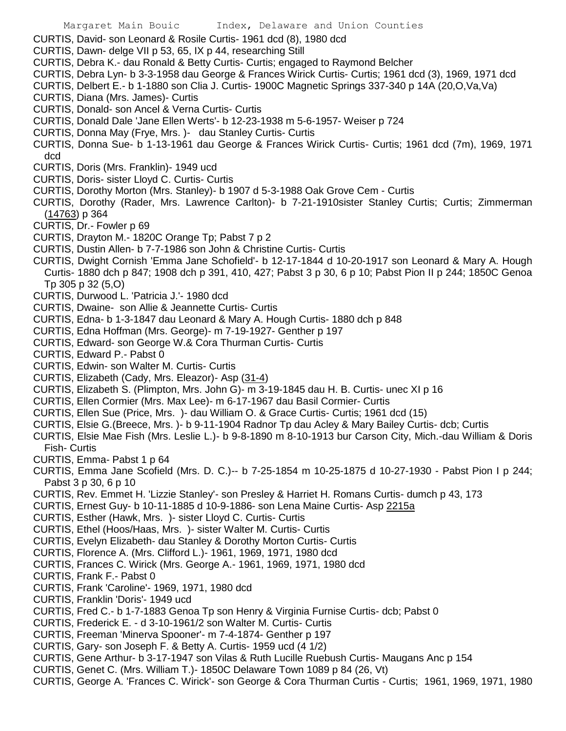- CURTIS, David- son Leonard & Rosile Curtis- 1961 dcd (8), 1980 dcd
- CURTIS, Dawn- delge VII p 53, 65, IX p 44, researching Still
- CURTIS, Debra K.- dau Ronald & Betty Curtis- Curtis; engaged to Raymond Belcher
- CURTIS, Debra Lyn- b 3-3-1958 dau George & Frances Wirick Curtis- Curtis; 1961 dcd (3), 1969, 1971 dcd
- CURTIS, Delbert E.- b 1-1880 son Clia J. Curtis- 1900C Magnetic Springs 337-340 p 14A (20,O,Va,Va)
- CURTIS, Diana (Mrs. James)- Curtis
- CURTIS, Donald- son Ancel & Verna Curtis- Curtis
- CURTIS, Donald Dale 'Jane Ellen Werts'- b 12-23-1938 m 5-6-1957- Weiser p 724
- CURTIS, Donna May (Frye, Mrs. )- dau Stanley Curtis- Curtis
- CURTIS, Donna Sue- b 1-13-1961 dau George & Frances Wirick Curtis- Curtis; 1961 dcd (7m), 1969, 1971 dcd
- CURTIS, Doris (Mrs. Franklin)- 1949 ucd
- CURTIS, Doris- sister Lloyd C. Curtis- Curtis
- CURTIS, Dorothy Morton (Mrs. Stanley)- b 1907 d 5-3-1988 Oak Grove Cem Curtis
- CURTIS, Dorothy (Rader, Mrs. Lawrence Carlton)- b 7-21-1910sister Stanley Curtis; Curtis; Zimmerman (14763) p 364
- CURTIS, Dr.- Fowler p 69
- CURTIS, Drayton M.- 1820C Orange Tp; Pabst 7 p 2
- CURTIS, Dustin Allen- b 7-7-1986 son John & Christine Curtis- Curtis
- CURTIS, Dwight Cornish 'Emma Jane Schofield'- b 12-17-1844 d 10-20-1917 son Leonard & Mary A. Hough Curtis- 1880 dch p 847; 1908 dch p 391, 410, 427; Pabst 3 p 30, 6 p 10; Pabst Pion II p 244; 1850C Genoa Tp 305 p 32 (5,O)
- CURTIS, Durwood L. 'Patricia J.'- 1980 dcd
- CURTIS, Dwaine- son Allie & Jeannette Curtis- Curtis
- CURTIS, Edna- b 1-3-1847 dau Leonard & Mary A. Hough Curtis- 1880 dch p 848
- CURTIS, Edna Hoffman (Mrs. George)- m 7-19-1927- Genther p 197
- CURTIS, Edward- son George W.& Cora Thurman Curtis- Curtis
- CURTIS, Edward P.- Pabst 0
- CURTIS, Edwin- son Walter M. Curtis- Curtis
- CURTIS, Elizabeth (Cady, Mrs. Eleazor)- Asp (31-4)
- CURTIS, Elizabeth S. (Plimpton, Mrs. John G)- m 3-19-1845 dau H. B. Curtis- unec XI p 16
- CURTIS, Ellen Cormier (Mrs. Max Lee)- m 6-17-1967 dau Basil Cormier- Curtis
- CURTIS, Ellen Sue (Price, Mrs. )- dau William O. & Grace Curtis- Curtis; 1961 dcd (15)
- CURTIS, Elsie G.(Breece, Mrs. )- b 9-11-1904 Radnor Tp dau Acley & Mary Bailey Curtis- dcb; Curtis
- CURTIS, Elsie Mae Fish (Mrs. Leslie L.)- b 9-8-1890 m 8-10-1913 bur Carson City, Mich.-dau William & Doris Fish- Curtis
- CURTIS, Emma- Pabst 1 p 64
- CURTIS, Emma Jane Scofield (Mrs. D. C.)-- b 7-25-1854 m 10-25-1875 d 10-27-1930 Pabst Pion I p 244; Pabst 3 p 30, 6 p 10
- CURTIS, Rev. Emmet H. 'Lizzie Stanley'- son Presley & Harriet H. Romans Curtis- dumch p 43, 173
- CURTIS, Ernest Guy- b 10-11-1885 d 10-9-1886- son Lena Maine Curtis- Asp 2215a
- CURTIS, Esther (Hawk, Mrs. )- sister Lloyd C. Curtis- Curtis
- CURTIS, Ethel (Hoos/Haas, Mrs. )- sister Walter M. Curtis- Curtis
- CURTIS, Evelyn Elizabeth- dau Stanley & Dorothy Morton Curtis- Curtis
- CURTIS, Florence A. (Mrs. Clifford L.)- 1961, 1969, 1971, 1980 dcd
- CURTIS, Frances C. Wirick (Mrs. George A.- 1961, 1969, 1971, 1980 dcd
- CURTIS, Frank F.- Pabst 0
- CURTIS, Frank 'Caroline'- 1969, 1971, 1980 dcd
- CURTIS, Franklin 'Doris'- 1949 ucd
- CURTIS, Fred C.- b 1-7-1883 Genoa Tp son Henry & Virginia Furnise Curtis- dcb; Pabst 0
- CURTIS, Frederick E. d 3-10-1961/2 son Walter M. Curtis- Curtis
- CURTIS, Freeman 'Minerva Spooner'- m 7-4-1874- Genther p 197
- CURTIS, Gary- son Joseph F. & Betty A. Curtis- 1959 ucd (4 1/2)
- CURTIS, Gene Arthur- b 3-17-1947 son Vilas & Ruth Lucille Ruebush Curtis- Maugans Anc p 154
- CURTIS, Genet C. (Mrs. William T.)- 1850C Delaware Town 1089 p 84 (26, Vt)
- CURTIS, George A. 'Frances C. Wirick'- son George & Cora Thurman Curtis Curtis; 1961, 1969, 1971, 1980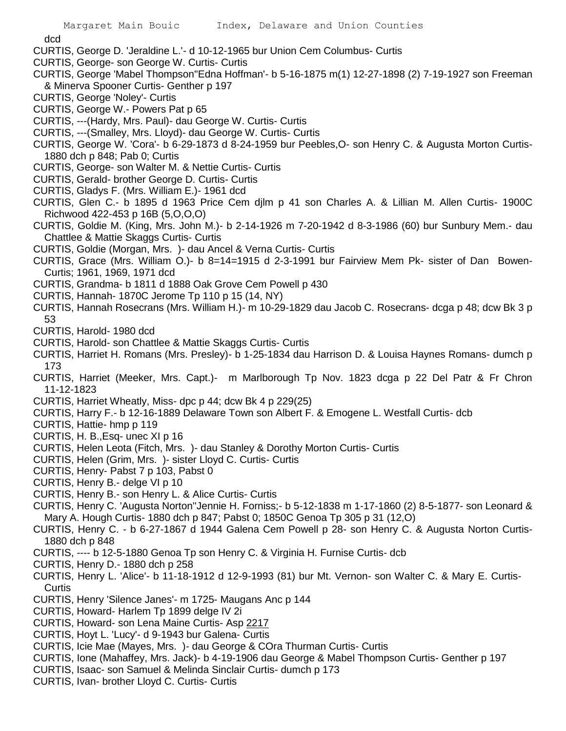dcd

- CURTIS, George D. 'Jeraldine L.'- d 10-12-1965 bur Union Cem Columbus- Curtis
- CURTIS, George- son George W. Curtis- Curtis
- CURTIS, George 'Mabel Thompson''Edna Hoffman'- b 5-16-1875 m(1) 12-27-1898 (2) 7-19-1927 son Freeman & Minerva Spooner Curtis- Genther p 197
- CURTIS, George 'Noley'- Curtis
- CURTIS, George W.- Powers Pat p 65
- CURTIS, ---(Hardy, Mrs. Paul)- dau George W. Curtis- Curtis
- CURTIS, ---(Smalley, Mrs. Lloyd)- dau George W. Curtis- Curtis
- CURTIS, George W. 'Cora'- b 6-29-1873 d 8-24-1959 bur Peebles,O- son Henry C. & Augusta Morton Curtis-1880 dch p 848; Pab 0; Curtis
- CURTIS, George- son Walter M. & Nettie Curtis- Curtis
- CURTIS, Gerald- brother George D. Curtis- Curtis
- CURTIS, Gladys F. (Mrs. William E.)- 1961 dcd
- CURTIS, Glen C.- b 1895 d 1963 Price Cem djlm p 41 son Charles A. & Lillian M. Allen Curtis- 1900C Richwood 422-453 p 16B (5,O,O,O)
- CURTIS, Goldie M. (King, Mrs. John M.)- b 2-14-1926 m 7-20-1942 d 8-3-1986 (60) bur Sunbury Mem.- dau Chattlee & Mattie Skaggs Curtis- Curtis
- CURTIS, Goldie (Morgan, Mrs. )- dau Ancel & Verna Curtis- Curtis
- CURTIS, Grace (Mrs. William O.)- b 8=14=1915 d 2-3-1991 bur Fairview Mem Pk- sister of Dan Bowen-Curtis; 1961, 1969, 1971 dcd
- CURTIS, Grandma- b 1811 d 1888 Oak Grove Cem Powell p 430
- CURTIS, Hannah- 1870C Jerome Tp 110 p 15 (14, NY)
- CURTIS, Hannah Rosecrans (Mrs. William H.)- m 10-29-1829 dau Jacob C. Rosecrans- dcga p 48; dcw Bk 3 p 53
- CURTIS, Harold- 1980 dcd
- CURTIS, Harold- son Chattlee & Mattie Skaggs Curtis- Curtis
- CURTIS, Harriet H. Romans (Mrs. Presley)- b 1-25-1834 dau Harrison D. & Louisa Haynes Romans- dumch p 173
- CURTIS, Harriet (Meeker, Mrs. Capt.)- m Marlborough Tp Nov. 1823 dcga p 22 Del Patr & Fr Chron 11-12-1823
- CURTIS, Harriet Wheatly, Miss- dpc p 44; dcw Bk 4 p 229(25)
- CURTIS, Harry F.- b 12-16-1889 Delaware Town son Albert F. & Emogene L. Westfall Curtis- dcb
- CURTIS, Hattie- hmp p 119
- CURTIS, H. B.,Esq- unec XI p 16
- CURTIS, Helen Leota (Fitch, Mrs. )- dau Stanley & Dorothy Morton Curtis- Curtis
- CURTIS, Helen (Grim, Mrs. )- sister Lloyd C. Curtis- Curtis
- CURTIS, Henry- Pabst 7 p 103, Pabst 0
- CURTIS, Henry B.- delge VI p 10
- CURTIS, Henry B.- son Henry L. & Alice Curtis- Curtis
- CURTIS, Henry C. 'Augusta Norton''Jennie H. Forniss;- b 5-12-1838 m 1-17-1860 (2) 8-5-1877- son Leonard & Mary A. Hough Curtis- 1880 dch p 847; Pabst 0; 1850C Genoa Tp 305 p 31 (12,O)
- CURTIS, Henry C. b 6-27-1867 d 1944 Galena Cem Powell p 28- son Henry C. & Augusta Norton Curtis-1880 dch p 848
- CURTIS, ---- b 12-5-1880 Genoa Tp son Henry C. & Virginia H. Furnise Curtis- dcb
- CURTIS, Henry D.- 1880 dch p 258
- CURTIS, Henry L. 'Alice'- b 11-18-1912 d 12-9-1993 (81) bur Mt. Vernon- son Walter C. & Mary E. Curtis-**Curtis**
- CURTIS, Henry 'Silence Janes'- m 1725- Maugans Anc p 144
- CURTIS, Howard- Harlem Tp 1899 delge IV 2i
- CURTIS, Howard- son Lena Maine Curtis- Asp 2217
- CURTIS, Hoyt L. 'Lucy'- d 9-1943 bur Galena- Curtis
- CURTIS, Icie Mae (Mayes, Mrs. )- dau George & COra Thurman Curtis- Curtis
- CURTIS, Ione (Mahaffey, Mrs. Jack)- b 4-19-1906 dau George & Mabel Thompson Curtis- Genther p 197
- CURTIS, Isaac- son Samuel & Melinda Sinclair Curtis- dumch p 173
- CURTIS, Ivan- brother Lloyd C. Curtis- Curtis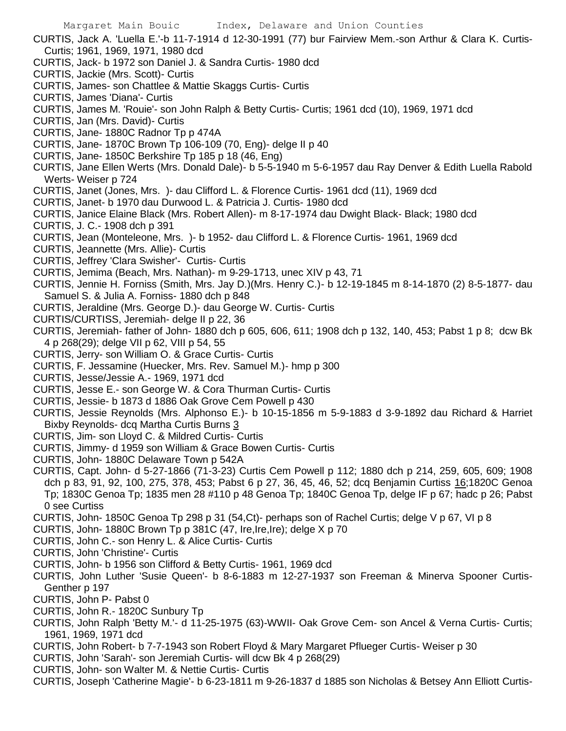CURTIS, Jack A. 'Luella E.'-b 11-7-1914 d 12-30-1991 (77) bur Fairview Mem.-son Arthur & Clara K. Curtis-Curtis; 1961, 1969, 1971, 1980 dcd

- CURTIS, Jack- b 1972 son Daniel J. & Sandra Curtis- 1980 dcd
- CURTIS, Jackie (Mrs. Scott)- Curtis
- CURTIS, James- son Chattlee & Mattie Skaggs Curtis- Curtis
- CURTIS, James 'Diana'- Curtis
- CURTIS, James M. 'Rouie'- son John Ralph & Betty Curtis- Curtis; 1961 dcd (10), 1969, 1971 dcd
- CURTIS, Jan (Mrs. David)- Curtis
- CURTIS, Jane- 1880C Radnor Tp p 474A
- CURTIS, Jane- 1870C Brown Tp 106-109 (70, Eng)- delge II p 40
- CURTIS, Jane- 1850C Berkshire Tp 185 p 18 (46, Eng)
- CURTIS, Jane Ellen Werts (Mrs. Donald Dale)- b 5-5-1940 m 5-6-1957 dau Ray Denver & Edith Luella Rabold Werts- Weiser p 724
- CURTIS, Janet (Jones, Mrs. )- dau Clifford L. & Florence Curtis- 1961 dcd (11), 1969 dcd
- CURTIS, Janet- b 1970 dau Durwood L. & Patricia J. Curtis- 1980 dcd
- CURTIS, Janice Elaine Black (Mrs. Robert Allen)- m 8-17-1974 dau Dwight Black- Black; 1980 dcd
- CURTIS, J. C.- 1908 dch p 391
- CURTIS, Jean (Monteleone, Mrs. )- b 1952- dau Clifford L. & Florence Curtis- 1961, 1969 dcd
- CURTIS, Jeannette (Mrs. Allie)- Curtis
- CURTIS, Jeffrey 'Clara Swisher'- Curtis- Curtis
- CURTIS, Jemima (Beach, Mrs. Nathan)- m 9-29-1713, unec XIV p 43, 71
- CURTIS, Jennie H. Forniss (Smith, Mrs. Jay D.)(Mrs. Henry C.)- b 12-19-1845 m 8-14-1870 (2) 8-5-1877- dau Samuel S. & Julia A. Forniss- 1880 dch p 848
- CURTIS, Jeraldine (Mrs. George D.)- dau George W. Curtis- Curtis
- CURTIS/CURTISS, Jeremiah- delge II p 22, 36
- CURTIS, Jeremiah- father of John- 1880 dch p 605, 606, 611; 1908 dch p 132, 140, 453; Pabst 1 p 8; dcw Bk 4 p 268(29); delge VII p 62, VIII p 54, 55
- CURTIS, Jerry- son William O. & Grace Curtis- Curtis
- CURTIS, F. Jessamine (Huecker, Mrs. Rev. Samuel M.)- hmp p 300
- CURTIS, Jesse/Jessie A.- 1969, 1971 dcd
- CURTIS, Jesse E.- son George W. & Cora Thurman Curtis- Curtis
- CURTIS, Jessie- b 1873 d 1886 Oak Grove Cem Powell p 430
- CURTIS, Jessie Reynolds (Mrs. Alphonso E.)- b 10-15-1856 m 5-9-1883 d 3-9-1892 dau Richard & Harriet Bixby Reynolds- dcq Martha Curtis Burns 3
- CURTIS, Jim- son Lloyd C. & Mildred Curtis- Curtis
- CURTIS, Jimmy- d 1959 son William & Grace Bowen Curtis- Curtis
- CURTIS, John- 1880C Delaware Town p 542A
- CURTIS, Capt. John- d 5-27-1866 (71-3-23) Curtis Cem Powell p 112; 1880 dch p 214, 259, 605, 609; 1908 dch p 83, 91, 92, 100, 275, 378, 453; Pabst 6 p 27, 36, 45, 46, 52; dcq Benjamin Curtiss 16;1820C Genoa Tp; 1830C Genoa Tp; 1835 men 28 #110 p 48 Genoa Tp; 1840C Genoa Tp, delge IF p 67; hadc p 26; Pabst 0 see Curtiss
- CURTIS, John- 1850C Genoa Tp 298 p 31 (54,Ct)- perhaps son of Rachel Curtis; delge V p 67, VI p 8
- CURTIS, John- 1880C Brown Tp p 381C (47, Ire,Ire,Ire); delge X p 70
- CURTIS, John C.- son Henry L. & Alice Curtis- Curtis
- CURTIS, John 'Christine'- Curtis
- CURTIS, John- b 1956 son Clifford & Betty Curtis- 1961, 1969 dcd
- CURTIS, John Luther 'Susie Queen'- b 8-6-1883 m 12-27-1937 son Freeman & Minerva Spooner Curtis-Genther p 197
- CURTIS, John P- Pabst 0
- CURTIS, John R.- 1820C Sunbury Tp
- CURTIS, John Ralph 'Betty M.'- d 11-25-1975 (63)-WWII- Oak Grove Cem- son Ancel & Verna Curtis- Curtis; 1961, 1969, 1971 dcd
- CURTIS, John Robert- b 7-7-1943 son Robert Floyd & Mary Margaret Pflueger Curtis- Weiser p 30
- CURTIS, John 'Sarah'- son Jeremiah Curtis- will dcw Bk 4 p 268(29)
- CURTIS, John- son Walter M. & Nettie Curtis- Curtis
- CURTIS, Joseph 'Catherine Magie'- b 6-23-1811 m 9-26-1837 d 1885 son Nicholas & Betsey Ann Elliott Curtis-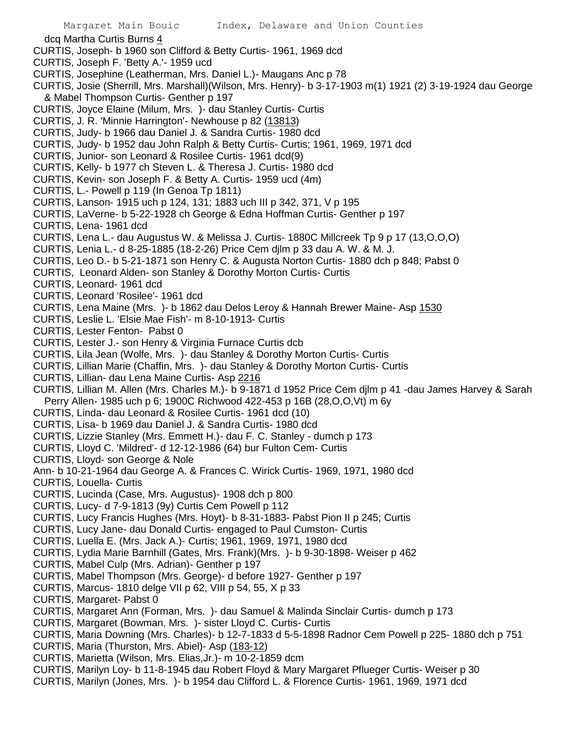- dcq Martha Curtis Burns 4
- CURTIS, Joseph- b 1960 son Clifford & Betty Curtis- 1961, 1969 dcd
- CURTIS, Joseph F. 'Betty A.'- 1959 ucd
- CURTIS, Josephine (Leatherman, Mrs. Daniel L.)- Maugans Anc p 78
- CURTIS, Josie (Sherrill, Mrs. Marshall)(Wilson, Mrs. Henry)- b 3-17-1903 m(1) 1921 (2) 3-19-1924 dau George & Mabel Thompson Curtis- Genther p 197
- CURTIS, Joyce Elaine (Milum, Mrs. )- dau Stanley Curtis- Curtis
- CURTIS, J. R. 'Minnie Harrington'- Newhouse p 82 (13813)
- CURTIS, Judy- b 1966 dau Daniel J. & Sandra Curtis- 1980 dcd
- CURTIS, Judy- b 1952 dau John Ralph & Betty Curtis- Curtis; 1961, 1969, 1971 dcd
- CURTIS, Junior- son Leonard & Rosilee Curtis- 1961 dcd(9)
- CURTIS, Kelly- b 1977 ch Steven L. & Theresa J. Curtis- 1980 dcd
- CURTIS, Kevin- son Joseph F. & Betty A. Curtis- 1959 ucd (4m)
- CURTIS, L.- Powell p 119 (In Genoa Tp 1811)
- CURTIS, Lanson- 1915 uch p 124, 131; 1883 uch III p 342, 371, V p 195
- CURTIS, LaVerne- b 5-22-1928 ch George & Edna Hoffman Curtis- Genther p 197
- CURTIS, Lena- 1961 dcd
- CURTIS, Lena L.- dau Augustus W. & Melissa J. Curtis- 1880C Millcreek Tp 9 p 17 (13,O,O,O)
- CURTIS, Lenia L.- d 8-25-1885 (18-2-26) Price Cem djlm p 33 dau A. W. & M. J.
- CURTIS, Leo D.- b 5-21-1871 son Henry C. & Augusta Norton Curtis- 1880 dch p 848; Pabst 0
- CURTIS, Leonard Alden- son Stanley & Dorothy Morton Curtis- Curtis
- CURTIS, Leonard- 1961 dcd
- CURTIS, Leonard 'Rosilee'- 1961 dcd
- CURTIS, Lena Maine (Mrs. )- b 1862 dau Delos Leroy & Hannah Brewer Maine- Asp 1530
- CURTIS, Leslie L. 'Elsie Mae Fish'- m 8-10-1913- Curtis
- CURTIS, Lester Fenton- Pabst 0
- CURTIS, Lester J.- son Henry & Virginia Furnace Curtis dcb
- CURTIS, Lila Jean (Wolfe, Mrs. )- dau Stanley & Dorothy Morton Curtis- Curtis
- CURTIS, Lillian Marie (Chaffin, Mrs. )- dau Stanley & Dorothy Morton Curtis- Curtis
- CURTIS, Lillian- dau Lena Maine Curtis- Asp 2216
- CURTIS, Lillian M. Allen (Mrs. Charles M.)- b 9-1871 d 1952 Price Cem djlm p 41 -dau James Harvey & Sarah Perry Allen- 1985 uch p 6; 1900C Richwood 422-453 p 16B (28,O,O,Vt) m 6y
- CURTIS, Linda- dau Leonard & Rosilee Curtis- 1961 dcd (10)
- CURTIS, Lisa- b 1969 dau Daniel J. & Sandra Curtis- 1980 dcd
- CURTIS, Lizzie Stanley (Mrs. Emmett H.)- dau F. C. Stanley dumch p 173
- CURTIS, Lloyd C. 'Mildred'- d 12-12-1986 (64) bur Fulton Cem- Curtis
- CURTIS, Lloyd- son George & Nole
- Ann- b 10-21-1964 dau George A. & Frances C. Wirick Curtis- 1969, 1971, 1980 dcd
- CURTIS, Louella- Curtis
- CURTIS, Lucinda (Case, Mrs. Augustus)- 1908 dch p 800
- CURTIS, Lucy- d 7-9-1813 (9y) Curtis Cem Powell p 112
- CURTIS, Lucy Francis Hughes (Mrs. Hoyt)- b 8-31-1883- Pabst Pion II p 245; Curtis
- CURTIS, Lucy Jane- dau Donald Curtis- engaged to Paul Cumston- Curtis
- CURTIS, Luella E. (Mrs. Jack A.)- Curtis; 1961, 1969, 1971, 1980 dcd
- CURTIS, Lydia Marie Barnhill (Gates, Mrs. Frank)(Mrs. )- b 9-30-1898- Weiser p 462
- CURTIS, Mabel Culp (Mrs. Adrian)- Genther p 197
- CURTIS, Mabel Thompson (Mrs. George)- d before 1927- Genther p 197
- CURTIS, Marcus- 1810 delge VII p 62, VIII p 54, 55, X p 33
- CURTIS, Margaret- Pabst 0
- CURTIS, Margaret Ann (Forman, Mrs. )- dau Samuel & Malinda Sinclair Curtis- dumch p 173
- CURTIS, Margaret (Bowman, Mrs. )- sister Lloyd C. Curtis- Curtis
- CURTIS, Maria Downing (Mrs. Charles)- b 12-7-1833 d 5-5-1898 Radnor Cem Powell p 225- 1880 dch p 751
- CURTIS, Maria (Thurston, Mrs. Abiel)- Asp (183-12)
- CURTIS, Marietta (Wilson, Mrs. Elias,Jr.)- m 10-2-1859 dcm
- CURTIS, Marilyn Loy- b 11-8-1945 dau Robert Floyd & Mary Margaret Pflueger Curtis- Weiser p 30
- CURTIS, Marilyn (Jones, Mrs. )- b 1954 dau Clifford L. & Florence Curtis- 1961, 1969, 1971 dcd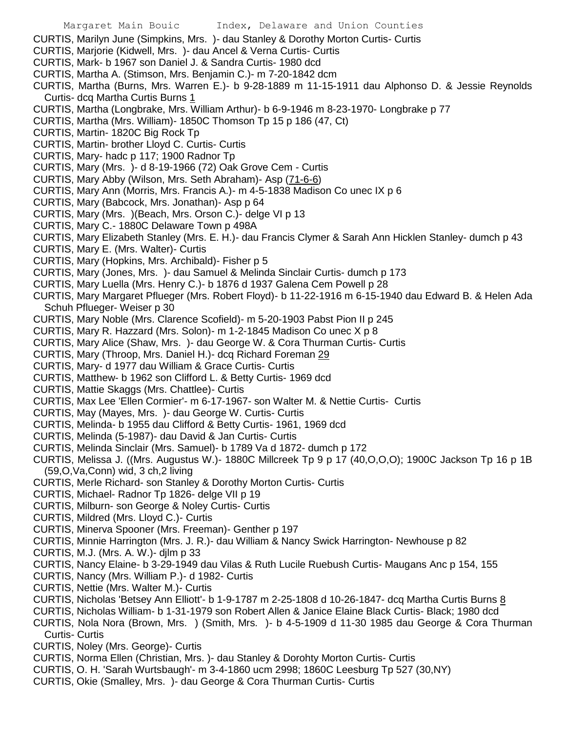- CURTIS, Marilyn June (Simpkins, Mrs. )- dau Stanley & Dorothy Morton Curtis- Curtis
- CURTIS, Marjorie (Kidwell, Mrs. )- dau Ancel & Verna Curtis- Curtis
- CURTIS, Mark- b 1967 son Daniel J. & Sandra Curtis- 1980 dcd
- CURTIS, Martha A. (Stimson, Mrs. Benjamin C.)- m 7-20-1842 dcm
- CURTIS, Martha (Burns, Mrs. Warren E.)- b 9-28-1889 m 11-15-1911 dau Alphonso D. & Jessie Reynolds Curtis- dcq Martha Curtis Burns 1
- CURTIS, Martha (Longbrake, Mrs. William Arthur)- b 6-9-1946 m 8-23-1970- Longbrake p 77
- CURTIS, Martha (Mrs. William)- 1850C Thomson Tp 15 p 186 (47, Ct)
- CURTIS, Martin- 1820C Big Rock Tp
- CURTIS, Martin- brother Lloyd C. Curtis- Curtis
- CURTIS, Mary- hadc p 117; 1900 Radnor Tp
- CURTIS, Mary (Mrs. )- d 8-19-1966 (72) Oak Grove Cem Curtis
- CURTIS, Mary Abby (Wilson, Mrs. Seth Abraham)- Asp (71-6-6)
- CURTIS, Mary Ann (Morris, Mrs. Francis A.)- m 4-5-1838 Madison Co unec IX p 6
- CURTIS, Mary (Babcock, Mrs. Jonathan)- Asp p 64
- CURTIS, Mary (Mrs. )(Beach, Mrs. Orson C.)- delge VI p 13
- CURTIS, Mary C.- 1880C Delaware Town p 498A
- CURTIS, Mary Elizabeth Stanley (Mrs. E. H.)- dau Francis Clymer & Sarah Ann Hicklen Stanley- dumch p 43
- CURTIS, Mary E. (Mrs. Walter)- Curtis
- CURTIS, Mary (Hopkins, Mrs. Archibald)- Fisher p 5
- CURTIS, Mary (Jones, Mrs. )- dau Samuel & Melinda Sinclair Curtis- dumch p 173
- CURTIS, Mary Luella (Mrs. Henry C.)- b 1876 d 1937 Galena Cem Powell p 28
- CURTIS, Mary Margaret Pflueger (Mrs. Robert Floyd)- b 11-22-1916 m 6-15-1940 dau Edward B. & Helen Ada Schuh Pflueger- Weiser p 30
- CURTIS, Mary Noble (Mrs. Clarence Scofield)- m 5-20-1903 Pabst Pion II p 245
- CURTIS, Mary R. Hazzard (Mrs. Solon)- m 1-2-1845 Madison Co unec X p 8
- CURTIS, Mary Alice (Shaw, Mrs. )- dau George W. & Cora Thurman Curtis- Curtis
- CURTIS, Mary (Throop, Mrs. Daniel H.)- dcq Richard Foreman 29
- CURTIS, Mary- d 1977 dau William & Grace Curtis- Curtis
- CURTIS, Matthew- b 1962 son Clifford L. & Betty Curtis- 1969 dcd
- CURTIS, Mattie Skaggs (Mrs. Chattlee)- Curtis
- CURTIS, Max Lee 'Ellen Cormier'- m 6-17-1967- son Walter M. & Nettie Curtis- Curtis
- CURTIS, May (Mayes, Mrs. )- dau George W. Curtis- Curtis
- CURTIS, Melinda- b 1955 dau Clifford & Betty Curtis- 1961, 1969 dcd
- CURTIS, Melinda (5-1987)- dau David & Jan Curtis- Curtis
- CURTIS, Melinda Sinclair (Mrs. Samuel)- b 1789 Va d 1872- dumch p 172
- CURTIS, Melissa J. ((Mrs. Augustus W.)- 1880C Millcreek Tp 9 p 17 (40,O,O,O); 1900C Jackson Tp 16 p 1B (59,O,Va,Conn) wid, 3 ch,2 living
- CURTIS, Merle Richard- son Stanley & Dorothy Morton Curtis- Curtis
- CURTIS, Michael- Radnor Tp 1826- delge VII p 19
- CURTIS, Milburn- son George & Noley Curtis- Curtis
- CURTIS, Mildred (Mrs. Lloyd C.)- Curtis
- CURTIS, Minerva Spooner (Mrs. Freeman)- Genther p 197
- CURTIS, Minnie Harrington (Mrs. J. R.)- dau William & Nancy Swick Harrington- Newhouse p 82
- CURTIS, M.J. (Mrs. A. W.)- djlm p 33
- CURTIS, Nancy Elaine- b 3-29-1949 dau Vilas & Ruth Lucile Ruebush Curtis- Maugans Anc p 154, 155
- CURTIS, Nancy (Mrs. William P.)- d 1982- Curtis
- CURTIS, Nettie (Mrs. Walter M.)- Curtis
- CURTIS, Nicholas 'Betsey Ann Elliott'- b 1-9-1787 m 2-25-1808 d 10-26-1847- dcq Martha Curtis Burns 8
- CURTIS, Nicholas William- b 1-31-1979 son Robert Allen & Janice Elaine Black Curtis- Black; 1980 dcd
- CURTIS, Nola Nora (Brown, Mrs. ) (Smith, Mrs. )- b 4-5-1909 d 11-30 1985 dau George & Cora Thurman Curtis- Curtis
- CURTIS, Noley (Mrs. George)- Curtis
- CURTIS, Norma Ellen (Christian, Mrs. )- dau Stanley & Dorohty Morton Curtis- Curtis
- CURTIS, O. H. 'Sarah Wurtsbaugh'- m 3-4-1860 ucm 2998; 1860C Leesburg Tp 527 (30,NY)
- CURTIS, Okie (Smalley, Mrs. )- dau George & Cora Thurman Curtis- Curtis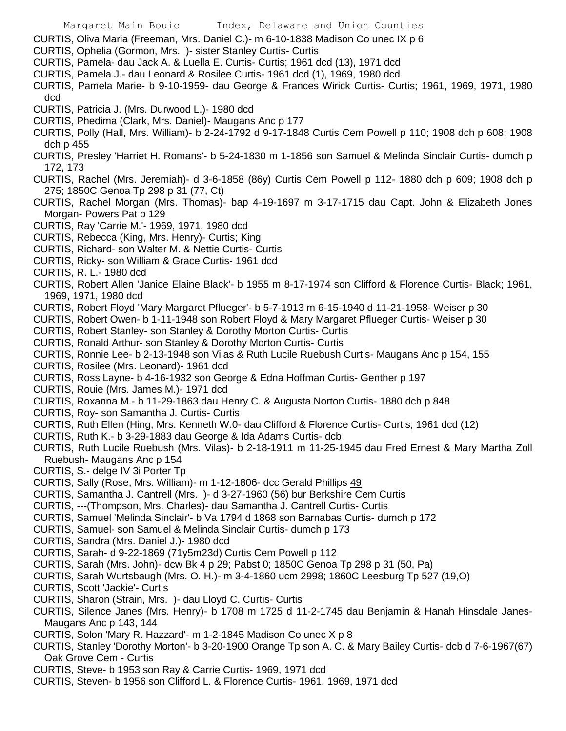CURTIS, Oliva Maria (Freeman, Mrs. Daniel C.)- m 6-10-1838 Madison Co unec IX p 6

- CURTIS, Ophelia (Gormon, Mrs. )- sister Stanley Curtis- Curtis
- CURTIS, Pamela- dau Jack A. & Luella E. Curtis- Curtis; 1961 dcd (13), 1971 dcd
- CURTIS, Pamela J.- dau Leonard & Rosilee Curtis- 1961 dcd (1), 1969, 1980 dcd
- CURTIS, Pamela Marie- b 9-10-1959- dau George & Frances Wirick Curtis- Curtis; 1961, 1969, 1971, 1980 dcd
- CURTIS, Patricia J. (Mrs. Durwood L.)- 1980 dcd
- CURTIS, Phedima (Clark, Mrs. Daniel)- Maugans Anc p 177
- CURTIS, Polly (Hall, Mrs. William)- b 2-24-1792 d 9-17-1848 Curtis Cem Powell p 110; 1908 dch p 608; 1908 dch p 455
- CURTIS, Presley 'Harriet H. Romans'- b 5-24-1830 m 1-1856 son Samuel & Melinda Sinclair Curtis- dumch p 172, 173
- CURTIS, Rachel (Mrs. Jeremiah)- d 3-6-1858 (86y) Curtis Cem Powell p 112- 1880 dch p 609; 1908 dch p 275; 1850C Genoa Tp 298 p 31 (77, Ct)
- CURTIS, Rachel Morgan (Mrs. Thomas)- bap 4-19-1697 m 3-17-1715 dau Capt. John & Elizabeth Jones Morgan- Powers Pat p 129
- CURTIS, Ray 'Carrie M.'- 1969, 1971, 1980 dcd
- CURTIS, Rebecca (King, Mrs. Henry)- Curtis; King
- CURTIS, Richard- son Walter M. & Nettie Curtis- Curtis
- CURTIS, Ricky- son William & Grace Curtis- 1961 dcd
- CURTIS, R. L.- 1980 dcd
- CURTIS, Robert Allen 'Janice Elaine Black'- b 1955 m 8-17-1974 son Clifford & Florence Curtis- Black; 1961, 1969, 1971, 1980 dcd
- CURTIS, Robert Floyd 'Mary Margaret Pflueger'- b 5-7-1913 m 6-15-1940 d 11-21-1958- Weiser p 30
- CURTIS, Robert Owen- b 1-11-1948 son Robert Floyd & Mary Margaret Pflueger Curtis- Weiser p 30
- CURTIS, Robert Stanley- son Stanley & Dorothy Morton Curtis- Curtis
- CURTIS, Ronald Arthur- son Stanley & Dorothy Morton Curtis- Curtis
- CURTIS, Ronnie Lee- b 2-13-1948 son Vilas & Ruth Lucile Ruebush Curtis- Maugans Anc p 154, 155
- CURTIS, Rosilee (Mrs. Leonard)- 1961 dcd
- CURTIS, Ross Layne- b 4-16-1932 son George & Edna Hoffman Curtis- Genther p 197
- CURTIS, Rouie (Mrs. James M.)- 1971 dcd
- CURTIS, Roxanna M.- b 11-29-1863 dau Henry C. & Augusta Norton Curtis- 1880 dch p 848
- CURTIS, Roy- son Samantha J. Curtis- Curtis
- CURTIS, Ruth Ellen (Hing, Mrs. Kenneth W.0- dau Clifford & Florence Curtis- Curtis; 1961 dcd (12)
- CURTIS, Ruth K.- b 3-29-1883 dau George & Ida Adams Curtis- dcb
- CURTIS, Ruth Lucile Ruebush (Mrs. Vilas)- b 2-18-1911 m 11-25-1945 dau Fred Ernest & Mary Martha Zoll Ruebush- Maugans Anc p 154
- CURTIS, S.- delge IV 3i Porter Tp
- CURTIS, Sally (Rose, Mrs. William)- m 1-12-1806- dcc Gerald Phillips 49
- CURTIS, Samantha J. Cantrell (Mrs. )- d 3-27-1960 (56) bur Berkshire Cem Curtis
- CURTIS, ---(Thompson, Mrs. Charles)- dau Samantha J. Cantrell Curtis- Curtis
- CURTIS, Samuel 'Melinda Sinclair'- b Va 1794 d 1868 son Barnabas Curtis- dumch p 172
- CURTIS, Samuel- son Samuel & Melinda Sinclair Curtis- dumch p 173
- CURTIS, Sandra (Mrs. Daniel J.)- 1980 dcd
- CURTIS, Sarah- d 9-22-1869 (71y5m23d) Curtis Cem Powell p 112
- CURTIS, Sarah (Mrs. John)- dcw Bk 4 p 29; Pabst 0; 1850C Genoa Tp 298 p 31 (50, Pa)
- CURTIS, Sarah Wurtsbaugh (Mrs. O. H.)- m 3-4-1860 ucm 2998; 1860C Leesburg Tp 527 (19,O)
- CURTIS, Scott 'Jackie'- Curtis
- CURTIS, Sharon (Strain, Mrs. )- dau Lloyd C. Curtis- Curtis
- CURTIS, Silence Janes (Mrs. Henry)- b 1708 m 1725 d 11-2-1745 dau Benjamin & Hanah Hinsdale Janes-Maugans Anc p 143, 144
- CURTIS, Solon 'Mary R. Hazzard'- m 1-2-1845 Madison Co unec X p 8
- CURTIS, Stanley 'Dorothy Morton'- b 3-20-1900 Orange Tp son A. C. & Mary Bailey Curtis- dcb d 7-6-1967(67) Oak Grove Cem - Curtis
- CURTIS, Steve- b 1953 son Ray & Carrie Curtis- 1969, 1971 dcd
- CURTIS, Steven- b 1956 son Clifford L. & Florence Curtis- 1961, 1969, 1971 dcd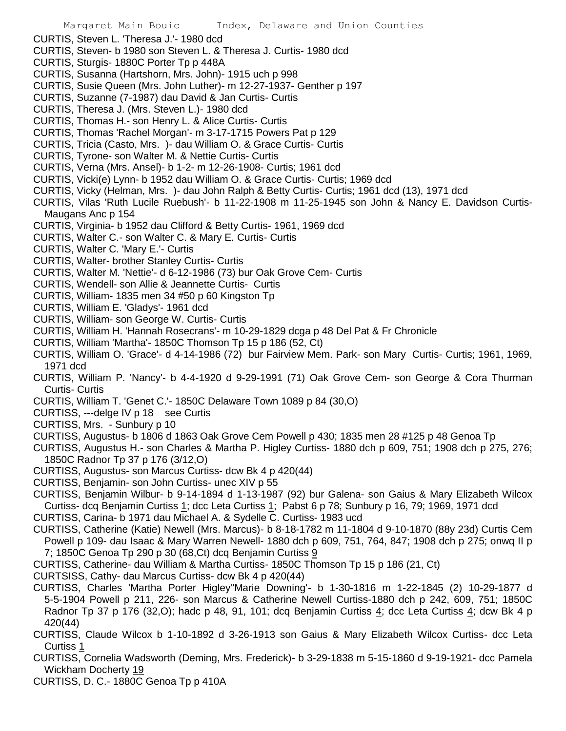- CURTIS, Steven L. 'Theresa J.'- 1980 dcd
- CURTIS, Steven- b 1980 son Steven L. & Theresa J. Curtis- 1980 dcd
- CURTIS, Sturgis- 1880C Porter Tp p 448A
- CURTIS, Susanna (Hartshorn, Mrs. John)- 1915 uch p 998
- CURTIS, Susie Queen (Mrs. John Luther)- m 12-27-1937- Genther p 197
- CURTIS, Suzanne (7-1987) dau David & Jan Curtis- Curtis
- CURTIS, Theresa J. (Mrs. Steven L.)- 1980 dcd
- CURTIS, Thomas H.- son Henry L. & Alice Curtis- Curtis
- CURTIS, Thomas 'Rachel Morgan'- m 3-17-1715 Powers Pat p 129
- CURTIS, Tricia (Casto, Mrs. )- dau William O. & Grace Curtis- Curtis
- CURTIS, Tyrone- son Walter M. & Nettie Curtis- Curtis
- CURTIS, Verna (Mrs. Ansel)- b 1-2- m 12-26-1908- Curtis; 1961 dcd
- CURTIS, Vicki(e) Lynn- b 1952 dau William O. & Grace Curtis- Curtis; 1969 dcd
- CURTIS, Vicky (Helman, Mrs. )- dau John Ralph & Betty Curtis- Curtis; 1961 dcd (13), 1971 dcd
- CURTIS, Vilas 'Ruth Lucile Ruebush'- b 11-22-1908 m 11-25-1945 son John & Nancy E. Davidson Curtis-Maugans Anc p 154
- CURTIS, Virginia- b 1952 dau Clifford & Betty Curtis- 1961, 1969 dcd
- CURTIS, Walter C.- son Walter C. & Mary E. Curtis- Curtis
- CURTIS, Walter C. 'Mary E.'- Curtis
- CURTIS, Walter- brother Stanley Curtis- Curtis
- CURTIS, Walter M. 'Nettie'- d 6-12-1986 (73) bur Oak Grove Cem- Curtis
- CURTIS, Wendell- son Allie & Jeannette Curtis- Curtis
- CURTIS, William- 1835 men 34 #50 p 60 Kingston Tp
- CURTIS, William E. 'Gladys'- 1961 dcd
- CURTIS, William- son George W. Curtis- Curtis
- CURTIS, William H. 'Hannah Rosecrans'- m 10-29-1829 dcga p 48 Del Pat & Fr Chronicle
- CURTIS, William 'Martha'- 1850C Thomson Tp 15 p 186 (52, Ct)
- CURTIS, William O. 'Grace'- d 4-14-1986 (72) bur Fairview Mem. Park- son Mary Curtis- Curtis; 1961, 1969, 1971 dcd
- CURTIS, William P. 'Nancy'- b 4-4-1920 d 9-29-1991 (71) Oak Grove Cem- son George & Cora Thurman Curtis- Curtis
- CURTIS, William T. 'Genet C.'- 1850C Delaware Town 1089 p 84 (30,O)
- CURTISS, ---delge IV p 18 see Curtis
- CURTISS, Mrs. Sunbury p 10
- CURTISS, Augustus- b 1806 d 1863 Oak Grove Cem Powell p 430; 1835 men 28 #125 p 48 Genoa Tp
- CURTISS, Augustus H.- son Charles & Martha P. Higley Curtiss- 1880 dch p 609, 751; 1908 dch p 275, 276; 1850C Radnor Tp 37 p 176 (3/12,O)
- CURTISS, Augustus- son Marcus Curtiss- dcw Bk 4 p 420(44)
- CURTISS, Benjamin- son John Curtiss- unec XIV p 55
- CURTISS, Benjamin Wilbur- b 9-14-1894 d 1-13-1987 (92) bur Galena- son Gaius & Mary Elizabeth Wilcox Curtiss- dcq Benjamin Curtiss 1; dcc Leta Curtiss 1; Pabst 6 p 78; Sunbury p 16, 79; 1969, 1971 dcd
- CURTISS, Carina- b 1971 dau Michael A. & Sydelle C. Curtiss- 1983 ucd
- CURTISS, Catherine (Katie) Newell (Mrs. Marcus)- b 8-18-1782 m 11-1804 d 9-10-1870 (88y 23d) Curtis Cem Powell p 109- dau Isaac & Mary Warren Newell- 1880 dch p 609, 751, 764, 847; 1908 dch p 275; onwq II p 7; 1850C Genoa Tp 290 p 30 (68, Ct) dcq Benjamin Curtiss  $9$
- CURTISS, Catherine- dau William & Martha Curtiss- 1850C Thomson Tp 15 p 186 (21, Ct)
- CURTSISS, Cathy- dau Marcus Curtiss- dcw Bk 4 p 420(44)
- CURTISS, Charles 'Martha Porter Higley''Marie Downing'- b 1-30-1816 m 1-22-1845 (2) 10-29-1877 d 5-5-1904 Powell p 211, 226- son Marcus & Catherine Newell Curtiss-1880 dch p 242, 609, 751; 1850C Radnor Tp 37 p 176 (32,O); hadc p 48, 91, 101; dcq Benjamin Curtiss 4; dcc Leta Curtiss 4; dcw Bk 4 p 420(44)
- CURTISS, Claude Wilcox b 1-10-1892 d 3-26-1913 son Gaius & Mary Elizabeth Wilcox Curtiss- dcc Leta Curtiss 1
- CURTISS, Cornelia Wadsworth (Deming, Mrs. Frederick)- b 3-29-1838 m 5-15-1860 d 9-19-1921- dcc Pamela Wickham Docherty 19
- CURTISS, D. C.- 1880C Genoa Tp p 410A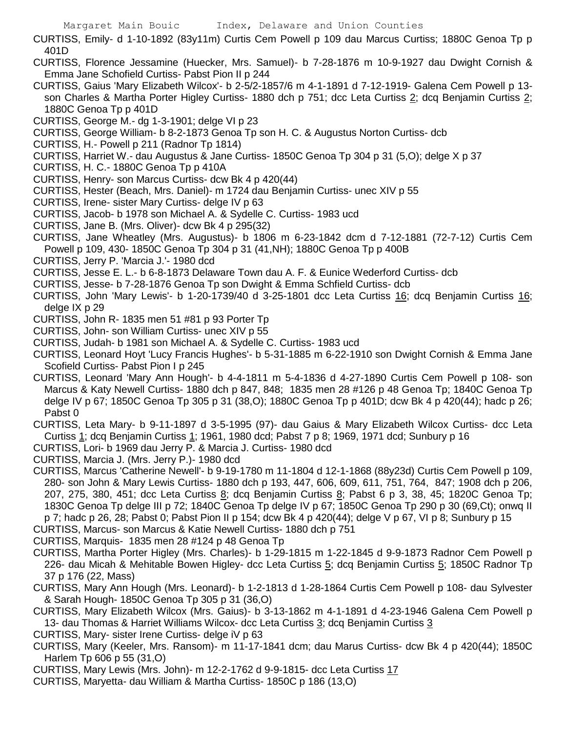- CURTISS, Emily- d 1-10-1892 (83y11m) Curtis Cem Powell p 109 dau Marcus Curtiss; 1880C Genoa Tp p 401D
- CURTISS, Florence Jessamine (Huecker, Mrs. Samuel)- b 7-28-1876 m 10-9-1927 dau Dwight Cornish & Emma Jane Schofield Curtiss- Pabst Pion II p 244
- CURTISS, Gaius 'Mary Elizabeth Wilcox'- b 2-5/2-1857/6 m 4-1-1891 d 7-12-1919- Galena Cem Powell p 13 son Charles & Martha Porter Higley Curtiss- 1880 dch p 751; dcc Leta Curtiss 2; dcq Benjamin Curtiss 2; 1880C Genoa Tp p 401D
- CURTISS, George M.- dg 1-3-1901; delge VI p 23
- CURTISS, George William- b 8-2-1873 Genoa Tp son H. C. & Augustus Norton Curtiss- dcb
- CURTISS, H.- Powell p 211 (Radnor Tp 1814)
- CURTISS, Harriet W.- dau Augustus & Jane Curtiss- 1850C Genoa Tp 304 p 31 (5,O); delge X p 37
- CURTISS, H. C.- 1880C Genoa Tp p 410A
- CURTISS, Henry- son Marcus Curtiss- dcw Bk 4 p 420(44)
- CURTISS, Hester (Beach, Mrs. Daniel)- m 1724 dau Benjamin Curtiss- unec XIV p 55
- CURTISS, Irene- sister Mary Curtiss- delge IV p 63
- CURTISS, Jacob- b 1978 son Michael A. & Sydelle C. Curtiss- 1983 ucd
- CURTISS, Jane B. (Mrs. Oliver)- dcw Bk 4 p 295(32)
- CURTISS, Jane Wheatley (Mrs. Augustus)- b 1806 m 6-23-1842 dcm d 7-12-1881 (72-7-12) Curtis Cem Powell p 109, 430- 1850C Genoa Tp 304 p 31 (41,NH); 1880C Genoa Tp p 400B
- CURTISS, Jerry P. 'Marcia J.'- 1980 dcd
- CURTISS, Jesse E. L.- b 6-8-1873 Delaware Town dau A. F. & Eunice Wederford Curtiss- dcb
- CURTISS, Jesse- b 7-28-1876 Genoa Tp son Dwight & Emma Schfield Curtiss- dcb
- CURTISS, John 'Mary Lewis'- b 1-20-1739/40 d 3-25-1801 dcc Leta Curtiss 16; dcq Benjamin Curtiss 16; delge IX p 29
- CURTISS, John R- 1835 men 51 #81 p 93 Porter Tp
- CURTISS, John- son William Curtiss- unec XIV p 55
- CURTISS, Judah- b 1981 son Michael A. & Sydelle C. Curtiss- 1983 ucd
- CURTISS, Leonard Hoyt 'Lucy Francis Hughes'- b 5-31-1885 m 6-22-1910 son Dwight Cornish & Emma Jane Scofield Curtiss- Pabst Pion I p 245
- CURTISS, Leonard 'Mary Ann Hough'- b 4-4-1811 m 5-4-1836 d 4-27-1890 Curtis Cem Powell p 108- son Marcus & Katy Newell Curtiss- 1880 dch p 847, 848; 1835 men 28 #126 p 48 Genoa Tp; 1840C Genoa Tp delge IV p 67; 1850C Genoa Tp 305 p 31 (38,O); 1880C Genoa Tp p 401D; dcw Bk 4 p 420(44); hadc p 26; Pabst 0
- CURTISS, Leta Mary- b 9-11-1897 d 3-5-1995 (97)- dau Gaius & Mary Elizabeth Wilcox Curtiss- dcc Leta Curtiss 1; dcq Benjamin Curtiss 1; 1961, 1980 dcd; Pabst 7 p 8; 1969, 1971 dcd; Sunbury p 16
- CURTISS, Lori- b 1969 dau Jerry P. & Marcia J. Curtiss- 1980 dcd
- CURTISS, Marcia J. (Mrs. Jerry P.)- 1980 dcd
- CURTISS, Marcus 'Catherine Newell'- b 9-19-1780 m 11-1804 d 12-1-1868 (88y23d) Curtis Cem Powell p 109, 280- son John & Mary Lewis Curtiss- 1880 dch p 193, 447, 606, 609, 611, 751, 764, 847; 1908 dch p 206, 207, 275, 380, 451; dcc Leta Curtiss 8; dcq Benjamin Curtiss 8; Pabst 6 p 3, 38, 45; 1820C Genoa Tp; 1830C Genoa Tp delge III p 72; 1840C Genoa Tp delge IV p 67; 1850C Genoa Tp 290 p 30 (69,Ct); onwq II p 7; hadc p 26, 28; Pabst 0; Pabst Pion II p 154; dcw Bk 4 p 420(44); delge V p 67, VI p 8; Sunbury p 15
- CURTISS, Marcus- son Marcus & Katie Newell Curtiss- 1880 dch p 751
- CURTISS, Marquis- 1835 men 28 #124 p 48 Genoa Tp
- CURTISS, Martha Porter Higley (Mrs. Charles)- b 1-29-1815 m 1-22-1845 d 9-9-1873 Radnor Cem Powell p 226- dau Micah & Mehitable Bowen Higley- dcc Leta Curtiss 5; dcq Benjamin Curtiss 5; 1850C Radnor Tp 37 p 176 (22, Mass)
- CURTISS, Mary Ann Hough (Mrs. Leonard)- b 1-2-1813 d 1-28-1864 Curtis Cem Powell p 108- dau Sylvester & Sarah Hough- 1850C Genoa Tp 305 p 31 (36,O)
- CURTISS, Mary Elizabeth Wilcox (Mrs. Gaius)- b 3-13-1862 m 4-1-1891 d 4-23-1946 Galena Cem Powell p 13- dau Thomas & Harriet Williams Wilcox- dcc Leta Curtiss 3; dcq Benjamin Curtiss 3
- CURTISS, Mary- sister Irene Curtiss- delge iV p 63
- CURTISS, Mary (Keeler, Mrs. Ransom)- m 11-17-1841 dcm; dau Marus Curtiss- dcw Bk 4 p 420(44); 1850C Harlem Tp 606 p 55 (31,O)
- CURTISS, Mary Lewis (Mrs. John)- m 12-2-1762 d 9-9-1815- dcc Leta Curtiss 17
- CURTISS, Maryetta- dau William & Martha Curtiss- 1850C p 186 (13,O)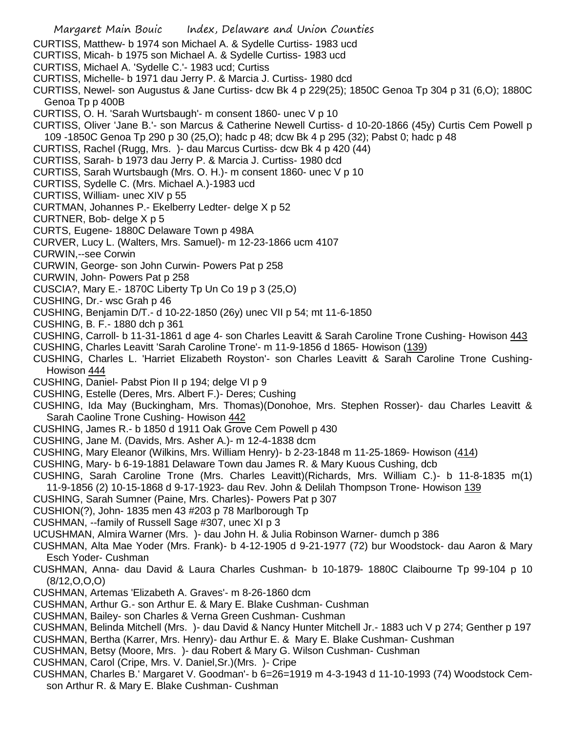- Margaret Main Bouic Index, Delaware and Union Counties CURTISS, Matthew- b 1974 son Michael A. & Sydelle Curtiss- 1983 ucd CURTISS, Micah- b 1975 son Michael A. & Sydelle Curtiss- 1983 ucd CURTISS, Michael A. 'Sydelle C.'- 1983 ucd; Curtiss CURTISS, Michelle- b 1971 dau Jerry P. & Marcia J. Curtiss- 1980 dcd CURTISS, Newel- son Augustus & Jane Curtiss- dcw Bk 4 p 229(25); 1850C Genoa Tp 304 p 31 (6,O); 1880C Genoa Tp p 400B CURTISS, O. H. 'Sarah Wurtsbaugh'- m consent 1860- unec V p 10 CURTISS, Oliver 'Jane B.'- son Marcus & Catherine Newell Curtiss- d 10-20-1866 (45y) Curtis Cem Powell p 109 -1850C Genoa Tp 290 p 30 (25,O); hadc p 48; dcw Bk 4 p 295 (32); Pabst 0; hadc p 48 CURTISS, Rachel (Rugg, Mrs. )- dau Marcus Curtiss- dcw Bk 4 p 420 (44) CURTISS, Sarah- b 1973 dau Jerry P. & Marcia J. Curtiss- 1980 dcd CURTISS, Sarah Wurtsbaugh (Mrs. O. H.)- m consent 1860- unec V p 10 CURTISS, Sydelle C. (Mrs. Michael A.)-1983 ucd CURTISS, William- unec XIV p 55 CURTMAN, Johannes P.- Ekelberry Ledter- delge X p 52 CURTNER, Bob- delge X p 5 CURTS, Eugene- 1880C Delaware Town p 498A CURVER, Lucy L. (Walters, Mrs. Samuel)- m 12-23-1866 ucm 4107 CURWIN,--see Corwin CURWIN, George- son John Curwin- Powers Pat p 258 CURWIN, John- Powers Pat p 258 CUSCIA?, Mary E.- 1870C Liberty Tp Un Co 19 p 3 (25,O) CUSHING, Dr.- wsc Grah p 46 CUSHING, Benjamin D/T.- d 10-22-1850 (26y) unec VII p 54; mt 11-6-1850 CUSHING, B. F.- 1880 dch p 361 CUSHING, Carroll- b 11-31-1861 d age 4- son Charles Leavitt & Sarah Caroline Trone Cushing- Howison 443 CUSHING, Charles Leavitt 'Sarah Caroline Trone'- m 11-9-1856 d 1865- Howison (139) CUSHING, Charles L. 'Harriet Elizabeth Royston'- son Charles Leavitt & Sarah Caroline Trone Cushing-Howison 444
- CUSHING, Daniel- Pabst Pion II p 194; delge VI p 9
- CUSHING, Estelle (Deres, Mrs. Albert F.)- Deres; Cushing
- CUSHING, Ida May (Buckingham, Mrs. Thomas)(Donohoe, Mrs. Stephen Rosser)- dau Charles Leavitt & Sarah Caoline Trone Cushing- Howison 442
- CUSHING, James R.- b 1850 d 1911 Oak Grove Cem Powell p 430
- CUSHING, Jane M. (Davids, Mrs. Asher A.)- m 12-4-1838 dcm
- CUSHING, Mary Eleanor (Wilkins, Mrs. William Henry)- b 2-23-1848 m 11-25-1869- Howison (414)
- CUSHING, Mary- b 6-19-1881 Delaware Town dau James R. & Mary Kuous Cushing, dcb
- CUSHING, Sarah Caroline Trone (Mrs. Charles Leavitt)(Richards, Mrs. William C.)- b 11-8-1835 m(1) 11-9-1856 (2) 10-15-1868 d 9-17-1923- dau Rev. John & Delilah Thompson Trone- Howison 139
- CUSHING, Sarah Sumner (Paine, Mrs. Charles)- Powers Pat p 307
- CUSHION(?), John- 1835 men 43 #203 p 78 Marlborough Tp
- CUSHMAN, --family of Russell Sage #307, unec XI p 3
- UCUSHMAN, Almira Warner (Mrs. )- dau John H. & Julia Robinson Warner- dumch p 386
- CUSHMAN, Alta Mae Yoder (Mrs. Frank)- b 4-12-1905 d 9-21-1977 (72) bur Woodstock- dau Aaron & Mary Esch Yoder- Cushman
- CUSHMAN, Anna- dau David & Laura Charles Cushman- b 10-1879- 1880C Claibourne Tp 99-104 p 10 (8/12,O,O,O)
- CUSHMAN, Artemas 'Elizabeth A. Graves'- m 8-26-1860 dcm
- CUSHMAN, Arthur G.- son Arthur E. & Mary E. Blake Cushman- Cushman
- CUSHMAN, Bailey- son Charles & Verna Green Cushman- Cushman
- CUSHMAN, Belinda Mitchell (Mrs. )- dau David & Nancy Hunter Mitchell Jr.- 1883 uch V p 274; Genther p 197
- CUSHMAN, Bertha (Karrer, Mrs. Henry)- dau Arthur E. & Mary E. Blake Cushman- Cushman
- CUSHMAN, Betsy (Moore, Mrs. )- dau Robert & Mary G. Wilson Cushman- Cushman
- CUSHMAN, Carol (Cripe, Mrs. V. Daniel,Sr.)(Mrs. )- Cripe
- CUSHMAN, Charles B.' Margaret V. Goodman'- b 6=26=1919 m 4-3-1943 d 11-10-1993 (74) Woodstock Cemson Arthur R. & Mary E. Blake Cushman- Cushman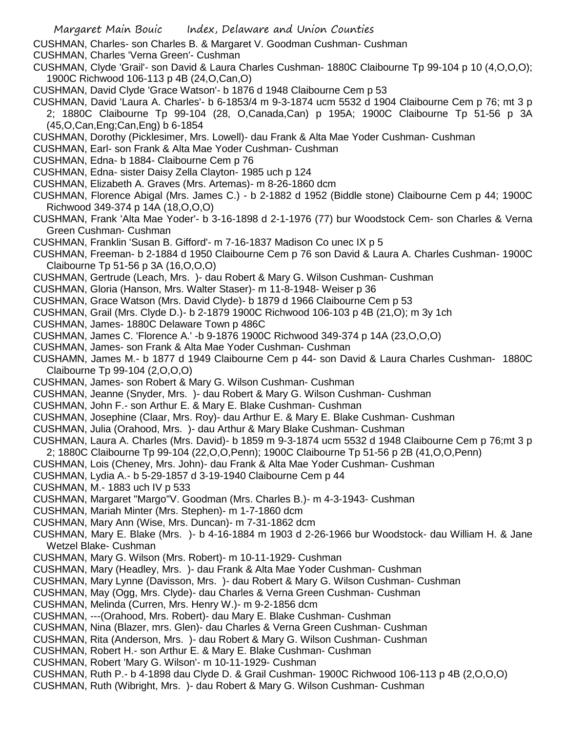CUSHMAN, Charles- son Charles B. & Margaret V. Goodman Cushman- Cushman

CUSHMAN, Charles 'Verna Green'- Cushman

- CUSHMAN, Clyde 'Grail'- son David & Laura Charles Cushman- 1880C Claibourne Tp 99-104 p 10 (4,O,O,O); 1900C Richwood 106-113 p 4B (24,O,Can,O)
- CUSHMAN, David Clyde 'Grace Watson'- b 1876 d 1948 Claibourne Cem p 53
- CUSHMAN, David 'Laura A. Charles'- b 6-1853/4 m 9-3-1874 ucm 5532 d 1904 Claibourne Cem p 76; mt 3 p 2; 1880C Claibourne Tp 99-104 (28, O,Canada,Can) p 195A; 1900C Claibourne Tp 51-56 p 3A (45,O,Can,Eng;Can,Eng) b 6-1854
- CUSHMAN, Dorothy (Picklesimer, Mrs. Lowell)- dau Frank & Alta Mae Yoder Cushman- Cushman
- CUSHMAN, Earl- son Frank & Alta Mae Yoder Cushman- Cushman
- CUSHMAN, Edna- b 1884- Claibourne Cem p 76
- CUSHMAN, Edna- sister Daisy Zella Clayton- 1985 uch p 124
- CUSHMAN, Elizabeth A. Graves (Mrs. Artemas)- m 8-26-1860 dcm
- CUSHMAN, Florence Abigal (Mrs. James C.) b 2-1882 d 1952 (Biddle stone) Claibourne Cem p 44; 1900C Richwood 349-374 p 14A (18,O,O,O)
- CUSHMAN, Frank 'Alta Mae Yoder'- b 3-16-1898 d 2-1-1976 (77) bur Woodstock Cem- son Charles & Verna Green Cushman- Cushman
- CUSHMAN, Franklin 'Susan B. Gifford'- m 7-16-1837 Madison Co unec IX p 5
- CUSHMAN, Freeman- b 2-1884 d 1950 Claibourne Cem p 76 son David & Laura A. Charles Cushman- 1900C Claibourne Tp 51-56 p 3A (16,O,O,O)
- CUSHMAN, Gertrude (Leach, Mrs. )- dau Robert & Mary G. Wilson Cushman- Cushman
- CUSHMAN, Gloria (Hanson, Mrs. Walter Staser)- m 11-8-1948- Weiser p 36
- CUSHMAN, Grace Watson (Mrs. David Clyde)- b 1879 d 1966 Claibourne Cem p 53
- CUSHMAN, Grail (Mrs. Clyde D.)- b 2-1879 1900C Richwood 106-103 p 4B (21,O); m 3y 1ch
- CUSHMAN, James- 1880C Delaware Town p 486C
- CUSHMAN, James C. 'Florence A.' -b 9-1876 1900C Richwood 349-374 p 14A (23,O,O,O)
- CUSHMAN, James- son Frank & Alta Mae Yoder Cushman- Cushman
- CUSHAMN, James M.- b 1877 d 1949 Claibourne Cem p 44- son David & Laura Charles Cushman- 1880C Claibourne Tp 99-104 (2,O,O,O)
- CUSHMAN, James- son Robert & Mary G. Wilson Cushman- Cushman
- CUSHMAN, Jeanne (Snyder, Mrs. )- dau Robert & Mary G. Wilson Cushman- Cushman
- CUSHMAN, John F.- son Arthur E. & Mary E. Blake Cushman- Cushman
- CUSHMAN, Josephine (Claar, Mrs. Roy)- dau Arthur E. & Mary E. Blake Cushman- Cushman
- CUSHMAN, Julia (Orahood, Mrs. )- dau Arthur & Mary Blake Cushman- Cushman
- CUSHMAN, Laura A. Charles (Mrs. David)- b 1859 m 9-3-1874 ucm 5532 d 1948 Claibourne Cem p 76;mt 3 p 2; 1880C Claibourne Tp 99-104 (22,O,O,Penn); 1900C Claibourne Tp 51-56 p 2B (41,O,O,Penn)
- CUSHMAN, Lois (Cheney, Mrs. John)- dau Frank & Alta Mae Yoder Cushman- Cushman
- CUSHMAN, Lydia A.- b 5-29-1857 d 3-19-1940 Claibourne Cem p 44
- CUSHMAN, M.- 1883 uch IV p 533
- CUSHMAN, Margaret "Margo"V. Goodman (Mrs. Charles B.)- m 4-3-1943- Cushman
- CUSHMAN, Mariah Minter (Mrs. Stephen)- m 1-7-1860 dcm
- CUSHMAN, Mary Ann (Wise, Mrs. Duncan)- m 7-31-1862 dcm
- CUSHMAN, Mary E. Blake (Mrs. )- b 4-16-1884 m 1903 d 2-26-1966 bur Woodstock- dau William H. & Jane Wetzel Blake- Cushman
- CUSHMAN, Mary G. Wilson (Mrs. Robert)- m 10-11-1929- Cushman
- CUSHMAN, Mary (Headley, Mrs. )- dau Frank & Alta Mae Yoder Cushman- Cushman
- CUSHMAN, Mary Lynne (Davisson, Mrs. )- dau Robert & Mary G. Wilson Cushman- Cushman
- CUSHMAN, May (Ogg, Mrs. Clyde)- dau Charles & Verna Green Cushman- Cushman
- CUSHMAN, Melinda (Curren, Mrs. Henry W.)- m 9-2-1856 dcm
- CUSHMAN, ---(Orahood, Mrs. Robert)- dau Mary E. Blake Cushman- Cushman
- CUSHMAN, Nina (Blazer, mrs. Glen)- dau Charles & Verna Green Cushman- Cushman
- CUSHMAN, Rita (Anderson, Mrs. )- dau Robert & Mary G. Wilson Cushman- Cushman
- CUSHMAN, Robert H.- son Arthur E. & Mary E. Blake Cushman- Cushman
- CUSHMAN, Robert 'Mary G. Wilson'- m 10-11-1929- Cushman
- CUSHMAN, Ruth P.- b 4-1898 dau Clyde D. & Grail Cushman- 1900C Richwood 106-113 p 4B (2,O,O,O)
- CUSHMAN, Ruth (Wibright, Mrs. )- dau Robert & Mary G. Wilson Cushman- Cushman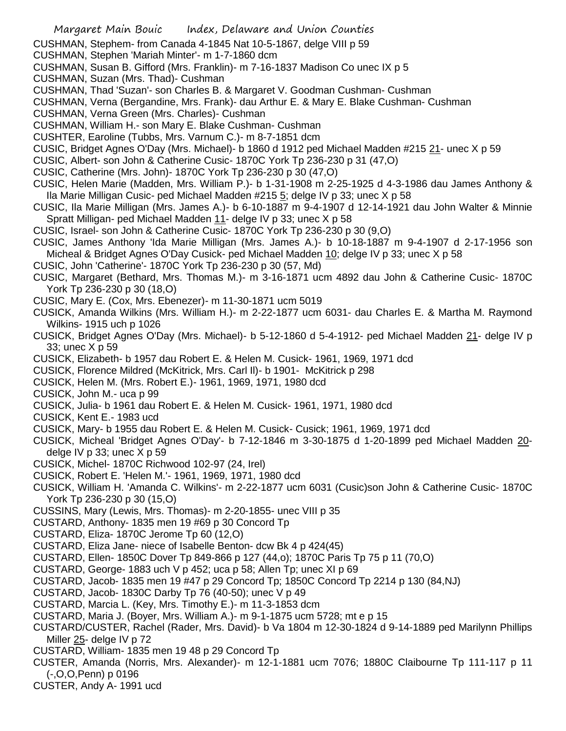CUSHMAN, Stephem- from Canada 4-1845 Nat 10-5-1867, delge VIII p 59

- CUSHMAN, Stephen 'Mariah Minter'- m 1-7-1860 dcm
- CUSHMAN, Susan B. Gifford (Mrs. Franklin)- m 7-16-1837 Madison Co unec IX p 5
- CUSHMAN, Suzan (Mrs. Thad)- Cushman
- CUSHMAN, Thad 'Suzan'- son Charles B. & Margaret V. Goodman Cushman- Cushman
- CUSHMAN, Verna (Bergandine, Mrs. Frank)- dau Arthur E. & Mary E. Blake Cushman- Cushman
- CUSHMAN, Verna Green (Mrs. Charles)- Cushman
- CUSHMAN, William H.- son Mary E. Blake Cushman- Cushman
- CUSHTER, Earoline (Tubbs, Mrs. Varnum C.)- m 8-7-1851 dcm
- CUSIC, Bridget Agnes O'Day (Mrs. Michael)- b 1860 d 1912 ped Michael Madden #215 21- unec X p 59
- CUSIC, Albert- son John & Catherine Cusic- 1870C York Tp 236-230 p 31 (47,O)
- CUSIC, Catherine (Mrs. John)- 1870C York Tp 236-230 p 30 (47,O)
- CUSIC, Helen Marie (Madden, Mrs. William P.)- b 1-31-1908 m 2-25-1925 d 4-3-1986 dau James Anthony & Ila Marie Milligan Cusic- ped Michael Madden #215 5; delge IV p 33; unec X p 58
- CUSIC, Ila Marie Milligan (Mrs. James A.)- b 6-10-1887 m 9-4-1907 d 12-14-1921 dau John Walter & Minnie Spratt Milligan- ped Michael Madden 11- delge IV p 33; unec X p 58
- CUSIC, Israel- son John & Catherine Cusic- 1870C York Tp 236-230 p 30 (9,O)
- CUSIC, James Anthony 'Ida Marie Milligan (Mrs. James A.)- b 10-18-1887 m 9-4-1907 d 2-17-1956 son Micheal & Bridget Agnes O'Day Cusick- ped Michael Madden 10; delge IV p 33; unec X p 58
- CUSIC, John 'Catherine'- 1870C York Tp 236-230 p 30 (57, Md)
- CUSIC, Margaret (Bethard, Mrs. Thomas M.)- m 3-16-1871 ucm 4892 dau John & Catherine Cusic- 1870C York Tp 236-230 p 30 (18,O)
- CUSIC, Mary E. (Cox, Mrs. Ebenezer)- m 11-30-1871 ucm 5019
- CUSICK, Amanda Wilkins (Mrs. William H.)- m 2-22-1877 ucm 6031- dau Charles E. & Martha M. Raymond Wilkins- 1915 uch p 1026
- CUSICK, Bridget Agnes O'Day (Mrs. Michael)- b 5-12-1860 d 5-4-1912- ped Michael Madden 21- delge IV p 33; unec X p 59
- CUSICK, Elizabeth- b 1957 dau Robert E. & Helen M. Cusick- 1961, 1969, 1971 dcd
- CUSICK, Florence Mildred (McKitrick, Mrs. Carl Il)- b 1901- McKitrick p 298
- CUSICK, Helen M. (Mrs. Robert E.)- 1961, 1969, 1971, 1980 dcd
- CUSICK, John M.- uca p 99
- CUSICK, Julia- b 1961 dau Robert E. & Helen M. Cusick- 1961, 1971, 1980 dcd
- CUSICK, Kent E.- 1983 ucd
- CUSICK, Mary- b 1955 dau Robert E. & Helen M. Cusick- Cusick; 1961, 1969, 1971 dcd
- CUSICK, Micheal 'Bridget Agnes O'Day'- b 7-12-1846 m 3-30-1875 d 1-20-1899 ped Michael Madden 20 delge IV  $p$  33; unec X  $p$  59
- CUSICK, Michel- 1870C Richwood 102-97 (24, Irel)
- CUSICK, Robert E. 'Helen M.'- 1961, 1969, 1971, 1980 dcd
- CUSICK, William H. 'Amanda C. Wilkins'- m 2-22-1877 ucm 6031 (Cusic)son John & Catherine Cusic- 1870C York Tp 236-230 p 30 (15,O)
- CUSSINS, Mary (Lewis, Mrs. Thomas)- m 2-20-1855- unec VIII p 35
- CUSTARD, Anthony- 1835 men 19 #69 p 30 Concord Tp
- CUSTARD, Eliza- 1870C Jerome Tp 60 (12,O)
- CUSTARD, Eliza Jane- niece of Isabelle Benton- dcw Bk 4 p 424(45)
- CUSTARD, Ellen- 1850C Dover Tp 849-866 p 127 (44,o); 1870C Paris Tp 75 p 11 (70,O)
- CUSTARD, George- 1883 uch V p 452; uca p 58; Allen Tp; unec XI p 69
- CUSTARD, Jacob- 1835 men 19 #47 p 29 Concord Tp; 1850C Concord Tp 2214 p 130 (84,NJ)
- CUSTARD, Jacob- 1830C Darby Tp 76 (40-50); unec V p 49
- CUSTARD, Marcia L. (Key, Mrs. Timothy E.)- m 11-3-1853 dcm
- CUSTARD, Maria J. (Boyer, Mrs. William A.)- m 9-1-1875 ucm 5728; mt e p 15
- CUSTARD/CUSTER, Rachel (Rader, Mrs. David)- b Va 1804 m 12-30-1824 d 9-14-1889 ped Marilynn Phillips Miller 25- delge IV p 72
- CUSTARD, William- 1835 men 19 48 p 29 Concord Tp
- CUSTER, Amanda (Norris, Mrs. Alexander)- m 12-1-1881 ucm 7076; 1880C Claibourne Tp 111-117 p 11 (-,O,O,Penn) p 0196
- CUSTER, Andy A- 1991 ucd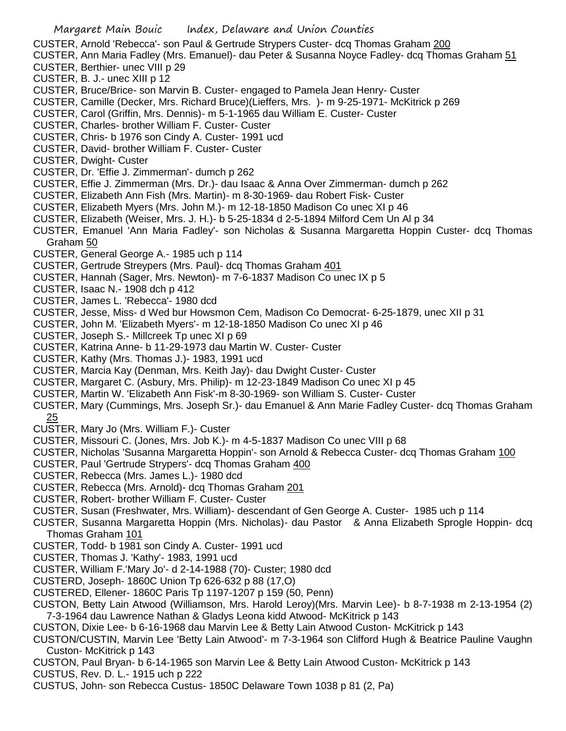- CUSTER, Arnold 'Rebecca'- son Paul & Gertrude Strypers Custer- dcq Thomas Graham 200
- CUSTER, Ann Maria Fadley (Mrs. Emanuel)- dau Peter & Susanna Noyce Fadley- dcq Thomas Graham 51
- CUSTER, Berthier- unec VIII p 29
- CUSTER, B. J.- unec XIII p 12
- CUSTER, Bruce/Brice- son Marvin B. Custer- engaged to Pamela Jean Henry- Custer
- CUSTER, Camille (Decker, Mrs. Richard Bruce)(Lieffers, Mrs. )- m 9-25-1971- McKitrick p 269
- CUSTER, Carol (Griffin, Mrs. Dennis)- m 5-1-1965 dau William E. Custer- Custer
- CUSTER, Charles- brother William F. Custer- Custer
- CUSTER, Chris- b 1976 son Cindy A. Custer- 1991 ucd
- CUSTER, David- brother William F. Custer- Custer
- CUSTER, Dwight- Custer
- CUSTER, Dr. 'Effie J. Zimmerman'- dumch p 262
- CUSTER, Effie J. Zimmerman (Mrs. Dr.)- dau Isaac & Anna Over Zimmerman- dumch p 262
- CUSTER, Elizabeth Ann Fish (Mrs. Martin)- m 8-30-1969- dau Robert Fisk- Custer
- CUSTER, Elizabeth Myers (Mrs. John M.)- m 12-18-1850 Madison Co unec XI p 46
- CUSTER, Elizabeth (Weiser, Mrs. J. H.)- b 5-25-1834 d 2-5-1894 Milford Cem Un Al p 34
- CUSTER, Emanuel 'Ann Maria Fadley'- son Nicholas & Susanna Margaretta Hoppin Custer- dcq Thomas Graham 50
- CUSTER, General George A.- 1985 uch p 114
- CUSTER, Gertrude Streypers (Mrs. Paul)- dcq Thomas Graham 401
- CUSTER, Hannah (Sager, Mrs. Newton)- m 7-6-1837 Madison Co unec IX p 5
- CUSTER, Isaac N.- 1908 dch p 412
- CUSTER, James L. 'Rebecca'- 1980 dcd
- CUSTER, Jesse, Miss- d Wed bur Howsmon Cem, Madison Co Democrat- 6-25-1879, unec XII p 31
- CUSTER, John M. 'Elizabeth Myers'- m 12-18-1850 Madison Co unec XI p 46
- CUSTER, Joseph S.- Millcreek Tp unec XI p 69
- CUSTER, Katrina Anne- b 11-29-1973 dau Martin W. Custer- Custer
- CUSTER, Kathy (Mrs. Thomas J.)- 1983, 1991 ucd
- CUSTER, Marcia Kay (Denman, Mrs. Keith Jay)- dau Dwight Custer- Custer
- CUSTER, Margaret C. (Asbury, Mrs. Philip)- m 12-23-1849 Madison Co unec XI p 45
- CUSTER, Martin W. 'Elizabeth Ann Fisk'-m 8-30-1969- son William S. Custer- Custer
- CUSTER, Mary (Cummings, Mrs. Joseph Sr.)- dau Emanuel & Ann Marie Fadley Custer- dcq Thomas Graham 25
- CUSTER, Mary Jo (Mrs. William F.)- Custer
- CUSTER, Missouri C. (Jones, Mrs. Job K.)- m 4-5-1837 Madison Co unec VIII p 68
- CUSTER, Nicholas 'Susanna Margaretta Hoppin'- son Arnold & Rebecca Custer- dcq Thomas Graham 100
- CUSTER, Paul 'Gertrude Strypers'- dcq Thomas Graham 400
- CUSTER, Rebecca (Mrs. James L.)- 1980 dcd
- CUSTER, Rebecca (Mrs. Arnold)- dcq Thomas Graham 201
- CUSTER, Robert- brother William F. Custer- Custer
- CUSTER, Susan (Freshwater, Mrs. William)- descendant of Gen George A. Custer- 1985 uch p 114
- CUSTER, Susanna Margaretta Hoppin (Mrs. Nicholas)- dau Pastor & Anna Elizabeth Sprogle Hoppin- dcq Thomas Graham 101
- CUSTER, Todd- b 1981 son Cindy A. Custer- 1991 ucd
- CUSTER, Thomas J. 'Kathy'- 1983, 1991 ucd
- CUSTER, William F.'Mary Jo'- d 2-14-1988 (70)- Custer; 1980 dcd
- CUSTERD, Joseph- 1860C Union Tp 626-632 p 88 (17,O)
- CUSTERED, Ellener- 1860C Paris Tp 1197-1207 p 159 (50, Penn)
- CUSTON, Betty Lain Atwood (Williamson, Mrs. Harold Leroy)(Mrs. Marvin Lee)- b 8-7-1938 m 2-13-1954 (2) 7-3-1964 dau Lawrence Nathan & Gladys Leona kidd Atwood- McKitrick p 143
- CUSTON, Dixie Lee- b 6-16-1968 dau Marvin Lee & Betty Lain Atwood Custon- McKitrick p 143
- CUSTON/CUSTIN, Marvin Lee 'Betty Lain Atwood'- m 7-3-1964 son Clifford Hugh & Beatrice Pauline Vaughn Custon- McKitrick p 143
- CUSTON, Paul Bryan- b 6-14-1965 son Marvin Lee & Betty Lain Atwood Custon- McKitrick p 143
- CUSTUS, Rev. D. L.- 1915 uch p 222
- CUSTUS, John- son Rebecca Custus- 1850C Delaware Town 1038 p 81 (2, Pa)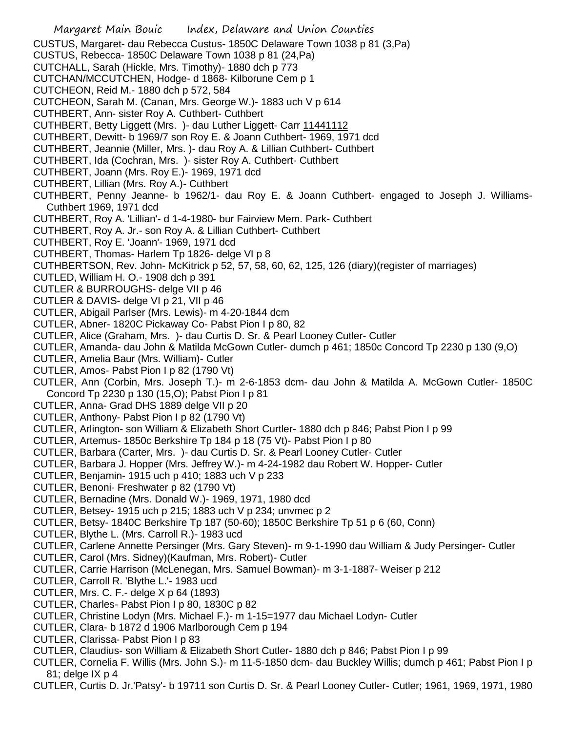CUSTUS, Margaret- dau Rebecca Custus- 1850C Delaware Town 1038 p 81 (3,Pa)

- CUSTUS, Rebecca- 1850C Delaware Town 1038 p 81 (24,Pa)
- CUTCHALL, Sarah (Hickle, Mrs. Timothy)- 1880 dch p 773
- CUTCHAN/MCCUTCHEN, Hodge- d 1868- Kilborune Cem p 1
- CUTCHEON, Reid M.- 1880 dch p 572, 584
- CUTCHEON, Sarah M. (Canan, Mrs. George W.)- 1883 uch V p 614
- CUTHBERT, Ann- sister Roy A. Cuthbert- Cuthbert
- CUTHBERT, Betty Liggett (Mrs. )- dau Luther Liggett- Carr 11441112
- CUTHBERT, Dewitt- b 1969/7 son Roy E. & Joann Cuthbert- 1969, 1971 dcd
- CUTHBERT, Jeannie (Miller, Mrs. )- dau Roy A. & Lillian Cuthbert- Cuthbert
- CUTHBERT, Ida (Cochran, Mrs. )- sister Roy A. Cuthbert- Cuthbert
- CUTHBERT, Joann (Mrs. Roy E.)- 1969, 1971 dcd
- CUTHBERT, Lillian (Mrs. Roy A.)- Cuthbert
- CUTHBERT, Penny Jeanne- b 1962/1- dau Roy E. & Joann Cuthbert- engaged to Joseph J. Williams-Cuthbert 1969, 1971 dcd
- CUTHBERT, Roy A. 'Lillian'- d 1-4-1980- bur Fairview Mem. Park- Cuthbert
- CUTHBERT, Roy A. Jr.- son Roy A. & Lillian Cuthbert- Cuthbert
- CUTHBERT, Roy E. 'Joann'- 1969, 1971 dcd
- CUTHBERT, Thomas- Harlem Tp 1826- delge VI p 8
- CUTHBERTSON, Rev. John- McKitrick p 52, 57, 58, 60, 62, 125, 126 (diary)(register of marriages)
- CUTLED, William H. O.- 1908 dch p 391
- CUTLER & BURROUGHS- delge VII p 46
- CUTLER & DAVIS- delge VI p 21, VII p 46
- CUTLER, Abigail Parlser (Mrs. Lewis)- m 4-20-1844 dcm
- CUTLER, Abner- 1820C Pickaway Co- Pabst Pion I p 80, 82
- CUTLER, Alice (Graham, Mrs. )- dau Curtis D. Sr. & Pearl Looney Cutler- Cutler
- CUTLER, Amanda- dau John & Matilda McGown Cutler- dumch p 461; 1850c Concord Tp 2230 p 130 (9,O)
- CUTLER, Amelia Baur (Mrs. William)- Cutler
- CUTLER, Amos- Pabst Pion I p 82 (1790 Vt)
- CUTLER, Ann (Corbin, Mrs. Joseph T.)- m 2-6-1853 dcm- dau John & Matilda A. McGown Cutler- 1850C Concord Tp 2230 p 130 (15,O); Pabst Pion I p 81
- CUTLER, Anna- Grad DHS 1889 delge VII p 20
- CUTLER, Anthony- Pabst Pion I p 82 (1790 Vt)
- CUTLER, Arlington- son William & Elizabeth Short Curtler- 1880 dch p 846; Pabst Pion I p 99
- CUTLER, Artemus- 1850c Berkshire Tp 184 p 18 (75 Vt)- Pabst Pion I p 80
- CUTLER, Barbara (Carter, Mrs. )- dau Curtis D. Sr. & Pearl Looney Cutler- Cutler
- CUTLER, Barbara J. Hopper (Mrs. Jeffrey W.)- m 4-24-1982 dau Robert W. Hopper- Cutler
- CUTLER, Benjamin- 1915 uch p 410; 1883 uch V p 233
- CUTLER, Benoni- Freshwater p 82 (1790 Vt)
- CUTLER, Bernadine (Mrs. Donald W.)- 1969, 1971, 1980 dcd
- CUTLER, Betsey- 1915 uch p 215; 1883 uch V p 234; unvmec p 2
- CUTLER, Betsy- 1840C Berkshire Tp 187 (50-60); 1850C Berkshire Tp 51 p 6 (60, Conn)
- CUTLER, Blythe L. (Mrs. Carroll R.)- 1983 ucd
- CUTLER, Carlene Annette Persinger (Mrs. Gary Steven)- m 9-1-1990 dau William & Judy Persinger- Cutler
- CUTLER, Carol (Mrs. Sidney)(Kaufman, Mrs. Robert)- Cutler
- CUTLER, Carrie Harrison (McLenegan, Mrs. Samuel Bowman)- m 3-1-1887- Weiser p 212
- CUTLER, Carroll R. 'Blythe L.'- 1983 ucd
- CUTLER, Mrs. C. F.- delge X p 64 (1893)
- CUTLER, Charles- Pabst Pion I p 80, 1830C p 82
- CUTLER, Christine Lodyn (Mrs. Michael F.)- m 1-15=1977 dau Michael Lodyn- Cutler
- CUTLER, Clara- b 1872 d 1906 Marlborough Cem p 194
- CUTLER, Clarissa- Pabst Pion I p 83
- CUTLER, Claudius- son William & Elizabeth Short Cutler- 1880 dch p 846; Pabst Pion I p 99
- CUTLER, Cornelia F. Willis (Mrs. John S.)- m 11-5-1850 dcm- dau Buckley Willis; dumch p 461; Pabst Pion I p 81; delge IX p 4
- CUTLER, Curtis D. Jr.'Patsy'- b 19711 son Curtis D. Sr. & Pearl Looney Cutler- Cutler; 1961, 1969, 1971, 1980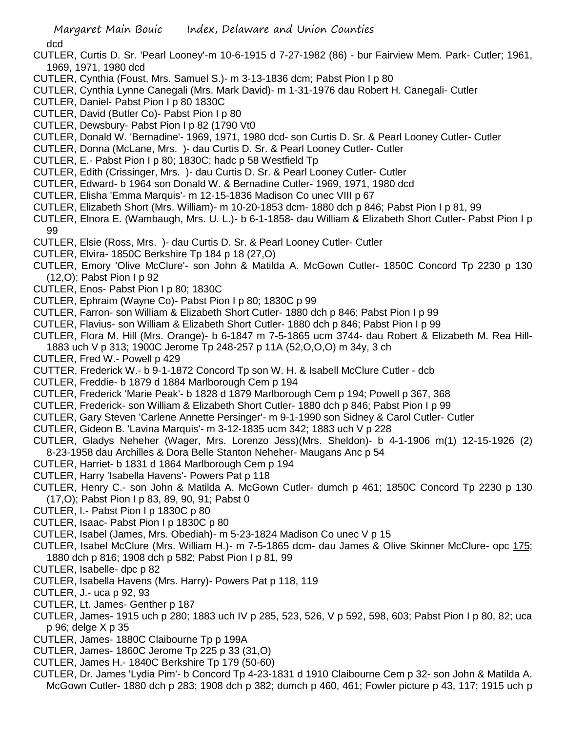dcd

- CUTLER, Curtis D. Sr. 'Pearl Looney'-m 10-6-1915 d 7-27-1982 (86) bur Fairview Mem. Park- Cutler; 1961, 1969, 1971, 1980 dcd
- CUTLER, Cynthia (Foust, Mrs. Samuel S.)- m 3-13-1836 dcm; Pabst Pion I p 80
- CUTLER, Cynthia Lynne Canegali (Mrs. Mark David)- m 1-31-1976 dau Robert H. Canegali- Cutler
- CUTLER, Daniel- Pabst Pion I p 80 1830C
- CUTLER, David (Butler Co)- Pabst Pion I p 80
- CUTLER, Dewsbury- Pabst Pion I p 82 (1790 Vt0
- CUTLER, Donald W. 'Bernadine'- 1969, 1971, 1980 dcd- son Curtis D. Sr. & Pearl Looney Cutler- Cutler
- CUTLER, Donna (McLane, Mrs. )- dau Curtis D. Sr. & Pearl Looney Cutler- Cutler
- CUTLER, E.- Pabst Pion I p 80; 1830C; hadc p 58 Westfield Tp
- CUTLER, Edith (Crissinger, Mrs. )- dau Curtis D. Sr. & Pearl Looney Cutler- Cutler
- CUTLER, Edward- b 1964 son Donald W. & Bernadine Cutler- 1969, 1971, 1980 dcd
- CUTLER, Elisha 'Emma Marquis'- m 12-15-1836 Madison Co unec VIII p 67
- CUTLER, Elizabeth Short (Mrs. William)- m 10-20-1853 dcm- 1880 dch p 846; Pabst Pion I p 81, 99
- CUTLER, Elnora E. (Wambaugh, Mrs. U. L.)- b 6-1-1858- dau William & Elizabeth Short Cutler- Pabst Pion I p 99
- CUTLER, Elsie (Ross, Mrs. )- dau Curtis D. Sr. & Pearl Looney Cutler- Cutler
- CUTLER, Elvira- 1850C Berkshire Tp 184 p 18 (27,O)
- CUTLER, Emory 'Olive McClure'- son John & Matilda A. McGown Cutler- 1850C Concord Tp 2230 p 130 (12,O); Pabst Pion I p 92
- CUTLER, Enos- Pabst Pion I p 80; 1830C
- CUTLER, Ephraim (Wayne Co)- Pabst Pion I p 80; 1830C p 99
- CUTLER, Farron- son William & Elizabeth Short Cutler- 1880 dch p 846; Pabst Pion I p 99
- CUTLER, Flavius- son William & Elizabeth Short Cutler- 1880 dch p 846; Pabst Pion I p 99
- CUTLER, Flora M. Hill (Mrs. Orange)- b 6-1847 m 7-5-1865 ucm 3744- dau Robert & Elizabeth M. Rea Hill-1883 uch V p 313; 1900C Jerome Tp 248-257 p 11A (52,O,O,O) m 34y, 3 ch
- CUTLER, Fred W.- Powell p 429
- CUTTER, Frederick W.- b 9-1-1872 Concord Tp son W. H. & Isabell McClure Cutler dcb
- CUTLER, Freddie- b 1879 d 1884 Marlborough Cem p 194
- CUTLER, Frederick 'Marie Peak'- b 1828 d 1879 Marlborough Cem p 194; Powell p 367, 368
- CUTLER, Frederick- son William & Elizabeth Short Cutler- 1880 dch p 846; Pabst Pion I p 99
- CUTLER, Gary Steven 'Carlene Annette Persinger'- m 9-1-1990 son Sidney & Carol Cutler- Cutler
- CUTLER, Gideon B. 'Lavina Marquis'- m 3-12-1835 ucm 342; 1883 uch V p 228
- CUTLER, Gladys Neheher (Wager, Mrs. Lorenzo Jess)(Mrs. Sheldon)- b 4-1-1906 m(1) 12-15-1926 (2) 8-23-1958 dau Archilles & Dora Belle Stanton Neheher- Maugans Anc p 54
- CUTLER, Harriet- b 1831 d 1864 Marlborough Cem p 194
- CUTLER, Harry 'Isabella Havens'- Powers Pat p 118
- CUTLER, Henry C.- son John & Matilda A. McGown Cutler- dumch p 461; 1850C Concord Tp 2230 p 130 (17,O); Pabst Pion I p 83, 89, 90, 91; Pabst 0
- CUTLER, I.- Pabst Pion I p 1830C p 80
- CUTLER, Isaac- Pabst Pion I p 1830C p 80
- CUTLER, Isabel (James, Mrs. Obediah)- m 5-23-1824 Madison Co unec V p 15
- CUTLER, Isabel McClure (Mrs. William H.)- m 7-5-1865 dcm- dau James & Olive Skinner McClure- opc 175; 1880 dch p 816; 1908 dch p 582; Pabst Pion I p 81, 99
- CUTLER, Isabelle- dpc p 82
- CUTLER, Isabella Havens (Mrs. Harry)- Powers Pat p 118, 119
- CUTLER, J.- uca p 92, 93
- CUTLER, Lt. James- Genther p 187
- CUTLER, James- 1915 uch p 280; 1883 uch IV p 285, 523, 526, V p 592, 598, 603; Pabst Pion I p 80, 82; uca p 96; delge X p 35
- CUTLER, James- 1880C Claibourne Tp p 199A
- CUTLER, James- 1860C Jerome Tp 225 p 33 (31,O)
- CUTLER, James H.- 1840C Berkshire Tp 179 (50-60)
- CUTLER, Dr. James 'Lydia Pim'- b Concord Tp 4-23-1831 d 1910 Claibourne Cem p 32- son John & Matilda A. McGown Cutler- 1880 dch p 283; 1908 dch p 382; dumch p 460, 461; Fowler picture p 43, 117; 1915 uch p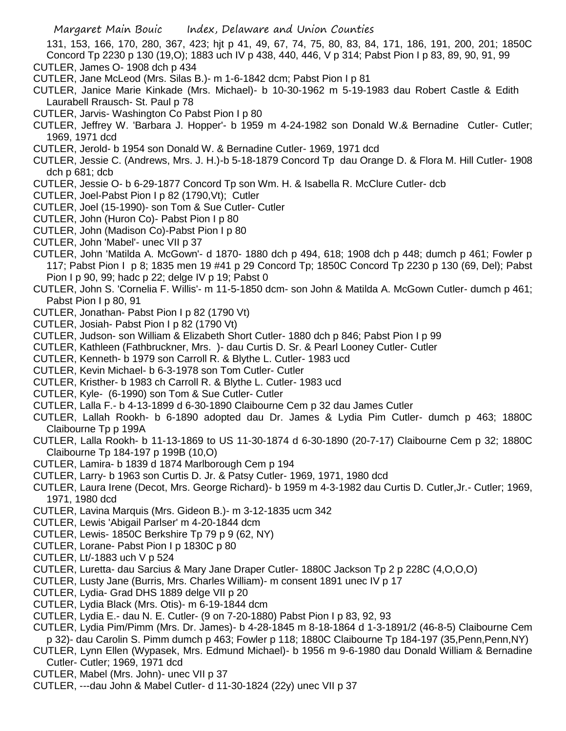131, 153, 166, 170, 280, 367, 423; hjt p 41, 49, 67, 74, 75, 80, 83, 84, 171, 186, 191, 200, 201; 1850C Concord Tp 2230 p 130 (19,O); 1883 uch IV p 438, 440, 446, V p 314; Pabst Pion I p 83, 89, 90, 91, 99 CUTLER, James O- 1908 dch p 434

- CUTLER, Jane McLeod (Mrs. Silas B.)- m 1-6-1842 dcm; Pabst Pion I p 81
- CUTLER, Janice Marie Kinkade (Mrs. Michael)- b 10-30-1962 m 5-19-1983 dau Robert Castle & Edith Laurabell Rrausch- St. Paul p 78
- CUTLER, Jarvis- Washington Co Pabst Pion I p 80
- CUTLER, Jeffrey W. 'Barbara J. Hopper'- b 1959 m 4-24-1982 son Donald W.& Bernadine Cutler- Cutler; 1969, 1971 dcd
- CUTLER, Jerold- b 1954 son Donald W. & Bernadine Cutler- 1969, 1971 dcd
- CUTLER, Jessie C. (Andrews, Mrs. J. H.)-b 5-18-1879 Concord Tp dau Orange D. & Flora M. Hill Cutler- 1908 dch p 681; dcb
- CUTLER, Jessie O- b 6-29-1877 Concord Tp son Wm. H. & Isabella R. McClure Cutler- dcb
- CUTLER, Joel-Pabst Pion I p 82 (1790,Vt); Cutler
- CUTLER, Joel (15-1990)- son Tom & Sue Cutler- Cutler
- CUTLER, John (Huron Co)- Pabst Pion I p 80
- CUTLER, John (Madison Co)-Pabst Pion I p 80
- CUTLER, John 'Mabel'- unec VII p 37
- CUTLER, John 'Matilda A. McGown'- d 1870- 1880 dch p 494, 618; 1908 dch p 448; dumch p 461; Fowler p 117; Pabst Pion I p 8; 1835 men 19 #41 p 29 Concord Tp; 1850C Concord Tp 2230 p 130 (69, Del); Pabst Pion I p 90, 99; hadc p 22; delge IV p 19; Pabst 0
- CUTLER, John S. 'Cornelia F. Willis'- m 11-5-1850 dcm- son John & Matilda A. McGown Cutler- dumch p 461; Pabst Pion I p 80, 91
- CUTLER, Jonathan- Pabst Pion I p 82 (1790 Vt)
- CUTLER, Josiah- Pabst Pion I p 82 (1790 Vt)
- CUTLER, Judson- son William & Elizabeth Short Cutler- 1880 dch p 846; Pabst Pion I p 99
- CUTLER, Kathleen (Fathbruckner, Mrs. )- dau Curtis D. Sr. & Pearl Looney Cutler- Cutler
- CUTLER, Kenneth- b 1979 son Carroll R. & Blythe L. Cutler- 1983 ucd
- CUTLER, Kevin Michael- b 6-3-1978 son Tom Cutler- Cutler
- CUTLER, Kristher- b 1983 ch Carroll R. & Blythe L. Cutler- 1983 ucd
- CUTLER, Kyle- (6-1990) son Tom & Sue Cutler- Cutler
- CUTLER, Lalla F.- b 4-13-1899 d 6-30-1890 Claibourne Cem p 32 dau James Cutler
- CUTLER, Lallah Rookh- b 6-1890 adopted dau Dr. James & Lydia Pim Cutler- dumch p 463; 1880C Claibourne Tp p 199A
- CUTLER, Lalla Rookh- b 11-13-1869 to US 11-30-1874 d 6-30-1890 (20-7-17) Claibourne Cem p 32; 1880C Claibourne Tp 184-197 p 199B (10,O)
- CUTLER, Lamira- b 1839 d 1874 Marlborough Cem p 194
- CUTLER, Larry- b 1963 son Curtis D. Jr. & Patsy Cutler- 1969, 1971, 1980 dcd
- CUTLER, Laura Irene (Decot, Mrs. George Richard)- b 1959 m 4-3-1982 dau Curtis D. Cutler,Jr.- Cutler; 1969, 1971, 1980 dcd
- CUTLER, Lavina Marquis (Mrs. Gideon B.)- m 3-12-1835 ucm 342
- CUTLER, Lewis 'Abigail Parlser' m 4-20-1844 dcm
- CUTLER, Lewis- 1850C Berkshire Tp 79 p 9 (62, NY)
- CUTLER, Lorane- Pabst Pion I p 1830C p 80
- CUTLER, Lt/-1883 uch V p 524
- CUTLER, Luretta- dau Sarcius & Mary Jane Draper Cutler- 1880C Jackson Tp 2 p 228C (4,O,O,O)
- CUTLER, Lusty Jane (Burris, Mrs. Charles William)- m consent 1891 unec IV p 17
- CUTLER, Lydia- Grad DHS 1889 delge VII p 20
- CUTLER, Lydia Black (Mrs. Otis)- m 6-19-1844 dcm
- CUTLER, Lydia E.- dau N. E. Cutler- (9 on 7-20-1880) Pabst Pion I p 83, 92, 93
- CUTLER, Lydia Pim/Pimm (Mrs. Dr. James)- b 4-28-1845 m 8-18-1864 d 1-3-1891/2 (46-8-5) Claibourne Cem p 32)- dau Carolin S. Pimm dumch p 463; Fowler p 118; 1880C Claibourne Tp 184-197 (35,Penn,Penn,NY)
- CUTLER, Lynn Ellen (Wypasek, Mrs. Edmund Michael)- b 1956 m 9-6-1980 dau Donald William & Bernadine Cutler- Cutler; 1969, 1971 dcd
- CUTLER, Mabel (Mrs. John)- unec VII p 37
- CUTLER, ---dau John & Mabel Cutler- d 11-30-1824 (22y) unec VII p 37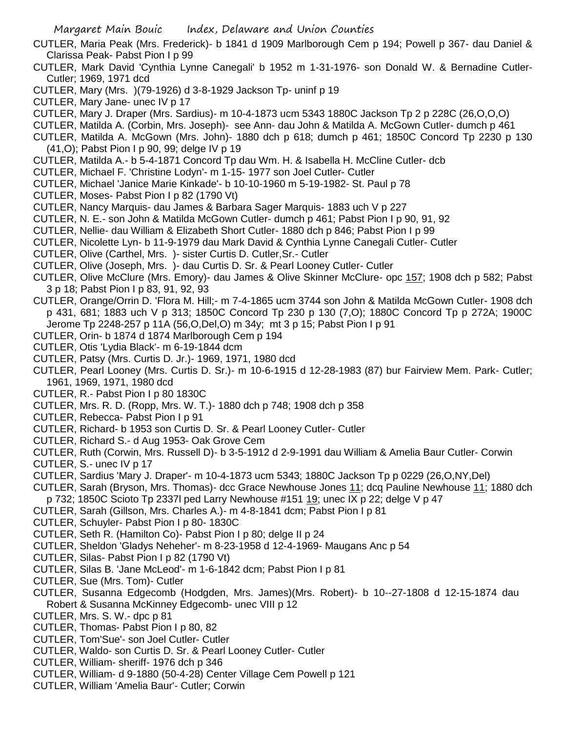- CUTLER, Maria Peak (Mrs. Frederick)- b 1841 d 1909 Marlborough Cem p 194; Powell p 367- dau Daniel & Clarissa Peak- Pabst Pion I p 99
- CUTLER, Mark David 'Cynthia Lynne Canegali' b 1952 m 1-31-1976- son Donald W. & Bernadine Cutler-Cutler; 1969, 1971 dcd
- CUTLER, Mary (Mrs. )(79-1926) d 3-8-1929 Jackson Tp- uninf p 19
- CUTLER, Mary Jane- unec IV p 17
- CUTLER, Mary J. Draper (Mrs. Sardius)- m 10-4-1873 ucm 5343 1880C Jackson Tp 2 p 228C (26,O,O,O)
- CUTLER, Matilda A. (Corbin, Mrs. Joseph)- see Ann- dau John & Matilda A. McGown Cutler- dumch p 461
- CUTLER, Matilda A. McGown (Mrs. John)- 1880 dch p 618; dumch p 461; 1850C Concord Tp 2230 p 130 (41,O); Pabst Pion I p 90, 99; delge IV p 19
- CUTLER, Matilda A.- b 5-4-1871 Concord Tp dau Wm. H. & Isabella H. McCline Cutler- dcb
- CUTLER, Michael F. 'Christine Lodyn'- m 1-15- 1977 son Joel Cutler- Cutler
- CUTLER, Michael 'Janice Marie Kinkade'- b 10-10-1960 m 5-19-1982- St. Paul p 78
- CUTLER, Moses- Pabst Pion I p 82 (1790 Vt)
- CUTLER, Nancy Marquis- dau James & Barbara Sager Marquis- 1883 uch V p 227
- CUTLER, N. E.- son John & Matilda McGown Cutler- dumch p 461; Pabst Pion I p 90, 91, 92
- CUTLER, Nellie- dau William & Elizabeth Short Cutler- 1880 dch p 846; Pabst Pion I p 99
- CUTLER, Nicolette Lyn- b 11-9-1979 dau Mark David & Cynthia Lynne Canegali Cutler- Cutler
- CUTLER, Olive (Carthel, Mrs. )- sister Curtis D. Cutler,Sr.- Cutler
- CUTLER, Olive (Joseph, Mrs. )- dau Curtis D. Sr. & Pearl Looney Cutler- Cutler
- CUTLER, Olive McClure (Mrs. Emory)- dau James & Olive Skinner McClure- opc 157; 1908 dch p 582; Pabst 3 p 18; Pabst Pion I p 83, 91, 92, 93
- CUTLER, Orange/Orrin D. 'Flora M. Hill;- m 7-4-1865 ucm 3744 son John & Matilda McGown Cutler- 1908 dch p 431, 681; 1883 uch V p 313; 1850C Concord Tp 230 p 130 (7,O); 1880C Concord Tp p 272A; 1900C Jerome Tp 2248-257 p 11A (56,O,Del,O) m 34y; mt 3 p 15; Pabst Pion I p 91
- CUTLER, Orin- b 1874 d 1874 Marlborough Cem p 194
- CUTLER, Otis 'Lydia Black'- m 6-19-1844 dcm
- CUTLER, Patsy (Mrs. Curtis D. Jr.)- 1969, 1971, 1980 dcd
- CUTLER, Pearl Looney (Mrs. Curtis D. Sr.)- m 10-6-1915 d 12-28-1983 (87) bur Fairview Mem. Park- Cutler; 1961, 1969, 1971, 1980 dcd
- CUTLER, R.- Pabst Pion I p 80 1830C
- CUTLER, Mrs. R. D. (Ropp, Mrs. W. T.)- 1880 dch p 748; 1908 dch p 358
- CUTLER, Rebecca- Pabst Pion I p 91
- CUTLER, Richard- b 1953 son Curtis D. Sr. & Pearl Looney Cutler- Cutler
- CUTLER, Richard S.- d Aug 1953- Oak Grove Cem
- CUTLER, Ruth (Corwin, Mrs. Russell D)- b 3-5-1912 d 2-9-1991 dau William & Amelia Baur Cutler- Corwin
- CUTLER, S.- unec IV p 17
- CUTLER, Sardius 'Mary J. Draper'- m 10-4-1873 ucm 5343; 1880C Jackson Tp p 0229 (26,O,NY,Del)
- CUTLER, Sarah (Bryson, Mrs. Thomas)- dcc Grace Newhouse Jones 11; dcq Pauline Newhouse 11; 1880 dch
- p 732; 1850C Scioto Tp 2337l ped Larry Newhouse #151 19; unec IX p 22; delge V p 47
- CUTLER, Sarah (Gillson, Mrs. Charles A.)- m 4-8-1841 dcm; Pabst Pion I p 81
- CUTLER, Schuyler- Pabst Pion I p 80- 1830C
- CUTLER, Seth R. (Hamilton Co)- Pabst Pion I p 80; delge II p 24
- CUTLER, Sheldon 'Gladys Neheher'- m 8-23-1958 d 12-4-1969- Maugans Anc p 54
- CUTLER, Silas- Pabst Pion I p 82 (1790 Vt)
- CUTLER, Silas B. 'Jane McLeod'- m 1-6-1842 dcm; Pabst Pion I p 81
- CUTLER, Sue (Mrs. Tom)- Cutler
- CUTLER, Susanna Edgecomb (Hodgden, Mrs. James)(Mrs. Robert)- b 10--27-1808 d 12-15-1874 dau Robert & Susanna McKinney Edgecomb- unec VIII p 12
- CUTLER, Mrs. S. W.- dpc p 81
- CUTLER, Thomas- Pabst Pion I p 80, 82
- CUTLER, Tom'Sue'- son Joel Cutler- Cutler
- CUTLER, Waldo- son Curtis D. Sr. & Pearl Looney Cutler- Cutler
- CUTLER, William- sheriff- 1976 dch p 346
- CUTLER, William- d 9-1880 (50-4-28) Center Village Cem Powell p 121
- CUTLER, William 'Amelia Baur'- Cutler; Corwin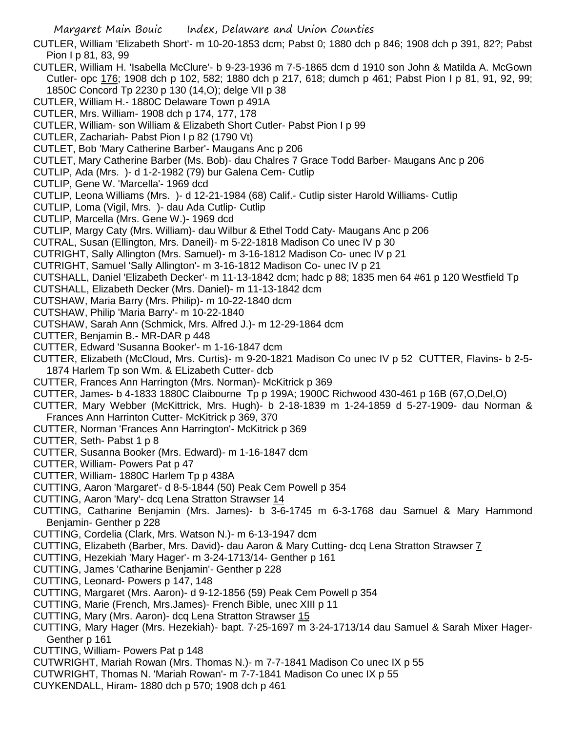- CUTLER, William 'Elizabeth Short'- m 10-20-1853 dcm; Pabst 0; 1880 dch p 846; 1908 dch p 391, 82?; Pabst Pion I p 81, 83, 99
- CUTLER, William H. 'Isabella McClure'- b 9-23-1936 m 7-5-1865 dcm d 1910 son John & Matilda A. McGown Cutler- opc 176; 1908 dch p 102, 582; 1880 dch p 217, 618; dumch p 461; Pabst Pion I p 81, 91, 92, 99; 1850C Concord Tp 2230 p 130 (14,O); delge VII p 38
- CUTLER, William H.- 1880C Delaware Town p 491A
- CUTLER, Mrs. William- 1908 dch p 174, 177, 178
- CUTLER, William- son William & Elizabeth Short Cutler- Pabst Pion I p 99
- CUTLER, Zachariah- Pabst Pion I p 82 (1790 Vt)
- CUTLET, Bob 'Mary Catherine Barber'- Maugans Anc p 206
- CUTLET, Mary Catherine Barber (Ms. Bob)- dau Chalres 7 Grace Todd Barber- Maugans Anc p 206
- CUTLIP, Ada (Mrs. )- d 1-2-1982 (79) bur Galena Cem- Cutlip
- CUTLIP, Gene W. 'Marcella'- 1969 dcd
- CUTLIP, Leona Williams (Mrs. )- d 12-21-1984 (68) Calif.- Cutlip sister Harold Williams- Cutlip
- CUTLIP, Loma (Vigil, Mrs. )- dau Ada Cutlip- Cutlip
- CUTLIP, Marcella (Mrs. Gene W.)- 1969 dcd
- CUTLIP, Margy Caty (Mrs. William)- dau Wilbur & Ethel Todd Caty- Maugans Anc p 206
- CUTRAL, Susan (Ellington, Mrs. Daneil)- m 5-22-1818 Madison Co unec IV p 30
- CUTRIGHT, Sally Allington (Mrs. Samuel)- m 3-16-1812 Madison Co- unec IV p 21
- CUTRIGHT, Samuel 'Sally Allington'- m 3-16-1812 Madison Co- unec IV p 21
- CUTSHALL, Daniel 'Elizabeth Decker'- m 11-13-1842 dcm; hadc p 88; 1835 men 64 #61 p 120 Westfield Tp
- CUTSHALL, Elizabeth Decker (Mrs. Daniel)- m 11-13-1842 dcm
- CUTSHAW, Maria Barry (Mrs. Philip)- m 10-22-1840 dcm
- CUTSHAW, Philip 'Maria Barry'- m 10-22-1840
- CUTSHAW, Sarah Ann (Schmick, Mrs. Alfred J.)- m 12-29-1864 dcm
- CUTTER, Benjamin B.- MR-DAR p 448
- CUTTER, Edward 'Susanna Booker'- m 1-16-1847 dcm
- CUTTER, Elizabeth (McCloud, Mrs. Curtis)- m 9-20-1821 Madison Co unec IV p 52 CUTTER, Flavins- b 2-5- 1874 Harlem Tp son Wm. & ELizabeth Cutter- dcb
- CUTTER, Frances Ann Harrington (Mrs. Norman)- McKitrick p 369
- CUTTER, James- b 4-1833 1880C Claibourne Tp p 199A; 1900C Richwood 430-461 p 16B (67,O,Del,O)
- CUTTER, Mary Webber (McKittrick, Mrs. Hugh)- b 2-18-1839 m 1-24-1859 d 5-27-1909- dau Norman & Frances Ann Harrinton Cutter- McKitrick p 369, 370
- CUTTER, Norman 'Frances Ann Harrington'- McKitrick p 369
- CUTTER, Seth- Pabst 1 p 8
- CUTTER, Susanna Booker (Mrs. Edward)- m 1-16-1847 dcm
- CUTTER, William- Powers Pat p 47
- CUTTER, William- 1880C Harlem Tp p 438A
- CUTTING, Aaron 'Margaret'- d 8-5-1844 (50) Peak Cem Powell p 354
- CUTTING, Aaron 'Mary'- dcq Lena Stratton Strawser 14
- CUTTING, Catharine Benjamin (Mrs. James)- b 3-6-1745 m 6-3-1768 dau Samuel & Mary Hammond Benjamin- Genther p 228
- CUTTING, Cordelia (Clark, Mrs. Watson N.)- m 6-13-1947 dcm
- CUTTING, Elizabeth (Barber, Mrs. David)- dau Aaron & Mary Cutting- dcq Lena Stratton Strawser 7
- CUTTING, Hezekiah 'Mary Hager'- m 3-24-1713/14- Genther p 161
- CUTTING, James 'Catharine Benjamin'- Genther p 228
- CUTTING, Leonard- Powers p 147, 148
- CUTTING, Margaret (Mrs. Aaron)- d 9-12-1856 (59) Peak Cem Powell p 354
- CUTTING, Marie (French, Mrs.James)- French Bible, unec XIII p 11
- CUTTING, Mary (Mrs. Aaron)- dcq Lena Stratton Strawser 15
- CUTTING, Mary Hager (Mrs. Hezekiah)- bapt. 7-25-1697 m 3-24-1713/14 dau Samuel & Sarah Mixer Hager-Genther p 161
- CUTTING, William- Powers Pat p 148
- CUTWRIGHT, Mariah Rowan (Mrs. Thomas N.)- m 7-7-1841 Madison Co unec IX p 55
- CUTWRIGHT, Thomas N. 'Mariah Rowan'- m 7-7-1841 Madison Co unec IX p 55
- CUYKENDALL, Hiram- 1880 dch p 570; 1908 dch p 461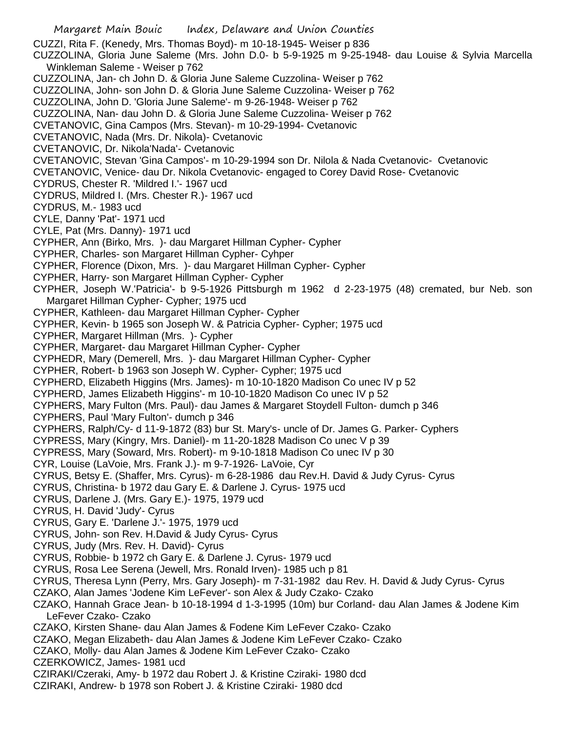- Margaret Main Bouic Index, Delaware and Union Counties CUZZI, Rita F. (Kenedy, Mrs. Thomas Boyd)- m 10-18-1945- Weiser p 836 CUZZOLINA, Gloria June Saleme (Mrs. John D.0- b 5-9-1925 m 9-25-1948- dau Louise & Sylvia Marcella Winkleman Saleme - Weiser p 762 CUZZOLINA, Jan- ch John D. & Gloria June Saleme Cuzzolina- Weiser p 762 CUZZOLINA, John- son John D. & Gloria June Saleme Cuzzolina- Weiser p 762 CUZZOLINA, John D. 'Gloria June Saleme'- m 9-26-1948- Weiser p 762 CUZZOLINA, Nan- dau John D. & Gloria June Saleme Cuzzolina- Weiser p 762 CVETANOVIC, Gina Campos (Mrs. Stevan)- m 10-29-1994- Cvetanovic CVETANOVIC, Nada (Mrs. Dr. Nikola)- Cvetanovic CVETANOVIC, Dr. Nikola'Nada'- Cvetanovic CVETANOVIC, Stevan 'Gina Campos'- m 10-29-1994 son Dr. Nilola & Nada Cvetanovic- Cvetanovic CVETANOVIC, Venice- dau Dr. Nikola Cvetanovic- engaged to Corey David Rose- Cvetanovic CYDRUS, Chester R. 'Mildred I.'- 1967 ucd CYDRUS, Mildred I. (Mrs. Chester R.)- 1967 ucd CYDRUS, M.- 1983 ucd CYLE, Danny 'Pat'- 1971 ucd CYLE, Pat (Mrs. Danny)- 1971 ucd CYPHER, Ann (Birko, Mrs. )- dau Margaret Hillman Cypher- Cypher CYPHER, Charles- son Margaret Hillman Cypher- Cyhper CYPHER, Florence (Dixon, Mrs. )- dau Margaret Hillman Cypher- Cypher CYPHER, Harry- son Margaret Hillman Cypher- Cypher CYPHER, Joseph W.'Patricia'- b 9-5-1926 Pittsburgh m 1962 d 2-23-1975 (48) cremated, bur Neb. son Margaret Hillman Cypher- Cypher; 1975 ucd CYPHER, Kathleen- dau Margaret Hillman Cypher- Cypher CYPHER, Kevin- b 1965 son Joseph W. & Patricia Cypher- Cypher; 1975 ucd CYPHER, Margaret Hillman (Mrs. )- Cypher CYPHER, Margaret- dau Margaret Hillman Cypher- Cypher CYPHEDR, Mary (Demerell, Mrs. )- dau Margaret Hillman Cypher- Cypher CYPHER, Robert- b 1963 son Joseph W. Cypher- Cypher; 1975 ucd CYPHERD, Elizabeth Higgins (Mrs. James)- m 10-10-1820 Madison Co unec IV p 52 CYPHERD, James Elizabeth Higgins'- m 10-10-1820 Madison Co unec IV p 52 CYPHERS, Mary Fulton (Mrs. Paul)- dau James & Margaret Stoydell Fulton- dumch p 346 CYPHERS, Paul 'Mary Fulton'- dumch p 346 CYPHERS, Ralph/Cy- d 11-9-1872 (83) bur St. Mary's- uncle of Dr. James G. Parker- Cyphers CYPRESS, Mary (Kingry, Mrs. Daniel)- m 11-20-1828 Madison Co unec V p 39 CYPRESS, Mary (Soward, Mrs. Robert)- m 9-10-1818 Madison Co unec IV p 30 CYR, Louise (LaVoie, Mrs. Frank J.)- m 9-7-1926- LaVoie, Cyr CYRUS, Betsy E. (Shaffer, Mrs. Cyrus)- m 6-28-1986 dau Rev.H. David & Judy Cyrus- Cyrus CYRUS, Christina- b 1972 dau Gary E. & Darlene J. Cyrus- 1975 ucd CYRUS, Darlene J. (Mrs. Gary E.)- 1975, 1979 ucd CYRUS, H. David 'Judy'- Cyrus CYRUS, Gary E. 'Darlene J.'- 1975, 1979 ucd CYRUS, John- son Rev. H.David & Judy Cyrus- Cyrus CYRUS, Judy (Mrs. Rev. H. David)- Cyrus CYRUS, Robbie- b 1972 ch Gary E. & Darlene J. Cyrus- 1979 ucd CYRUS, Rosa Lee Serena (Jewell, Mrs. Ronald Irven)- 1985 uch p 81 CYRUS, Theresa Lynn (Perry, Mrs. Gary Joseph)- m 7-31-1982 dau Rev. H. David & Judy Cyrus- Cyrus CZAKO, Alan James 'Jodene Kim LeFever'- son Alex & Judy Czako- Czako CZAKO, Hannah Grace Jean- b 10-18-1994 d 1-3-1995 (10m) bur Corland- dau Alan James & Jodene Kim LeFever Czako- Czako CZAKO, Kirsten Shane- dau Alan James & Fodene Kim LeFever Czako- Czako CZAKO, Megan Elizabeth- dau Alan James & Jodene Kim LeFever Czako- Czako CZAKO, Molly- dau Alan James & Jodene Kim LeFever Czako- Czako CZERKOWICZ, James- 1981 ucd
- CZIRAKI/Czeraki, Amy- b 1972 dau Robert J. & Kristine Cziraki- 1980 dcd
- CZIRAKI, Andrew- b 1978 son Robert J. & Kristine Cziraki- 1980 dcd